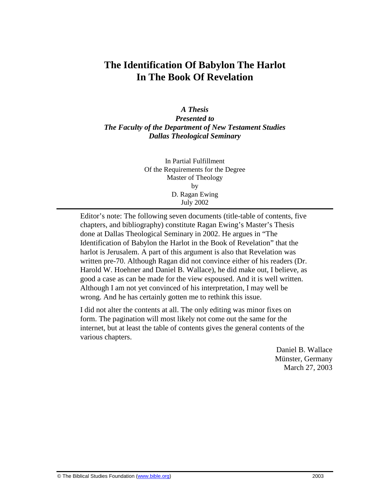# **The Identification Of Babylon The Harlot In The Book Of Revelation**

## *A Thesis Presented to The Faculty of the Department of New Testament Studies Dallas Theological Seminary*

In Partial Fulfillment Of the Requirements for the Degree Master of Theology by D. Ragan Ewing July 2002

Editor's note: The following seven documents (title-table of contents, five chapters, and bibliography) constitute Ragan Ewing's Master's Thesis done at Dallas Theological Seminary in 2002. He argues in "The Identification of Babylon the Harlot in the Book of Revelation" that the harlot is Jerusalem. A part of this argument is also that Revelation was written pre-70. Although Ragan did not convince either of his readers (Dr. Harold W. Hoehner and Daniel B. Wallace), he did make out, I believe, as good a case as can be made for the view espoused. And it is well written. Although I am not yet convinced of his interpretation, I may well be wrong. And he has certainly gotten me to rethink this issue.

I did not alter the contents at all. The only editing was minor fixes on form. The pagination will most likely not come out the same for the internet, but at least the table of contents gives the general contents of the various chapters.

> Daniel B. Wallace Münster, Germany March 27, 2003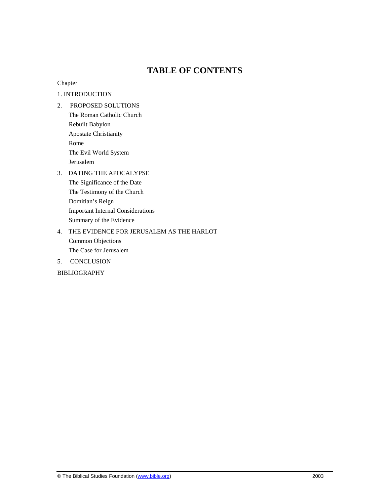# **TABLE OF CONTENTS**

## Chapter

## 1. INTRODUCTION

- 2. PROPOSED SOLUTIONS The Roman Catholic Church Rebuilt Babylon Apostate Christianity Rome The Evil World System Jerusalem
- 3. DATING THE APOCALYPSE The Significance of the Date The Testimony of the Church Domitian's Reign Important Internal Considerations Summary of the Evidence

# 4. THE EVIDENCE FOR JERUSALEM AS THE HARLOT Common Objections

- The Case for Jerusalem
- 5. CONCLUSION

BIBLIOGRAPHY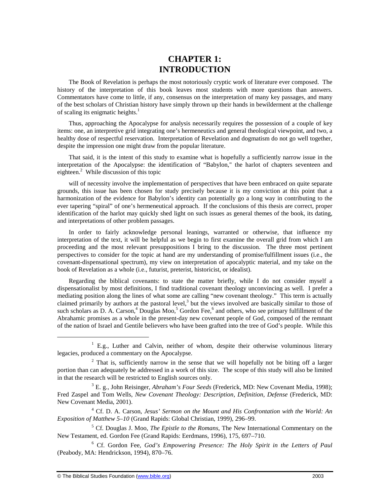# **CHAPTER 1: INTRODUCTION**

The Book of Revelation is perhaps the most notoriously cryptic work of literature ever composed. The history of the interpretation of this book leaves most students with more questions than answers. Commentators have come to little, if any, consensus on the interpretation of many key passages, and many of the best scholars of Christian history have simply thrown up their hands in bewilderment at the challenge of scaling its enigmatic heights. $<sup>1</sup>$ </sup>

Thus, approaching the Apocalypse for analysis necessarily requires the possession of a couple of key items: one, an interpretive grid integrating one's hermeneutics and general theological viewpoint, and two, a healthy dose of respectful reservation. Interpretation of Revelation and dogmatism do not go well together, despite the impression one might draw from the popular literature.

That said, it is the intent of this study to examine what is hopefully a sufficiently narrow issue in the interpretation of the Apocalypse: the identification of "Babylon," the harlot of chapters seventeen and eighteen.<sup>2</sup> While discussion of this topic

will of necessity involve the implementation of perspectives that have been embraced on quite separate grounds, this issue has been chosen for study precisely because it is my conviction at this point that a harmonization of the evidence for Babylon's identity can potentially go a long way in contributing to the ever tapering "spiral" of one's hermeneutical approach. If the conclusions of this thesis are correct, proper identification of the harlot may quickly shed light on such issues as general themes of the book, its dating, and interpretations of other problem passages.

In order to fairly acknowledge personal leanings, warranted or otherwise, that influence my interpretation of the text, it will be helpful as we begin to first examine the overall grid from which I am proceeding and the most relevant presuppositions I bring to the discussion. The three most pertinent perspectives to consider for the topic at hand are my understanding of promise/fulfillment issues (i.e., the covenant-dispensational spectrum), my view on interpretation of apocalyptic material, and my take on the book of Revelation as a whole (i.e., futurist, preterist, historicist, or idealist).

Regarding the biblical covenants: to state the matter briefly, while I do not consider myself a dispensationalist by most definitions, I find traditional covenant theology unconvincing as well. I prefer a mediating position along the lines of what some are calling "new covenant theology." This term is actually claimed primarily by authors at the pastoral level,<sup>3</sup> but the views involved are basically similar to those of such scholars as D. A. Carson,<sup>4</sup> Douglas Moo,<sup>5</sup> Gordon Fee,<sup>6</sup> and others, who see primary fulfillment of the Abrahamic promises as a whole in the present-day new covenant people of God, composed of the remnant of the nation of Israel and Gentile believers who have been grafted into the tree of God's people. While this

-

<sup>&</sup>lt;sup>1</sup> E.g., Luther and Calvin, neither of whom, despite their otherwise voluminous literary legacies, produced a commentary on the Apocalypse.

 $2$  That is, sufficiently narrow in the sense that we will hopefully not be biting off a larger portion than can adequately be addressed in a work of this size. The scope of this study will also be limited in that the research will be restricted to English sources only.

<sup>3</sup> E. g., John Reisinger, *Abraham's Four Seeds* (Frederick, MD: New Covenant Media, 1998); Fred Zaspel and Tom Wells, *New Covenant Theology: Description, Definition, Defense* (Frederick, MD: New Covenant Media, 2001).

<sup>&</sup>lt;sup>4</sup> Cf. D. A. Carson, *Jesus' Sermon on the Mount and His Confrontation with the World: An Exposition of Matthew 5*–*10* (Grand Rapids: Global Christian, 1999), 296–99.

<sup>5</sup> Cf. Douglas J. Moo, *The Epistle to the Romans*, The New International Commentary on the New Testament, ed. Gordon Fee (Grand Rapids: Eerdmans, 1996), 175, 697–710.

<sup>6</sup> Cf. Gordon Fee, *God's Empowering Presence: The Holy Spirit in the Letters of Paul* (Peabody, MA: Hendrickson, 1994), 870–76.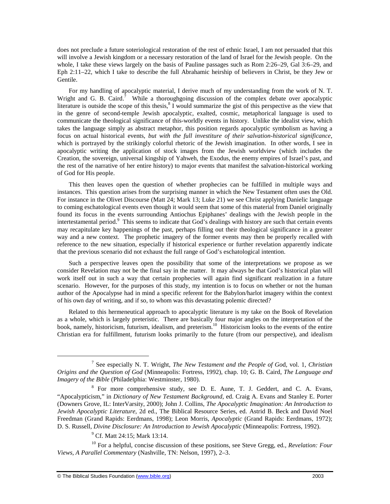does not preclude a future soteriological restoration of the rest of ethnic Israel, I am not persuaded that this will involve a Jewish kingdom or a necessary restoration of the land of Israel for the Jewish people. On the whole, I take these views largely on the basis of Pauline passages such as Rom 2:26–29, Gal 3:6–29, and Eph 2:11–22, which I take to describe the full Abrahamic heirship of believers in Christ, be they Jew or Gentile.

For my handling of apocalyptic material, I derive much of my understanding from the work of N. T. Wright and G. B. Caird. $7$  While a thoroughgoing discussion of the complex debate over apocalyptic literature is outside the scope of this thesis,  $8$  I would summarize the gist of this perspective as the view that in the genre of second-temple Jewish apocalyptic, exalted, cosmic, metaphorical language is used to communicate the theological significance of this-worldly events in history. Unlike the idealist view, which takes the language simply as abstract metaphor, this position regards apocalyptic symbolism as having a focus on actual historical events, *but with the full investiture of their salvation-historical significance*, which is portrayed by the strikingly colorful rhetoric of the Jewish imagination. In other words, I see in apocalyptic writing the application of stock images from the Jewish worldview (which includes the Creation, the sovereign, universal kingship of Yahweh, the Exodus, the enemy empires of Israel's past, and the rest of the narrative of her entire history) to major events that manifest the salvation-historical working of God for His people.

This then leaves open the question of whether prophecies can be fulfilled in multiple ways and instances. This question arises from the surprising manner in which the New Testament often uses the Old. For instance in the Olivet Discourse (Matt 24; Mark 13; Luke 21) we see Christ applying Danielic language to coming eschatological events even though it would seem that some of this material from Daniel originally found its focus in the events surrounding Antiochus Epiphanes' dealings with the Jewish people in the intertestamental period.<sup>9</sup> This seems to indicate that God's dealings with history are such that certain events may recapitulate key happenings of the past, perhaps filling out their theological significance in a greater way and a new context. The prophetic imagery of the former events may then be properly recalled with reference to the new situation, especially if historical experience or further revelation apparently indicate that the previous scenario did not exhaust the full range of God's eschatological intention.

Such a perspective leaves open the possibility that some of the interpretations we propose as we consider Revelation may not be the final say in the matter. It may always be that God's historical plan will work itself out in such a way that certain prophecies will again find significant realization in a future scenario. However, for the purposes of this study, my intention is to focus on whether or not the human author of the Apocalypse had in mind a specific referent for the Babylon/harlot imagery within the context of his own day of writing, and if so, to whom was this devastating polemic directed?

Related to this hermeneutical approach to apocalyptic literature is my take on the Book of Revelation as a whole, which is largely preteristic. There are basically four major angles on the interpretation of the book, namely, historicism, futurism, idealism, and preterism.<sup>10</sup> Historicism looks to the events of the entire Christian era for fulfillment, futurism looks primarily to the future (from our perspective), and idealism

<sup>7</sup> See especially N. T. Wright, *The New Testament and the People of Go*d*,* vol. 1, *Christian Origins and the Question of God* (Minneapolis: Fortress, 1992), chap. 10; G. B. Caird, *The Language and Imagery of the Bible* (Philadelphia: Westminster, 1980).

<sup>&</sup>lt;sup>8</sup> For more comprehensive study, see D. E. Aune, T. J. Geddert, and C. A. Evans, "Apocalypticism," in *Dictionary of New Testament Background*, ed. Craig A. Evans and Stanley E. Porter (Downers Grove, IL: InterVarsity, 2000); John J. Collins, *The Apocalyptic Imagination: An Introduction to Jewish Apocalyptic Literature*, 2d ed., The Biblical Resource Series, ed. Astrid B. Beck and David Noel Freedman (Grand Rapids: Eerdmans, 1998); Leon Morris, *Apocalyptic* (Grand Rapids: Eerdmans, 1972); D. S. Russell*, Divine Disclosure: An Introduction to Jewish Apocalyptic* (Minneapolis: Fortress, 1992).

<sup>&</sup>lt;sup>9</sup> Cf. Matt 24:15; Mark 13:14.

<sup>10</sup> For a helpful, concise discussion of these positions, see Steve Gregg, ed*., Revelation: Four Views, A Parallel Commentary* (Nashville, TN: Nelson, 1997), 2–3.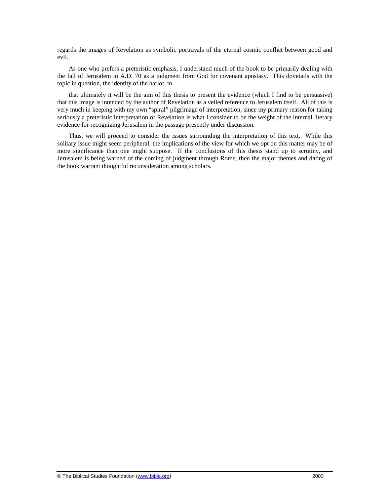regards the images of Revelation as symbolic portrayals of the eternal cosmic conflict between good and evil.

As one who prefers a preteristic emphasis, I understand much of the book to be primarily dealing with the fall of Jerusalem in A.D. 70 as a judgment from God for covenant apostasy. This dovetails with the topic in question, the identity of the harlot, in

that ultimately it will be the aim of this thesis to present the evidence (which I find to be persuasive) that this image is intended by the author of Revelation as a veiled reference to Jerusalem itself. All of this is very much in keeping with my own "spiral" pilgrimage of interpretation, since my primary reason for taking seriously a preteristic interpretation of Revelation is what I consider to be the weight of the internal literary evidence for recognizing Jerusalem in the passage presently under discussion.

Thus, we will proceed to consider the issues surrounding the interpretation of this text. While this solitary issue might seem peripheral, the implications of the view for which we opt on this matter may be of more significance than one might suppose. If the conclusions of this thesis stand up to scrutiny, and Jerusalem is being warned of the coming of judgment through Rome, then the major themes and dating of the book warrant thoughtful reconsideration among scholars.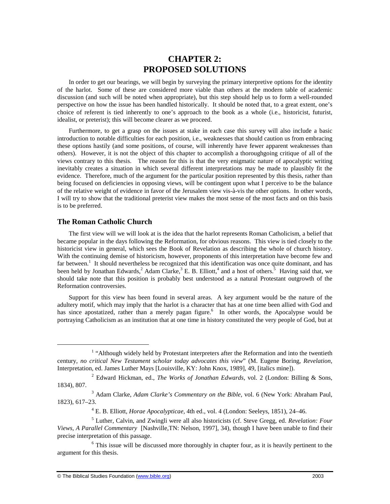# **CHAPTER 2: PROPOSED SOLUTIONS**

In order to get our bearings, we will begin by surveying the primary interpretive options for the identity of the harlot. Some of these are considered more viable than others at the modern table of academic discussion (and such will be noted when appropriate), but this step should help us to form a well-rounded perspective on how the issue has been handled historically. It should be noted that, to a great extent, one's choice of referent is tied inherently to one's approach to the book as a whole (i.e., historicist, futurist, idealist, or preterist); this will become clearer as we proceed.

Furthermore, to get a grasp on the issues at stake in each case this survey will also include a basic introduction to notable difficulties for each position, i.e., weaknesses that should caution us from embracing these options hastily (and some positions, of course, will inherently have fewer apparent weaknesses than others). However, it is not the object of this chapter to accomplish a thoroughgoing critique of all of the views contrary to this thesis. The reason for this is that the very enigmatic nature of apocalyptic writing inevitably creates a situation in which several different interpretations may be made to plausibly fit the evidence. Therefore, much of the argument for the particular position represented by this thesis, rather than being focused on deficiencies in opposing views, will be contingent upon what I perceive to be the balance of the relative weight of evidence in favor of the Jerusalem view vis-à-vis the other options. In other words, I will try to show that the traditional preterist view makes the most sense of the most facts and on this basis is to be preferred.

## **The Roman Catholic Church**

1

The first view will we will look at is the idea that the harlot represents Roman Catholicism, a belief that became popular in the days following the Reformation, for obvious reasons. This view is tied closely to the historicist view in general, which sees the Book of Revelation as describing the whole of church history. With the continuing demise of historicism, however, proponents of this interpretation have become few and far between.<sup>1</sup> It should nevertheless be recognized that this identification was once quite dominant, and has been held by Jonathan Edwards,  $2$  Adam Clarke,  $3$  E. B. Elliott,  $4$  and a host of others.  $\frac{3}{5}$  Having said that, we should take note that this position is probably best understood as a natural Protestant outgrowth of the Reformation controversies.

Support for this view has been found in several areas. A key argument would be the nature of the adultery motif, which may imply that the harlot is a character that has at one time been allied with God and has since apostatized, rather than a merely pagan figure.<sup>6</sup> In other words, the Apocalypse would be portraying Catholicism as an institution that at one time in history constituted the very people of God, but at

<sup>&</sup>lt;sup>1</sup> "Although widely held by Protestant interpreters after the Reformation and into the twentieth century*, no critical New Testament scholar today advocates this view*" (M. Eugene Boring, *Revelation,*  Interpretation, ed. James Luther Mays [Louisville, KY: John Knox, 1989], 49, [italics mine]).

<sup>2</sup> Edward Hickman, ed., *The Works of Jonathan Edwards*, vol. 2 (London: Billing & Sons, 1834), 807.

<sup>3</sup> Adam Clarke, *Adam Clarke's Commentary on the Bible,* vol. 6 (New York: Abraham Paul, 1823), 617–23.

<sup>4</sup> E. B. Elliott, *Horae Apocalypticae,* 4th ed., vol. 4 (London: Seeleys, 1851), 24–46.

<sup>5</sup> Luther, Calvin, and Zwingli were all also historicists (cf. Steve Gregg, ed. *Revelation: Four Views, A Parallel Commentary* [Nashville,TN: Nelson, 1997], 34), though I have been unable to find their precise interpretation of this passage.

<sup>&</sup>lt;sup>6</sup> This issue will be discussed more thoroughly in chapter four, as it is heavily pertinent to the argument for this thesis.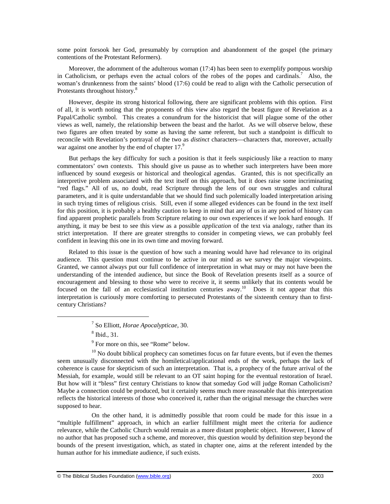some point forsook her God, presumably by corruption and abandonment of the gospel (the primary contentions of the Protestant Reformers).

Moreover, the adornment of the adulterous woman (17:4) has been seen to exemplify pompous worship in Catholicism, or perhaps even the actual colors of the robes of the popes and cardinals.<sup>7</sup> Also, the woman's drunkenness from the saints' blood (17:6) could be read to align with the Catholic persecution of Protestants throughout history.<sup>8</sup>

However, despite its strong historical following, there are significant problems with this option. First of all, it is worth noting that the proponents of this view also regard the beast figure of Revelation as a Papal/Catholic symbol. This creates a conundrum for the historicist that will plague some of the other views as well, namely, the relationship between the beast and the harlot. As we will observe below, these two figures are often treated by some as having the same referent, but such a standpoint is difficult to reconcile with Revelation's portrayal of the two as *distinct* characters—characters that, moreover, actually war against one another by the end of chapter 17.<sup>9</sup>

But perhaps the key difficulty for such a position is that it feels suspiciously like a reaction to many commentators' own contexts. This should give us pause as to whether such interpreters have been more influenced by sound exegesis or historical and theological agendas. Granted, this is not specifically an interpretive problem associated with the text itself on this approach, but it does raise some incriminating "red flags." All of us, no doubt, read Scripture through the lens of our own struggles and cultural parameters, and it is quite understandable that we should find such polemically loaded interpretation arising in such trying times of religious crisis. Still, even if some alleged evidences can be found in the text itself for this position, it is probably a healthy caution to keep in mind that any of us in any period of history can find apparent prophetic parallels from Scripture relating to our own experiences if we look hard enough. If anything, it may be best to see this view as a possible *application* of the text via analogy, rather than its strict interpretation. If there are greater strengths to consider in competing views, we can probably feel confident in leaving this one in its own time and moving forward.

Related to this issue is the question of how such a meaning would have had relevance to its original audience. This question must continue to be active in our mind as we survey the major viewpoints. Granted, we cannot always put our full confidence of interpretation in what may or may not have been the understanding of the intended audience, but since the Book of Revelation presents itself as a source of encouragement and blessing to those who were to receive it, it seems unlikely that its contents would be focused on the fall of an ecclesiastical institution centuries away.<sup>10</sup> Does it not appear that this interpretation is curiously more comforting to persecuted Protestants of the sixteenth century than to firstcentury Christians?

8 Ibid., 31.

 $\overline{a}$ 

<sup>9</sup> For more on this, see "Rome" below.

 $10$  No doubt biblical prophecy can sometimes focus on far future events, but if even the themes seem unusually disconnected with the homiletical/applicational ends of the work, perhaps the lack of coherence is cause for skepticism of such an interpretation. That is, a prophecy of the future arrival of the Messiah, for example, would still be relevant to an OT saint hoping for the eventual restoration of Israel. But how will it "bless" first century Christians to know that someday God will judge Roman Catholicism? Maybe a connection could be produced, but it certainly seems much more reasonable that this interpretation reflects the historical interests of those who conceived it, rather than the original message the churches were supposed to hear.

On the other hand, it is admittedly possible that room could be made for this issue in a "multiple fulfillment" approach, in which an earlier fulfillment might meet the criteria for audience relevance, while the Catholic Church would remain as a more distant prophetic object. However, I know of no author that has proposed such a scheme, and moreover, this question would by definition step beyond the bounds of the present investigation, which, as stated in chapter one, aims at the referent intended by the human author for his immediate audience, if such exists.

<sup>7</sup> So Elliott, *Horae Apocalypticae*, 30.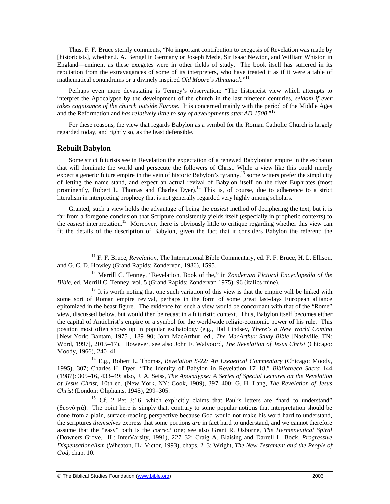Thus, F. F. Bruce sternly comments, "No important contribution to exegesis of Revelation was made by [historicists], whether J. A. Bengel in Germany or Joseph Mede, Sir Isaac Newton, and William Whiston in England—eminent as these exegetes were in other fields of study. The book itself has suffered in its reputation from the extravagances of some of its interpreters, who have treated it as if it were a table of mathematical conundrums or a divinely inspired *Old Moore's Almanack*."<sup>11</sup>

Perhaps even more devastating is Tenney's observation: "The historicist view which attempts to interpret the Apocalypse by the development of the church in the last nineteen centuries, *seldom if ever takes cognizance of the church outside Europe*. It is concerned mainly with the period of the Middle Ages and the Reformation and *has relatively little to say of developments after AD 1500*."<sup>12</sup>

For these reasons, the view that regards Babylon as a symbol for the Roman Catholic Church is largely regarded today, and rightly so, as the least defensible.

## **Rebuilt Babylon**

-

Some strict futurists see in Revelation the expectation of a renewed Babylonian empire in the eschaton that will dominate the world and persecute the followers of Christ. While a view like this could merely expect a generic future empire in the vein of historic Babylon's tyranny,<sup>13</sup> some writers prefer the simplicity of letting the name stand, and expect an actual revival of Babylon itself on the river Euphrates (most prominently, Robert L. Thomas and Charles Dyer).<sup>14</sup> This is, of course, due to adherence to a strict literalism in interpreting prophecy that is not generally regarded very highly among scholars.

Granted, such a view holds the advantage of being the *easiest* method of deciphering the text, but it is far from a foregone conclusion that Scripture consistently yields itself (especially in prophetic contexts) to the *easiest* interpretation.<sup>15</sup> Moreover, there is obviously little to critique regarding whether this view can fit the details of the description of Babylon, given the fact that it considers Babylon the referent; the

 $13$  It is worth noting that one such variation of this view is that the empire will be linked with some sort of Roman empire revival, perhaps in the form of some great last-days European alliance epitomized in the beast figure. The evidence for such a view would be concordant with that of the "Rome" view, discussed below, but would then be recast in a futuristic context. Thus, Babylon itself becomes either the capital of Antichrist's empire or a symbol for the worldwide religio-economic power of his rule. This position most often shows up in popular eschatology (e.g., Hal Lindsey, *There's a New World Coming* [New York: Bantam, 1975], 189–90; John MacArthur, ed., *The MacArthur Study Bible* [Nashville, TN: Word, 1997], 2015–17). However, see also John F. Walvoord, *The Revelation of Jesus Christ* (Chicago: Moody, 1966), 240–41.

<sup>14</sup> E.g., Robert L. Thomas, *Revelation 8-22: An Exegetical Commentary* (Chicago: Moody, 1995), 307; Charles H. Dyer, "The Identity of Babylon in Revelation 17–18," *Bibliotheca Sacra* 144 (1987): 305–16, 433–49; also, J. A. Seiss, *The Apocalypse: A Series of Special Lectures on the Revelation of Jesus Christ*, 10th ed. (New York, NY: Cook, 1909), 397–400; G. H. Lang, *The Revelation of Jesus Christ* (London: Oliphants, 1945), 299–305.

<sup>15</sup> Cf. 2 Pet 3:16, which explicitly claims that Paul's letters are "hard to understand" (δυσνόητά). The point here is simply that, contrary to some popular notions that interpretation should be done from a plain, surface-reading perspective because God would not make his word hard to understand, the scriptures *themselves* express that some portions *are* in fact hard to understand, and we cannot therefore assume that the "easy" path is the *correct* one; see also Grant R. Osborne, *The Hermeneutical Spiral* (Downers Grove, IL: InterVarsity, 1991), 227–32; Craig A. Blaising and Darrell L. Bock, *Progressive Dispensationalism* (Wheaton, IL: Victor, 1993), chaps. 2–3; Wright, *The New Testament and the People of God*, chap. 10.

<sup>11</sup> F. F. Bruce, *Revelation*, The International Bible Commentary, ed. F. F. Bruce, H. L. Ellison, and G. C. D. Howley (Grand Rapids: Zondervan, 1986), 1595.

<sup>12</sup> Merrill C. Tenney, "Revelation, Book of the," in *Zondervan Pictoral Encyclopedia of the Bible*, ed. Merrill C. Tenney, vol. 5 (Grand Rapids: Zondervan 1975), 96 (italics mine).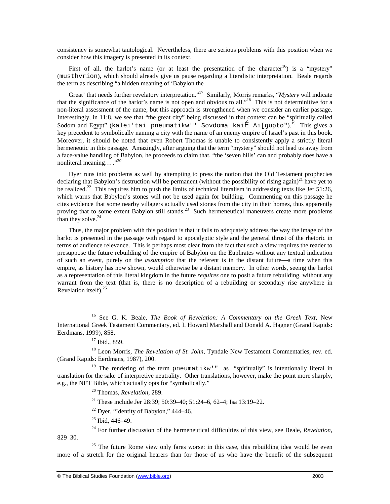consistency is somewhat tautological. Nevertheless, there are serious problems with this position when we consider how this imagery is presented in its context.

First of all, the harlot's name (or at least the presentation of the character<sup>16</sup>) is a "mystery" (musthvrion), which should already give us pause regarding a literalistic interpretation. Beale regards the term as describing "a hidden meaning of 'Babylon the

Great' that needs further revelatory interpretation."<sup>17</sup> Similarly, Morris remarks, "*Mystery* will indicate that the significance of the harlot's name is not open and obvious to all."<sup>18</sup> This is not determinitive for a non-literal assessment of the name, but this approach is strengthened when we consider an earlier passage. Interestingly, in 11:8, we see that "the great city" being discussed in that context can be "spiritually called Sodom and Egypt" (kalei'tai pneumatikw'" Sovdoma kaiÉ Ai[gupto").<sup>19</sup> This gives a key precedent to symbolically naming a city with the name of an enemy empire of Israel's past in this book. Moreover, it should be noted that even Robert Thomas is unable to consistently apply a strictly literal hermeneutic in this passage. Amazingly, after arguing that the term "mystery" should not lead us away from a face-value handling of Babylon, he proceeds to claim that, "the 'seven hills' can and probably does have a nonliteral meaning...<sup>"</sup>.<sup>20</sup>

Dyer runs into problems as well by attempting to press the notion that the Old Testament prophecies declaring that Babylon's destruction will be permanent (without the possibility of rising again)<sup>21</sup> have yet to be realized.<sup>22</sup> This requires him to push the limits of technical literalism in addressing texts like Jer 51:26, which warns that Babylon's stones will not be used again for building. Commenting on this passage he cites evidence that some nearby villagers actually used stones from the city in their homes, thus apparently proving that to some extent Babylon still stands.<sup>23</sup> Such hermeneutical maneuvers create more problems than they solve.<sup>24</sup>

Thus, the major problem with this position is that it fails to adequately address the way the image of the harlot is presented in the passage with regard to apocalyptic style and the general thrust of the rhetoric in terms of audience relevance. This is perhaps most clear from the fact that such a view requires the reader to presuppose the future rebuilding of the empire of Babylon on the Euphrates without any textual indication of such an event, purely on the *assumption* that the referent is in the distant future—a time when this empire, as history has now shown, would otherwise be a distant memory. In other words, seeing the harlot as a representation of this literal kingdom in the future *requires* one to posit a future rebuilding, without any warrant from the text (that is, there is no description of a rebuilding or secondary rise anywhere in Revelation itself). $25$ 

-

<sup>21</sup> These include Jer 28:39; 50:39–40; 51:24–6, 62–4; Isa 13:19–22.

- $22$  Dyer, "Identity of Babylon," 444–46.
- <sup>23</sup> Ibid, 446–49.

 $25$  The future Rome view only fares worse: in this case, this rebuilding idea would be even more of a stretch for the original hearers than for those of us who have the benefit of the subsequent

<sup>16</sup> See G. K. Beale, *The Book of Revelation: A Commentary on the Greek Text*, New International Greek Testament Commentary, ed. I. Howard Marshall and Donald A. Hagner (Grand Rapids: Eerdmans, 1999), 858.

<sup>&</sup>lt;sup>17</sup> Ibid., 859.

<sup>&</sup>lt;sup>18</sup> Leon Morris, *The Revelation of St. John*, Tyndale New Testament Commentaries, rev. ed. (Grand Rapids: Eerdmans, 1987), 200.

<sup>&</sup>lt;sup>19</sup> The rendering of the term pneumatikw'" as "spiritually" is intentionally literal in translation for the sake of interpretive neutrality. Other translations, however, make the point more sharply, e.g., the NET Bible, which actually opts for "symbolically."

<sup>20</sup> Thomas, *Revelation*, 289.

<sup>24</sup> For further discussion of the hermeneutical difficulties of this view, see Beale, *Revelation*, 829–30.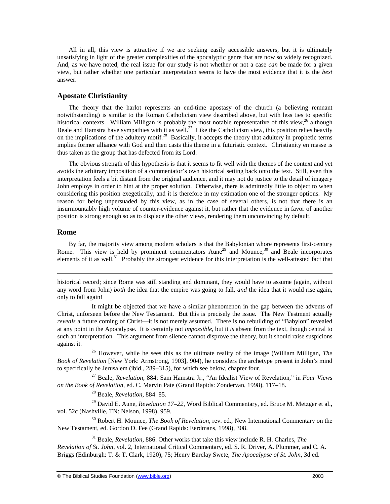All in all, this view is attractive if we are seeking easily accessible answers, but it is ultimately unsatisfying in light of the greater complexities of the apocalyptic genre that are now so widely recognized. And, as we have noted, the real issue for our study is not whether or not a case *can* be made for a given view, but rather whether one particular interpretation seems to have the most evidence that it is the *best* answer.

## **Apostate Christianity**

The theory that the harlot represents an end-time apostasy of the church (a believing remnant notwithstanding) is similar to the Roman Catholicism view described above, but with less ties to specific historical contexts. William Milligan is probably the most notable representative of this view,  $^{26}$  although Beale and Hamstra have sympathies with it as well.<sup>27</sup> Like the Catholicism view, this position relies heavily on the implications of the adultery motif.<sup>28</sup> Basically, it accepts the theory that adultery in prophetic terms implies former alliance with God and then casts this theme in a futuristic context. Christianity en masse is thus taken as the group that has defected from its Lord.

The obvious strength of this hypothesis is that it seems to fit well with the themes of the context and yet avoids the arbitrary imposition of a commentator's own historical setting back onto the text. Still, even this interpretation feels a bit distant from the original audience, and it may not do justice to the detail of imagery John employs in order to hint at the proper solution. Otherwise, there is admittedly little to object to when considering this position exegetically, and it is therefore in my estimation one of the stronger options. My reason for being unpersuaded by this view, as in the case of several others, is not that there is an insurmountably high volume of counter-evidence against it, but rather that the evidence in favor of another position is strong enough so as to displace the other views, rendering them unconvincing by default.

### **Rome**

1

By far, the majority view among modern scholars is that the Babylonian whore represents first-century Rome. This view is held by prominent commentators Aune<sup>29</sup> and Mounce,<sup>30</sup> and Beale incorporates elements of it as well.<sup>31</sup> Probably the strongest evidence for this interpretation is the well-attested fact that

historical record; since Rome was still standing and dominant, they would have to assume (again, without any word from John) *both* the idea that the empire was going to fall, *and* the idea that it would rise again, only to fall again!

It might be objected that we have a similar phenomenon in the gap between the advents of Christ, unforseen before the New Testament. But this is precisely the issue. The New Testment actually *reveals* a future coming of Christ—it is not merely assumed. There is no rebuilding of "Babylon" revealed at any point in the Apocalypse. It is certainly not *impossible*, but it *is* absent from the text, though central to such an interpretation. This argument from silence cannot disprove the theory, but it should raise suspicions against it.

<sup>26</sup> However, while he sees this as the ultimate reality of the image (William Milligan, *The Book of Revelation* [New York: Armstrong, 1903], 904), he considers the archetype present in John's mind to specifically be Jerusalem (ibid., 289–315), for which see below, chapter four.

<sup>27</sup> Beale, *Revelation*, 884; Sam Hamstra Jr., "An Idealist View of Revelation," in *Four Views on the Book of Revelation*, ed. C. Marvin Pate (Grand Rapids: Zondervan, 1998), 117–18.

<sup>28</sup> Beale, *Revelation*, 884–85.

<sup>29</sup> David E. Aune, *Revelation 17–22*, Word Biblical Commentary, ed. Bruce M. Metzger et al., vol. 52c (Nashville, TN: Nelson, 1998), 959.

<sup>30</sup> Robert H. Mounce, *The Book of Revelation*, rev. ed., New International Commentary on the New Testament, ed. Gordon D. Fee (Grand Rapids: Eerdmans, 1998), 308.

<sup>31</sup> Beale, *Revelation*, 886. Other works that take this view include R. H. Charles, *The Revelation of St. John*, vol. 2, International Critical Commentary, ed. S. R. Driver, A. Plummer, and C. A. Briggs (Edinburgh: T. & T. Clark, 1920), 75; Henry Barclay Swete, *The Apocalypse of St. John,* 3d ed.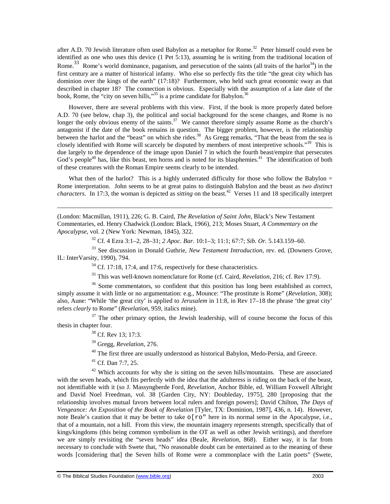after A.D. 70 Jewish literature often used Babylon as a metaphor for Rome.<sup>32</sup> Peter himself could even be identified as one who uses this device (1 Pet 5:13), assuming he is writing from the traditional location of Rome.<sup>33</sup> Rome's world dominance, paganism, and persecution of the saints (all traits of the harlot<sup>34</sup>) in the first century are a matter of historical infamy. Who else so perfectly fits the title "the great city which has dominion over the kings of the earth" (17:18)? Furthermore, who held such great economic sway as that described in chapter 18? The connection is obvious. Especially with the assumption of a late date of the book, Rome, the "city on seven hills,"<sup>35</sup> is a prime candidate for Babylon.<sup>36</sup>

However, there are several problems with this view. First, if the book is more properly dated before A.D. 70 (see below, chap 3), the political and social background for the scene changes, and Rome is no longer the only obvious enemy of the saints.<sup>37</sup> We cannot therefore simply assume Rome as the church's antagonist if the date of the book remains in question. The bigger problem, however, is the relationship between the harlot and the "beast" on which she rides.<sup>38</sup> As Gregg remarks, "That the beast from the sea is closely identified with Rome will scarcely be disputed by members of most interpretive schools."<sup>39</sup> This is due largely to the dependence of the image upon Daniel 7 in which the fourth beast/empire that persecutes God's people<sup>40</sup> has, like this beast, ten horns and is noted for its blasphemies.<sup>41</sup> The identification of both of these creatures with the Roman Empire seems clearly to be intended.

What then of the harlot? This is a highly underrated difficulty for those who follow the Babylon  $=$ Rome interpretation. John seems to be at great pains to distinguish Babylon and the beast as *two distinct characters*. In 17:3, the woman is depicted as *sitting* on the beast.<sup>42</sup> Verses 11 and 18 specifically interpret

(London: Macmillan, 1911), 226; G. B. Caird, *The Revelation of Saint John*, Black's New Testament Commentaries, ed. Henry Chadwick (London: Black, 1966), 213; Moses Stuart, *A Commentary on the Apocalypse*, vol. 2 (New York: Newman, 1845), 322.

<sup>32</sup> Cf. 4 Ezra 3:1–2, 28–31; *2 Apoc. Bar.* 10:1–3; 11:1; 67:7; *Sib. Or.* 5.143.159–60.

<sup>33</sup> See discussion in Donald Guthrie, *New Testament Introduction*, rev. ed. (Downers Grove, IL: InterVarsity, 1990), 794.

<sup>34</sup> Cf. 17:18, 17:4, and 17:6, respectively for these characteristics.

<sup>35</sup> This was well-known nomenclature for Rome (cf. Caird, *Revelation*, 216; cf. Rev 17:9).

<sup>36</sup> Some commentators, so confident that this position has long been established as correct, simply assume it with little or no argumentation: e.g., Mounce: "The prostitute is Rome" (*Revelation*, 308); also, Aune: "While 'the great city' is applied to *Jerusalem* in 11:8, in Rev 17–18 the phrase 'the great city' refers *clearly* to Rome" (*Revelation*, 959, italics mine).

 $37$  The other primary option, the Jewish leadership, will of course become the focus of this thesis in chapter four.

<sup>38</sup> Cf. Rev 13; 17:3.

1

<sup>39</sup> Gregg, *Revelation*, 276.

<sup>40</sup> The first three are usually understood as historical Babylon, Medo-Persia, and Greece.

<sup>41</sup> Cf. Dan 7:7, 25.

 $42$  Which accounts for why she is sitting on the seven hills/mountains. These are associated with the seven heads, which fits perfectly with the idea that the adulteress is riding on the back of the beast, not identifiable with it (so J. Massyngberde Ford, *Revelation*, Anchor Bible, ed. William Foxwell Albright and David Noel Freedman, vol. 38 [Garden City, NY: Doubleday, 1975], 280 [proposing that the relationship involves mutual favors between local rulers and foreign powers]; David Chilton, *The Days of Vengeance: An Exposition of the Book of Revelation* [Tyler, TX: Dominion, 1987], 436, n. 14). However, note Beale's caution that it may be better to take  $\circ$  [ $r \circ$ " here in its normal sense in the Apocalypse, i.e., that of a mountain, not a hill. From this view, the mountain imagery represents strength, specifically that of kings/kingdoms (this being common symbolism in the OT as well as other Jewish writings), and therefore we are simply revisiting the "seven heads" idea (Beale, *Revelation*, 868). Either way, it is far from necessary to conclude with Swete that, "No reasonable doubt can be entertained as to the meaning of these words [considering that] the Seven hills of Rome were a commonplace with the Latin poets" (Swete,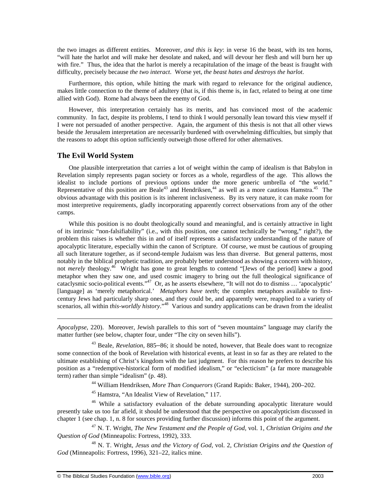the two images as different entities. Moreover, *and this is key*: in verse 16 the beast, with its ten horns, "will hate the harlot and will make her desolate and naked, and will devour her flesh and will burn her up with fire." Thus, the idea that the harlot is merely a recapitulation of the image of the beast is fraught with difficulty, precisely because *the two interact*. Worse yet*, the beast hates and destroys the harlot*.

Furthermore, this option, while hitting the mark with regard to relevance for the original audience, makes little connection to the theme of adultery (that is, if this theme is, in fact, related to being at one time allied with God). Rome had always been the enemy of God.

However, this interpretation certainly has its merits, and has convinced most of the academic community. In fact, despite its problems, I tend to think I would personally lean toward this view myself if I were not persuaded of another perspective. Again, the argument of this thesis is not that all other views beside the Jerusalem interpretation are necessarily burdened with overwhelming difficulties, but simply that the reasons to adopt this option sufficiently outweigh those offered for other alternatives.

## **The Evil World System**

-

One plausible interpretation that carries a lot of weight within the camp of idealism is that Babylon in Revelation simply represents pagan society or forces as a whole, regardless of the age. This allows the idealist to include portions of previous options under the more generic umbrella of "the world." Representative of this position are Beale<sup>43</sup> and Hendriksen,<sup>44</sup> as well as a more cautious Hamstra.<sup>45</sup> The obvious advantage with this position is its inherent inclusiveness. By its very nature, it can make room for most interpretive requirements, gladly incorporating apparently correct observations from any of the other camps.

While this position is no doubt theologically sound and meaningful, and is certainly attractive in light of its intrinsic "non-falsifiability" (i.e., with this position, one cannot technically be "wrong," right?), the problem this raises is whether this in and of itself represents a satisfactory understanding of the nature of apocalyptic literature, especially within the canon of Scripture. Of course, we must be cautious of grouping all such literature together, as if second-temple Judaism was less than diverse. But general patterns, most notably in the biblical prophetic tradition, are probably better understood as showing a concern with history, not *merely* theology.<sup>46</sup> Wright has gone to great lengths to contend "[Jews of the period] knew a good metaphor when they saw one, and used cosmic imagery to bring out the full theological significance of cataclysmic socio-political events."<sup>47</sup> Or, as he asserts elsewhere, "It will not do to dismiss … 'apocalyptic' [language] as 'merely metaphorical.' *Metaphors have teeth*; the complex metaphors available to firstcentury Jews had particularly sharp ones, and they could be, and apparently were, reapplied to a variety of scenarios, all within *this-worldly history*.<sup>"48</sup> Various and sundry applications can be drawn from the idealist

*Apocalypse*, 220). Moreover, Jewish parallels to this sort of "seven mountains" language may clarify the matter further (see below, chapter four, under "The city on seven hills").

<sup>43</sup> Beale, *Revelation*, 885–86; it should be noted, however, that Beale does want to recognize some connection of the book of Revelation with historical events, at least in so far as they are related to the ultimate establishing of Christ's kingdom with the last judgment. For this reason he prefers to describe his position as a "redemptive-historical form of modified idealism," or "eclecticism" (a far more manageable term) rather than simple "idealism" (p. 48).

<sup>44</sup> William Hendriksen, *More Than Conquerors* (Grand Rapids: Baker, 1944), 200–202.

<sup>45</sup> Hamstra, "An Idealist View of Revelation," 117.

<sup>46</sup> While a satisfactory evaluation of the debate surrounding apocalyptic literature would presently take us too far afield, it should be understood that the perspective on apocalypticism discussed in chapter 1 (see chap. 1, n. 8 for sources providing further discussion) informs this point of the argument.

<sup>47</sup> N. T. Wright, *The New Testament and the People of God,* vol. 1, *Christian Origins and the Question of God* (Minneapolis: Fortress, 1992), 333.

<sup>48</sup> N. T. Wright, *Jesus and the Victory of God*, vol. 2, *Christian Origins and the Question of God* (Minneapolis: Fortress, 1996), 321–22, italics mine.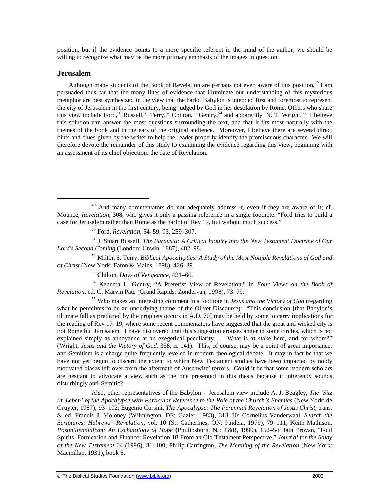position, but if the evidence points to a more specific referent in the mind of the author, we should be willing to recognize what may be the more primary emphasis of the images in question.

## **Jerusalem**

1

Although many students of the Book of Revelation are perhaps not even aware of this position,  $49$  I am persuaded thus far that the many lines of evidence that illuminate our understanding of this mysterious metaphor are best synthesized in the view that the harlot Babylon is intended first and foremost to represent the city of Jerusalem in the first century, being judged by God in her desolation by Rome. Others who share this view include Ford,<sup>50</sup> Russell,<sup>51</sup> Terry,<sup>52</sup> Chilton,<sup>53</sup> Gentry,<sup>54</sup> and apparently, N. T. Wright.<sup>55</sup> I believe this solution can answer the most questions surrounding the text, and that it fits most naturally with the themes of the book and in the ears of the original audience. Moreover, I believe there are several direct hints and clues given by the writer to help the reader properly identify the promiscuous character. We will therefore devote the remainder of this study to examining the evidence regarding this view, beginning with an assessment of its chief objection: the date of Revelation.

<sup>51</sup> J. Stuart Russell, *The Parousia: A Critical Inquiry into the New Testament Doctrine of Our Lord's Second Coming* (London: Unwin, 1887), 482–98.

<sup>52</sup> Milton S. Terry, *Biblical Apocalyptics: A Study of the Most Notable Revelations of God and of Christ* (New York: Eaton & Mains, 1898), 426–39.

<sup>53</sup> Chilton, *Days of Vengeance*, 421–66.

<sup>54</sup> Kenneth L. Gentry, "A Preterist View of Revelation," in *Four Views on the Book of Revelation*, ed. C. Marvin Pate (Grand Rapids: Zondervan, 1998), 73–79.

<sup>55</sup> Who makes an interesting comment in a footnote in *Jesus and the Victory of God* (regarding what he perceives to be an underlying theme of the Olivet Discourse): "This conclusion [that Babylon's ultimate fall as predicted by the prophets occurs in A.D. 70] may be held by some to carry implications for the reading of Rev 17–19, where some recent commentators have suggested that the great and wicked city is not Rome but Jerusalem. I have discovered that this suggestion arouses anger in some circles, which is not explained simply as annoyance at an exegetical peculiarity.... What is at stake here, and for whom?" (Wright, *Jesus and the Victory of God*, 358, n. 141). This, of course, may be a point of great importance: anti-Semitism is a charge quite frequently leveled in modern theological debate. It may in fact be that we have not yet begun to discern the extent to which New Testament studies have been impacted by nobly motivated biases left over from the aftermath of Auschwitz' terrors. Could it be that some modern scholars are hesitant to advocate a view such as the one presented in this thesis because it inherently sounds disturbingly anti-Semitic?

Also, other representatives of the Babylon = Jerusalem view include A. J. Beagley, *The 'Sitz im Leben' of the Apocalypse with Particular Reference to the Role of the Church's Enemies* (New York: de Gruyter, 1987), 93–102; Eugenio Corsini*, The Apocalypse: The Perennial Revelation of Jesus Christ*, trans. & ed. Francis J. Moloney (Wilmington, DE: Gazier, 1983), 313–30; Cornelius Vanderwaal, *Search the Scriptures: Hebrews—Revelation*, vol. 10 (St. Catherines, ON: Paideia, 1979), 79–111; Keith Mathison, *Postmillennialism: An Eschatology of Hope* (Phillipsburg, NJ: P&R, 1999), 152–54; Iain Provan, "Foul Spirits, Fornication and Finance: Revelation 18 From an Old Testament Perspective," *Journal for the Study of the New Testament* 64 (1996), 81–100; Philip Carrington, *The Meaning of the Revelation* (New York: Macmillan, 1931), book 6.

<sup>&</sup>lt;sup>49</sup> And many commentators do not adequately address it, even if they are aware of it; cf. Mounce, *Revelation*, 308, who gives it only a passing reference in a single footnote: "Ford tries to build a case for Jerusalem rather than Rome as the harlot of Rev 17, but without much success."

<sup>50</sup> Ford, *Revelation*, 54–59, 93, 259–307.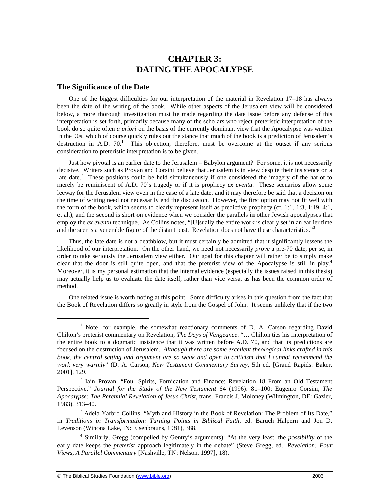# **CHAPTER 3: DATING THE APOCALYPSE**

## **The Significance of the Date**

One of the biggest difficulties for our interpretation of the material in Revelation 17–18 has always been the date of the writing of the book. While other aspects of the Jerusalem view will be considered below, a more thorough investigation must be made regarding the date issue before any defense of this interpretation is set forth, primarily because many of the scholars who reject preteristic interpretation of the book do so quite often *a priori* on the basis of the currently dominant view that the Apocalypse was written in the 90s, which of course quickly rules out the stance that much of the book is a prediction of Jerusalem's destruction in A.D.  $70<sup>1</sup>$ . This objection, therefore, must be overcome at the outset if any serious consideration to preteristic interpretation is to be given.

Just how pivotal is an earlier date to the Jerusalem = Babylon argument? For some, it is not necessarily decisive. Writers such as Provan and Corsini believe that Jerusalem is in view despite their insistence on a late date.<sup>2</sup> These positions could be held simultaneously if one considered the imagery of the harlot to merely be reminiscent of A.D. 70's tragedy or if it is prophecy *ex eventu*. These scenarios allow some leeway for the Jerusalem view even in the case of a late date, and it may therefore be said that a decision on the time of writing need not necessarily end the discussion. However, the first option may not fit well with the form of the book, which seems to clearly represent itself as predictive prophecy (cf. 1:1, 1:3, 1:19, 4:1, et al.), and the second is short on evidence when we consider the parallels in other Jewish apocalypses that employ the *ex eventu* technique. As Collins notes, "[U]sually the entire work is clearly set in an earlier time and the seer is a venerable figure of the distant past. Revelation does not have these characteristics."<sup>3</sup>

Thus, the late date is not a deathblow, but it must certainly be admitted that it significantly lessens the likelihood of our interpretation. On the other hand, we need not necessarily *prove* a pre-70 date, per se, in order to take seriously the Jerusalem view either. Our goal for this chapter will rather be to simply make clear that the door is still quite open, and that the preterist view of the Apocalypse is still in play. 4 Moreover, it is my personal estimation that the internal evidence (especially the issues raised in this thesis) may actually help us to evaluate the date itself, rather than vice versa, as has been the common order of method.

One related issue is worth noting at this point. Some difficulty arises in this question from the fact that the Book of Revelation differs so greatly in style from the Gospel of John. It seems unlikely that if the two

<sup>&</sup>lt;sup>1</sup> Note, for example, the somewhat reactionary comments of D. A. Carson regarding David Chilton's preterist commentary on Revelation, *The Days of Vengeance*: "… Chilton ties his interpretation of the entire book to a dogmatic insistence that it was written before A.D. 70, and that its predictions are focused on the destruction of Jerusalem. *Although there are some excellent theological links crafted in this*  book, the central setting and argument are so weak and open to criticism that I cannot recommend the *work very warmly*" (D. A. Carson, *New Testament Commentary Survey*, 5th ed. [Grand Rapids: Baker, 2001], 129.

<sup>&</sup>lt;sup>2</sup> Iain Provan, "Foul Spirits, Fornication and Finance: Revelation 18 From an Old Testament Perspective," *Journal for the Study of the New Testament* 64 (1996): 81–100; Eugenio Corsini*, The Apocalypse: The Perennial Revelation of Jesus Christ*, trans. Francis J. Moloney (Wilmington, DE: Gazier, 1983), 313–40.

<sup>&</sup>lt;sup>3</sup> Adela Yarbro Collins, "Myth and History in the Book of Revelation: The Problem of Its Date," in *Traditions in Transformation: Turning Points in Biblical Faith*, ed. Baruch Halpern and Jon D. Levenson (Winona Lake, IN: Eisenbrauns, 1981), 388.

<sup>4</sup> Similarly, Gregg (compelled by Gentry's arguments): "At the very least, the *possibility* of the early date keeps the *preterist* approach legitimately in the debate" (Steve Gregg, ed., *Revelation: Four Views, A Parallel Commentary* [Nashville, TN: Nelson, 1997], 18).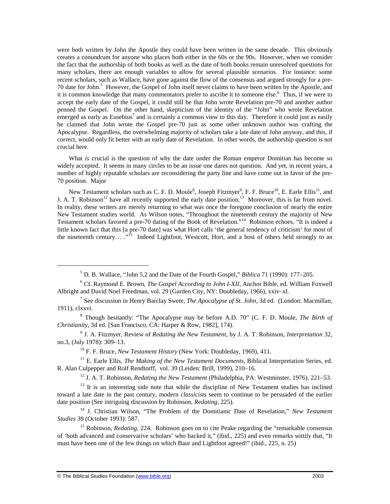were both written by John the Apostle they could have been written in the same decade. This obviously creates a conundrum for anyone who places both either in the 60s or the 90s. However, when we consider the fact that the authorship of both books as well as the date of both books remain unresolved questions for many scholars, there are enough variables to allow for several plausible scenarios. For instance: some recent scholars, such as Wallace, have gone against the flow of the consensus and argued strongly for a pre-70 date for John.<sup>5</sup> However, the Gospel of John itself never claims to have been written by the Apostle, and it is common knowledge that many commentators prefer to ascribe it to someone else.<sup>6</sup> Thus, if we were to accept the early date of the Gospel, it could still be that John wrote Revelation pre-70 and another author penned the Gospel. On the other hand, skepticism of the identity of the "John" who wrote Revelation emerged as early as Eusebius<sup>7</sup> and is certainly a common view to this day. Therefore it could just as easily be claimed that John wrote the Gospel pre-70 just as some other unknown author was crafting the Apocalypse. Regardless, the overwhelming majority of scholars take a late date of John anyway, and this, if correct, would only fit better with an early date of Revelation. In other words, the authorship question is not crucial here.

What *is* crucial is the question of why the date under the Roman emperor Domitian has become so widely accepted. It seems in many circles to be an issue one dares not question. And yet, in recent years, a number of highly reputable scholars are reconsidering the party line and have come out in favor of the pre-70 position. Major

New Testament scholars such as C. F. D. Moule<sup>8</sup>, Joseph Fitzmyer<sup>9</sup>, F. F. Bruce<sup>10</sup>, E. Earle Ellis<sup>11</sup>, and J. A. T. Robinson<sup>12</sup> have all recently supported the early date position.<sup>13</sup> Moreover, this is far from novel. In reality, these writers are merely returning to what was once the foregone conclusion of nearly the entire New Testament studies world. As Wilson notes, "Throughout the nineteenth century the majority of New Testament scholars favored a pre-70 dating of the Book of Revelation."<sup>14</sup> Robinson echoes, "It is indeed a little known fact that this [a pre-70 date] was what Hort calls 'the general tendency of criticism' for most of the nineteenth century....<sup>"15</sup> Indeed Lightfoot, Westcott, Hort, and a host of others held strongly to an

<sup>10</sup> F. F. Bruce, *New Testament History* (New York: Doubleday, 1969), 411.

<sup>11</sup> E. Earle Ellis, *The Making of the New Testament Documents*, Biblical Interpretation Series, ed. R. Alan Culpepper and Rolf Rendtorff, vol. 39 (Leiden: Brill, 1999), 210–16.

<sup>12</sup> J. A. T. Robinson, *Redating the New Testament* (Philadelphia, PA: Westminster, 1976), 221–53.

<sup>5</sup> D. B. Wallace, "John 5,2 and the Date of the Fourth Gospel," *Biblica* 71 (1990): 177–205.

<sup>6</sup> Cf. Raymond E. Brown, *The Gospel According to John I-XII*, Anchor Bible, ed. William Foxwell Albright and David Noel Freedman, vol. 29 (Garden City, NY: Doubleday, 1966), xxiv–xl.

<sup>7</sup> See discussion in Henry Barclay Swete, *The Apocalypse of St. John,* 3d ed. (London: Macmillan, 1911), clxxvi.

<sup>8</sup> Though hesitantly: "The Apocalypse may be before A.D. 70" (C. F. D. Moule, *The Birth of Christianity*, 3d ed. [San Francisco, CA: Harper & Row, 1982], 174).

<sup>9</sup> J. A. Fitzmyer, Review of *Redating the New Testament*, by J. A. T. Robinson, *Interpretation* 32, no.3, (July 1978): 309–13.

 $13$  It is an interesting side note that while the discipline of New Testament studies has inclined toward a late date in the past century, modern *classicists* seem to continue to be persuaded of the earlier date position (See intriguing discussion by Robinson, *Redating*, 225).

<sup>14</sup> J. Christian Wilson, "The Problem of the Domitianic Date of Revelation," *New Testament Studies* 39 (October 1993): 587.

<sup>&</sup>lt;sup>15</sup> Robinson, *Redating*, 224. Robinson goes on to cite Peake regarding the "remarkable consensus" of 'both advanced and conservative scholars' who backed it," (ibid., 225) and even remarks wittily that, "It must have been one of the few things on which Baur and Lightfoot agreed!" (ibid., 225, n. 25)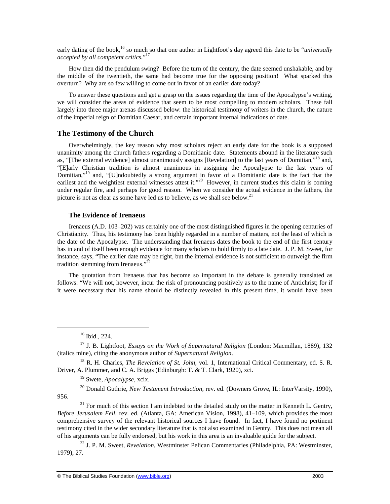early dating of the book,<sup>16</sup> so much so that one author in Lightfoot's day agreed this date to be "*universally accepted by all competent critics*."<sup>17</sup>

How then did the pendulum swing? Before the turn of the century, the date seemed unshakable, and by the middle of the twentieth, the same had become true for the opposing position! What sparked this overturn? Why are so few willing to come out in favor of an earlier date today?

To answer these questions and get a grasp on the issues regarding the time of the Apocalypse's writing, we will consider the areas of evidence that seem to be most compelling to modern scholars. These fall largely into three major arenas discussed below: the historical testimony of writers in the church, the nature of the imperial reign of Domitian Caesar, and certain important internal indications of date.

## **The Testimony of the Church**

Overwhelmingly, the key reason why most scholars reject an early date for the book is a supposed unanimity among the church fathers regarding a Domitianic date. Statements abound in the literature such as, "[The external evidence] almost unanimously assigns [Revelation] to the last years of Domitian,"<sup>18</sup> and, "[E]arly Christian tradition is almost unanimous in assigning the Apocalypse to the last years of Domitian,"<sup>19</sup> and, "[U]ndoubtedly a strong argument in favor of a Domitianic date is the fact that the earliest and the weightiest external witnesses attest it."<sup>20</sup> However, in current studies this claim is coming under regular fire, and perhaps for good reason. When we consider the actual evidence in the fathers, the picture is not as clear as some have led us to believe, as we shall see below.<sup>21</sup>

#### **The Evidence of Irenaeus**

Irenaeus (A.D. 103–202) was certainly one of the most distinguished figures in the opening centuries of Christianity. Thus, his testimony has been highly regarded in a number of matters, not the least of which is the date of the Apocalypse. The understanding that Irenaeus dates the book to the end of the first century has in and of itself been enough evidence for many scholars to hold firmly to a late date. J. P. M. Sweet, for instance, says, "The earlier date may be right, but the internal evidence is not sufficient to outweigh the firm tradition stemming from Irenaeus." $^{22}$ 

The quotation from Irenaeus that has become so important in the debate is generally translated as follows: "We will not, however, incur the risk of pronouncing positively as to the name of Antichrist; for if it were necessary that his name should be distinctly revealed in this present time, it would have been

 $\overline{a}$ 

 $21$  For much of this section I am indebted to the detailed study on the matter in Kenneth L. Gentry, *Before Jerusalem Fell*, rev. ed. (Atlanta, GA: American Vision, 1998), 41–109, which provides the most comprehensive survey of the relevant historical sources I have found. In fact, I have found no pertinent testimony cited in the wider secondary literature that is not also examined in Gentry. This does not mean all of his arguments can be fully endorsed, but his work in this area is an invaluable guide for the subject.

<sup>22</sup> J. P. M. Sweet, *Revelation*, Westminster Pelican Commentaries (Philadelphia, PA: Westminster, 1979), 27.

 $16$  Ibid., 224.

<sup>17</sup> J. B. Lightfoot, *Essays on the Work of Supernatural Religion* (London: Macmillan, 1889), 132 (italics mine), citing the anonymous author of *Supernatural Religion*.

<sup>18</sup> R. H. Charles, *The Revelation of St. John*, vol. 1, International Critical Commentary, ed. S. R. Driver, A. Plummer, and C. A. Briggs (Edinburgh: T. & T. Clark, 1920), xci.

<sup>19</sup> Swete, *Apocalypse*, xcix.

<sup>20</sup> Donald Guthrie, *New Testament Introduction*, rev. ed. (Downers Grove, IL: InterVarsity, 1990), 956.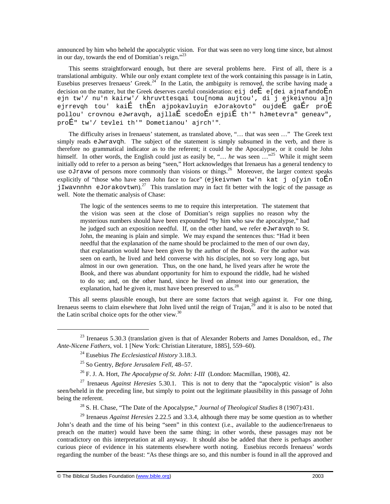announced by him who beheld the apocalyptic vision. For that was seen no very long time since, but almost in our day, towards the end of Domitian's reign."<sup>23</sup>

This seems straightforward enough, but there are several problems here. First of all, there is a translational ambiguity. While our only extant complete text of the work containing this passage is in Latin, Eusebius preserves Irenaeus' Greek.<sup>24</sup> In the Latin, the ambiguity is removed, the scribe having made a decision on the matter, but the Greek deserves careful consideration:  $e^{i}$  de  $\overline{E}$  e[dei ajnafando $\overline{E}$ n ejn tw'/ nu'n kairw'/ khruvttesqai tou[noma aujtou', di j ejkeivnou a]n ejrrevqh tou' kaiÉ thÉn ajpokavluyin eJorakovto" oujdeÉ gaÉr proÉ pollou' crovnou eJwravqh, ajllaÉ scedoÉn ejpiÉ th'" hJmetevra" geneav", proÉ" tw'/ tevlei th'" Dometianou' ajrch'".

The difficulty arises in Irenaeus' statement, as translated above, "… that was seen …" The Greek text simply reads eJwravqh. The subject of the statement is simply subsumed in the verb, and there is therefore no grammatical indicator as to the referent; it could be the Apocalypse, or it could be John himself. In other words, the English could just as easily be, "... *he* was seen ..."<sup>25</sup> While it might seem initially odd to refer to a person as being "seen," Hort acknowledges that Irenaeus has a general tendency to use oJravw of persons more commonly than visions or things.<sup>26</sup> Moreover, the larger context speaks explicitly of "those who have seen John face to face" (ejkeivnwn tw'n kat j o[yin toÉn jIwavnnhn eJorakovtwn).<sup>27</sup> This translation may in fact fit better with the logic of the passage as well. Note the thematic analysis of Chase:

The logic of the sentences seems to me to require this interpretation. The statement that the vision was seen at the close of Domitian's reign supplies no reason why the mysterious numbers should have been expounded "by him who saw the apocalypse," had he judged such an exposition needful. If, on the other hand, we refer eJwravqh to St. John, the meaning is plain and simple. We may expand the sentences thus: "Had it been needful that the explanation of the name should be proclaimed to the men of our own day, that explanation would have been given by the author of the Book. For the author was seen on earth, he lived and held converse with his disciples, not so very long ago, but almost in our own generation. Thus, on the one hand, he lived years after he wrote the Book, and there was abundant opportunity for him to expound the riddle, had he wished to do so; and, on the other hand, since he lived on almost into our generation, the explanation, had he given it, must have been preserved to us.<sup>28</sup>

This all seems plausible enough, but there are some factors that weigh against it. For one thing, Irenaeus seems to claim elsewhere that John lived until the reign of  $Train<sub>1</sub><sup>29</sup>$  and it is also to be noted that the Latin scribal choice opts for the other view. $3<sup>3</sup>$ 

<sup>23</sup> Irenaeus 5.30.3 (translation given is that of Alexander Roberts and James Donaldson, ed., *The Ante-Nicene Fathers*, vol. 1 [New York: Christian Literature, 1885], 559–60).

<sup>24</sup> Eusebius *The Ecclesiastical History* 3.18.3.

<sup>25</sup> So Gentry, *Before Jerusalem Fell*, 48–57.

<sup>26</sup> F. J. A. Hort, *The Apocalypse of St. John: I-III* (London: Macmillan, 1908), 42.

<sup>27</sup> Irenaeus *Against Heresies* 5.30.1. This is not to deny that the "apocalyptic vision" is also seen/beheld in the preceding line, but simply to point out the legitimate plausibility in this passage of John being the referent.

<sup>28</sup> S. H. Chase, "The Date of the Apocalypse," *Journal of Theological Studies* 8 (1907):431.

<sup>29</sup> Irenaeus *Against Heresies* 2.22.5 and 3.3.4, although there may be some question as to whether John's death and the time of his being "seen" in this context (i.e., available to the audience/Irenaeus to preach on the matter) would have been the same thing; in other words, these passages may not be contradictory on this interpretation at all anyway. It should also be added that there is perhaps another curious piece of evidence in his statements elsewhere worth noting. Eusebius records Irenaeus' words regarding the number of the beast: "As these things are so, and this number is found in all the approved and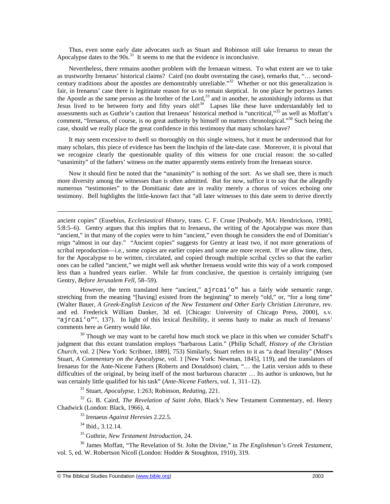Thus, even some early date advocates such as Stuart and Robinson still take Irenaeus to mean the Apocalypse dates to the  $90s$ .<sup>31</sup> It seems to me that the evidence is inconclusive.

Nevertheless, there remains another problem with the Irenaean witness. To what extent are we to take as trustworthy Irenaeus' historical claims? Caird (no doubt overstating the case), remarks that, "… secondcentury traditions about the apostles are demonstrably unreliable."<sup>32</sup> Whether or not this generalization is fair, in Irenaeus' case there is legitimate reason for us to remain skeptical. In one place he portrays James the Apostle as the same person as the brother of the Lord,<sup>33</sup> and in another, he astonishingly informs us that Jesus lived to be between forty and fifty years old!<sup>34</sup> Lapses like these have understandably led to assessments such as Guthrie's caution that Irenaeus' historical method is "uncritical,"<sup>35</sup> as well as Moffatt's comment, "Irenaeus, of course, is no great authority by himself on matters chronological."<sup>36</sup> Such being the case, should we really place the great confidence in this testimony that many scholars have?

It may seem excessive to dwell so thoroughly on this single witness, but it must be understood that for many scholars, this piece of evidence has been the linchpin of the late-date case. Moreover, it is pivotal that we recognize clearly the questionable quality of this witness for one crucial reason: the so-called "unanimity" of the fathers' witness on the matter apparently stems entirely from the Irenaean source.

Now it should first be noted that the "unanimity" is nothing of the sort. As we shall see, there is much more diversity among the witnesses than is often admitted. But for now, suffice it to say that the allegedly numerous "testimonies" to the Domitianic date are in reality merely a chorus of voices echoing *one* testimony. Bell highlights the little-known fact that "all later witnesses to this date seem to derive directly

ancient copies" (Eusebius, *Ecclesiastical History*, trans. C. F. Cruse [Peabody, MA: Hendrickson, 1998], 5:8:5–6). Gentry argues that this implies that to Irenaeus, the writing of the Apocalypse was more than "ancient," in that many of the *copies* were to him "ancient," even though he considers the end of Domitian's reign "almost in our day." "Ancient copies" suggests for Gentry at least two, if not more generations of scribal reproduction—i.e., some copies are earlier copies and some are more recent. If we allow time, then, for the Apocalypse to be written, circulated, and copied through multiple scribal cycles so that the earlier ones can be called "ancient," we might well ask whether Irenaeus would write this way of a work composed less than a hundred years earlier. While far from conclusive, the question is certainly intriguing (see Gentry, *Before Jerusalem Fell*, 58–59).

However, the term translated here "ancient," ajrcai'o" has a fairly wide semantic range, stretching from the meaning "[having] existed from the beginning" to merely "old," or, "for a long time" (Walter Bauer, *A Greek-English Lexicon of the New Testament and Other Early Christian Literature*, rev. and ed. Frederick William Danker, 3d ed. [Chicago: University of Chicago Press, 2000], s.v. "ajrcai'o"", 137). In light of this lexical flexibility, it seems hasty to make as much of Irenaeus' comments here as Gentry would like.

<sup>30</sup> Though we may want to be careful how much stock we place in this when we consider Schaff's judgment that this extant translation employs "barbarous Latin." (Philip Schaff, *History of the Christian Church*, vol. 2 [New York: Scribner, 1889], 753) Similarly, Stuart refers to it as "a dead literality" (Moses Stuart, *A Commentary on the Apocalypse*, vol. 1 [New York: Newman, 1845], 119), and the translators of Irenaeus for the Ante-Nicene Fathers (Roberts and Donaldson) claim, "… the Latin version adds to these difficulties of the original, by being itself of the most barbarous character … Its author is unknown, but he was certainly little qualified for his task" (*Ante-Nicene Fathers*, vol. 1, 311–12).

<sup>31</sup> Stuart, *Apocalypse*, 1:263; Robinson, *Redating*, 221.

<sup>32</sup> G. B. Caird, *The Revelation of Saint John*, Black's New Testament Commentary, ed. Henry Chadwick (London: Black, 1966), 4.

<sup>33</sup> Irenaeus *Against Heresies* 2.22.5.

<sup>34</sup> Ibid., 3.12.14.

 $\overline{a}$ 

<sup>35</sup> Guthrie, *New Testament Introduction*, 24.

<sup>36</sup> James Moffatt, "The Revelation of St. John the Divine," in *The Englishman's Greek Testament*, vol. 5, ed. W. Robertson Nicoll (London: Hodder & Stoughton, 1910), 319.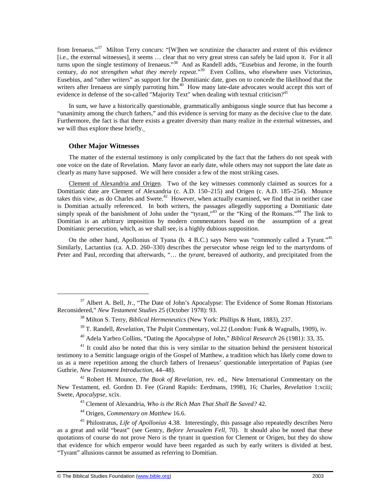from Irenaeus."<sup>37</sup> Milton Terry concurs: "[W]hen we scrutinize the character and extent of this evidence [i.e., the external witnesses], it seems … clear that no very great stress can safely be laid upon it. For it all turns upon the single testimony of Irenaeus."<sup>38</sup> And as Randell adds, "Eusebius and Jerome, in the fourth century*, do not strengthen what they merely repeat*."<sup>39</sup> Even Collins, who elsewhere uses Victorinus, Eusebius, and "other writers" as support for the Domitianic date, goes on to concede the likelihood that the writers after Irenaeus are simply parroting him.<sup>40</sup> How many late-date advocates would accept this sort of evidence in defense of the so-called "Majority Text" when dealing with textual criticism?<sup>41</sup>

In sum, we have a historically questionable, grammatically ambiguous single source that has become a "unanimity among the church fathers," and this evidence is serving for many as the decisive clue to the date. Furthermore, the fact is that there exists a greater diversity than many realize in the external witnesses, and we will thus explore these briefly.

#### **Other Major Witnesses**

 $\overline{a}$ 

The matter of the external testimony is only complicated by the fact that the fathers do not speak with one voice on the date of Revelation. Many favor an early date, while others may not support the late date as clearly as many have supposed. We will here consider a few of the most striking cases.

Clement of Alexandria and Origen. Two of the key witnesses commonly claimed as sources for a Domitianic date are Clement of Alexandria (c. A.D. 150–215) and Origen (c. A.D. 185–254). Mounce takes this view, as do Charles and Swete.<sup>42</sup> However, when actually examined, we find that in neither case is Domitian actually referenced. In both writers, the passages allegedly supporting a Domitianic date simply speak of the banishment of John under the "tyrant,"<sup>43</sup> or the "King of the Romans."<sup>44</sup> The link to Domitian is an arbitrary imposition by modern commentators based on the assumption of a great Domitianic persecution, which, as we shall see, is a highly dubious supposition.

On the other hand, Apollonius of Tyana (b. 4 B.C.) says Nero was "commonly called a Tyrant."<sup>45</sup> Similarly, Lactantius (ca. A.D. 260–330) describes the persecutor whose reign led to the martyrdoms of Peter and Paul, recording that afterwards, "… the *tyrant*, bereaved of authority, and precipitated from the

<sup>42</sup> Robert H. Mounce, *The Book of Revelation*, rev. ed., New International Commentary on the New Testament, ed. Gordon D. Fee (Grand Rapids: Eerdmans, 1998), 16; Charles, *Revelation* 1:xciii; Swete, *Apocalypse*, xcix.

<sup>43</sup> Clement of Alexandria, *Who is the Rich Man That Shall Be Saved?* 42.

<sup>44</sup> Origen, *Commentary on Matthew* 16.6.

<sup>45</sup> Philostratus, *Life of Apollonius* 4.38. Interestingly, this passage also repeatedly describes Nero as a great and wild "beast" (see Gentry, *Before Jerusalem Fell*, 70). It should also be noted that these quotations of course do not prove Nero is the tyrant in question for Clement or Origen, but they do show that evidence for which emperor would have been regarded as such by early writers is divided at best. "Tyrant" allusions cannot be assumed as referring to Domitian.

<sup>&</sup>lt;sup>37</sup> Albert A. Bell, Jr., "The Date of John's Apocalypse: The Evidence of Some Roman Historians Reconsidered," *New Testament Studies* 25 (October 1978): 93.

<sup>38</sup> Milton S. Terry, *Biblical Hermeneutics* (New York: Phillips & Hunt, 1883), 237.

<sup>&</sup>lt;sup>39</sup> T. Randell, *Revelation*, The Pulpit Commentary, vol.22 (London: Funk & Wagnalls, 1909), iv.

<sup>40</sup> Adela Yarbro Collins, "Dating the Apocalypse of John," *Biblical Research* 26 (1981): 33, 35.

<sup>&</sup>lt;sup>41</sup> It could also be noted that this is very similar to the situation behind the persistent historical testimony to a Semitic language origin of the Gospel of Matthew, a tradition which has likely come down to us as a mere repetition among the church fathers of Irenaeus' questionable interpretation of Papias (see Guthrie, *New Testament Introduction*, 44–48).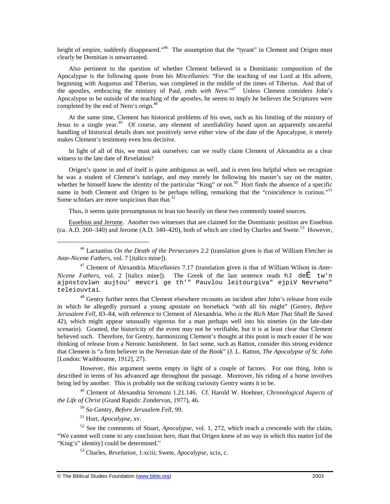height of empire, suddenly disappeared."<sup>46</sup> The assumption that the "tyrant" in Clement and Origen must clearly be Domitian is unwarranted.

Also pertinent to the question of whether Clement believed in a Domitianic composition of the Apocalypse is the following quote from his *Miscellanies*: "For the teaching of our Lord at His advent, beginning with Augustus and Tiberius, was completed in the middle of the times of Tiberius. And that of the apostles, embracing the ministry of Paul, *ends with Nero*."<sup>47</sup> Unless Clement considers John's Apocalypse to be outside of the teaching of the apostles, he seems to imply he believes the Scriptures were completed by the end of Nero's reign.<sup>48</sup>

At the same time, Clement has historical problems of his own, such as his limiting of the ministry of Jesus to a single year.<sup>49</sup> Of course, any element of unreliability based upon an apparently uncareful handling of historical details does not positively serve either view of the date of the Apocalypse, it merely makes Clement's testimony even less decisive.

In light of all of this, we must ask ourselves: can we really claim Clement of Alexandria as a clear witness to the late date of Revelation?

Origen's quote in and of itself is quite ambiguous as well, and is even less helpful when we recognize he was a student of Clement's tutelage, and may merely be following his master's say on the matter, whether he himself knew the identity of the particular "King" or not.<sup>50</sup> Hort finds the absence of a specific name in both Clement and Origen to be perhaps telling, remarking that the "coincidence is curious."<sup>51</sup> Some scholars are more suspicious than that.<sup>52</sup>

Thus, it seems quite presumptuous to lean too heavily on these two commonly touted sources.

Eusebius and Jerome. Another two witnesses that are claimed for the Domitianic position are Eusebius (ca.  $\overline{A.D. 260-340}$ ) and Jerome (A.D. 340–420), both of which are cited by Charles and Swete.<sup>53</sup> However,

<sup>48</sup> Gentry further notes that Clement elsewhere recounts an incident after John's release from exile in which he allegedly pursued a young apostate on horseback "with all his might" (Gentry, *Before Jerusalem Fell*, 83–84, with reference to Clement of Alexandria, *Who is the Rich Man That Shall Be Saved* 42), which might appear unusually vigorous for a man perhaps well into his nineties (in the late-date scenario). Granted, the historicity of the event may not be verifiable, but it is at least clear that Clement believed such. Therefore, for Gentry, harmonizing Clement's thought at this point is much easier if he was thinking of release from a Neronic banishment. In fact some, such as Ratton, consider this strong evidence that Clement is "a firm believer in the Neronian date of the Book" (J. L. Ratton, *The Apocalypse of St. John* [London: Washbourne, 1912], 27).

However, this argument seems empty in light of a couple of factors. For one thing, John is described in terms of his advanced age throughout the passage. Moreover, his riding of a horse involves being led by another. This is probably not the striking curiosity Gentry wants it to be.

<sup>49</sup> Clement of Alexandria *Stromata* 1.21.146. Cf. Harold W. Hoehner, *Chronological Aspects of the Life of Christ* (Grand Rapids: Zondervan, 1977), 46.

<sup>50</sup> So Gentry, *Before Jerusalem Fell*, 99.

<sup>51</sup> Hort, *Apocalypse*, xv.

1

<sup>52</sup> See the comments of Stuart, *Apocalypse*, vol. 1, 272, which reach a crescendo with the claim, "We cannot well come to any conclusion here, than that Origen knew of no way in which this matter [of the "King's" identity] could be determined."

<sup>53</sup> Charles, *Revelation*, 1:xciii; Swete, *Apocalypse*, xcix, c.

<sup>46</sup> Lactantius *On the Death of the Persecutors* 2.2 (translation given is that of William Fletcher in *Ante-Nicene Fathers*, vol. 7 [italics mine]).

<sup>47</sup> Clement of Alexandria *Miscellanies* 7.17 (translation given is that of William Wilson in *Ante-Nicene Fathers*, vol. 2 [italics mine]). The Greek of the last sentence reads hJ de E tw'n ajpostovlwn aujtou' mevcri ge th'" Pauvlou leitourgiva" ejpiV Nevrwno" teleiouvtai.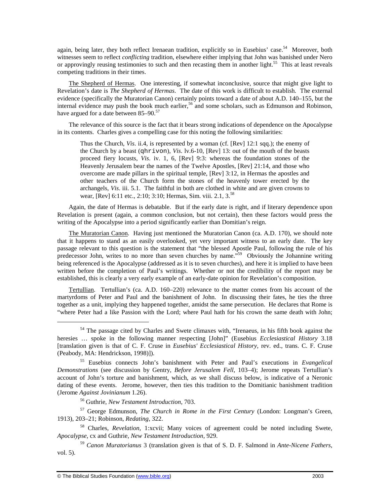again, being later, they both reflect Irenaean tradition, explicitly so in Eusebius' case.<sup>54</sup> Moreover, both witnesses seem to reflect *conflicting* tradition, elsewhere either implying that John was banished under Nero or approvingly reusing testimonies to such and then recasting them in another light.<sup>55</sup> This at least reveals competing traditions in their times.

The Shepherd of Hermas. One interesting, if somewhat inconclusive, source that might give light to Revelation's date is *The Shepherd of Hermas*. The date of this work is difficult to establish. The external evidence (specifically the Muratorian Canon) certainly points toward a date of about A.D. 140–155, but the internal evidence may push the book much earlier,<sup>56</sup> and some scholars, such as Edmunson and Robinson, have argued for a date between  $85-90.^{57}$ 

The relevance of this source is the fact that it bears strong indications of dependence on the Apocalypse in its contents. Charles gives a compelling case for this noting the following similarities:

Thus the Church, *Vis*. ii.4, is represented by a woman (cf. [Rev] 12:1 sqq.); the enemy of the Church by a beast (qhrivon), *Vis*. lv.6-10, [Rev] 13: out of the mouth of the beasts proceed fiery locusts, *Vis*. iv. 1, 6, [Rev] 9:3: whereas the foundation stones of the Heavenly Jerusalem bear the names of the Twelve Apostles, [Rev] 21:14, and those who overcome are made pillars in the spiritual temple, [Rev] 3:12, in Hermas the apostles and other teachers of the Church form the stones of the heavenly tower erected by the archangels, *Vis*. iii. 5.1. The faithful in both are clothed in white and are given crowns to wear, [Rev] 6:11 etc., 2:10; 3:10; Hermas, Sim. viii. 2.1, 3.<sup>58</sup>

Again, the date of Hermas is debatable. But if the early date is right, and if literary dependence upon Revelation is present (again, a common conclusion, but not certain), then these factors would press the writing of the Apocalypse into a period significantly earlier than Domitian's reign.

The Muratorian Canon. Having just mentioned the Muratorian Canon (ca. A.D. 170), we should note that it happens to stand as an easily overlooked, yet very important witness to an early date. The key passage relevant to this question is the statement that "the blessed Apostle Paul, following the rule of his predecessor John, writes to no more than seven churches by name."<sup>59</sup> Obviously the Johannine writing being referenced is the Apocalypse (addressed as it is to seven churches), and here it is implied to have been written before the completion of Paul's writings. Whether or not the credibility of the report may be established, this is clearly a very early example of an early-date opinion for Revelation's composition.

Tertullian. Tertullian's (ca. A.D. 160–220) relevance to the matter comes from his account of the martyrdoms of Peter and Paul and the banishment of John. In discussing their fates, he ties the three together as a unit, implying they happened together, amidst the same persecution. He declares that Rome is "where Peter had a like Passion with the Lord; where Paul hath for his crown the same death with John;

<sup>56</sup> Guthrie, *New Testament Introduction*, 703.

<sup>57</sup> George Edmunson, *The Church in Rome in the First Century* (London: Longman's Green, 1913), 203–21; Robinson, *Redating*, 322.

<sup>58</sup> Charles, *Revelation*, 1:xcvii; Many voices of agreement could be noted including Swete, *Apocalypse*, cx and Guthrie, *New Testament Introduction*, 929.

<sup>59</sup> *Canon Muratorianus* 3 (translation given is that of S. D. F. Salmond in *Ante-Nicene Fathers*, vol. 5).

<sup>&</sup>lt;sup>54</sup> The passage cited by Charles and Swete climaxes with, "Irenaeus, in his fifth book against the heresies … spoke in the following manner respecting [John]" (Eusebius *Ecclesiastical History* 3.18 [translation given is that of C. F. Cruse in *Eusebius' Ecclesiastical History*, rev. ed., trans. C. F. Cruse (Peabody, MA: Hendrickson, 1998)]).

<sup>55</sup> Eusebius connects John's banishment with Peter and Paul's executions in *Evangelical Demonstrations* (see discussion by Gentry, *Before Jerusalem Fell*, 103–4); Jerome repeats Tertullian's account of John's torture and banishment, which, as we shall discuss below, is indicative of a Neronic dating of these events. Jerome, however, then ties this tradition to the Domitianic banishment tradition (Jerome *Against Jovinianum* 1.26).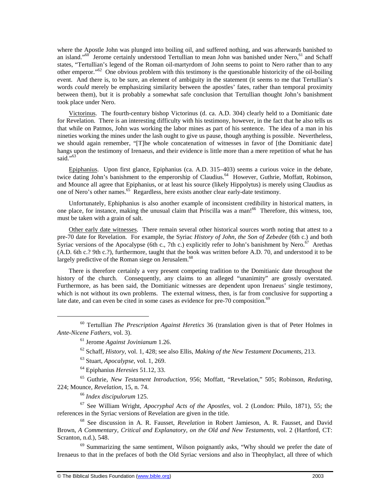where the Apostle John was plunged into boiling oil, and suffered nothing, and was afterwards banished to an island."<sup>60</sup> Jerome certainly understood Tertullian to mean John was banished under Nero, <sup>61</sup> and Schaff states, "Tertullian's legend of the Roman oil-martyrdom of John seems to point to Nero rather than to any other emperor."<sup>62</sup> One obvious problem with this testimony is the questionable historicity of the oil-boiling event. And there is, to be sure, an element of ambiguity in the statement (it seems to me that Tertullian's words *could* merely be emphasizing similarity between the apostles' fates, rather than temporal proximity between them), but it is probably a somewhat safe conclusion that Tertullian thought John's banishment took place under Nero.

Victorinus. The fourth-century bishop Victorinus (d. ca. A.D. 304) clearly held to a Domitianic date for Revelation. There is an interesting difficulty with his testimony, however, in the fact that he also tells us that while on Patmos, John was working the labor mines as part of his sentence. The idea of a man in his nineties working the mines under the lash ought to give us pause, though anything is possible. Nevertheless, we should again remember, "[T]he whole concatenation of witnesses in favor of [the Domitianic date] hangs upon the testimony of Irenaeus, and their evidence is little more than a mere repetition of what he has said."<sup>63</sup>

Epiphanius. Upon first glance, Epiphanius (ca. A.D. 315–403) seems a curious voice in the debate, twice dating John's banishment to the emperorship of Claudius.<sup>64</sup> However, Guthrie, Moffatt, Robinson, and Mounce all agree that Epiphanius, or at least his source (likely Hippolytus) is merely using Claudius as one of Nero's other names.<sup>65</sup> Regardless, here exists another clear early-date testimony.

Unfortunately, Ephiphanius is also another example of inconsistent credibility in historical matters, in one place, for instance, making the unusual claim that Priscilla was a man!<sup>66</sup> Therefore, this witness, too, must be taken with a grain of salt.

Other early date witnesses. There remain several other historical sources worth noting that attest to a pre-70 date for Revelation. For example, the Syriac *History of John, the Son of Zebedee* (6th c.) and both Syriac versions of the Apocalypse (6th c., 7th c.) explicitly refer to John's banishment by Nero.<sup>67</sup> Arethas (A.D. 6th c.? 9th c.?), furthermore, taught that the book was written before A.D. 70, and understood it to be largely predictive of the Roman siege on Jerusalem.<sup>68</sup>

There is therefore certainly a very present competing tradition to the Domitianic date throughout the history of the church. Consequently, any claims to an alleged "unanimity" are grossly overstated. Furthermore, as has been said, the Domitianic witnesses are dependent upon Irenaeus' single testimony, which is not without its own problems. The external witness, then, is far from conclusive for supporting a late date, and can even be cited in some cases as evidence for pre-70 composition. $69$ 

<sup>66</sup> *Index discipulorum* 125.

 $\overline{a}$ 

<sup>67</sup> See William Wright, *Apocryphal Acts of the Apostles*, vol. 2 (London: Philo, 1871), 55; the references in the Syriac versions of Revelation are given in the title.

<sup>68</sup> See discussion in A. R. Fausset, *Revelation* in Robert Jamieson, A. R. Fausset, and David Brown, *A Commentary, Critical and Explanatory, on the Old and New Testaments*, vol. 2 (Hartford, CT: Scranton, n.d.), 548.

<sup>69</sup> Summarizing the same sentiment, Wilson poignantly asks, "Why should we prefer the date of Irenaeus to that in the prefaces of both the Old Syriac versions and also in Theophylact, all three of which

<sup>60</sup> Tertullian *The Prescription Against Heretics* 36 (translation given is that of Peter Holmes in *Ante-Nicene Fathers*, vol. 3).

<sup>61</sup> Jerome *Against Jovinianum* 1.26.

<sup>62</sup> Schaff, *History*, vol. 1, 428; see also Ellis, *Making of the New Testament Documents*, 213.

<sup>63</sup> Stuart, *Apocalypse*, vol. 1, 269.

<sup>64</sup> Epiphanius *Heresies* 51.12, 33.

<sup>65</sup> Guthrie, *New Testament Introduction*, 956; Moffatt, "Revelation," 505; Robinson, *Redating*, 224; Mounce, *Revelation*, 15, n. 74.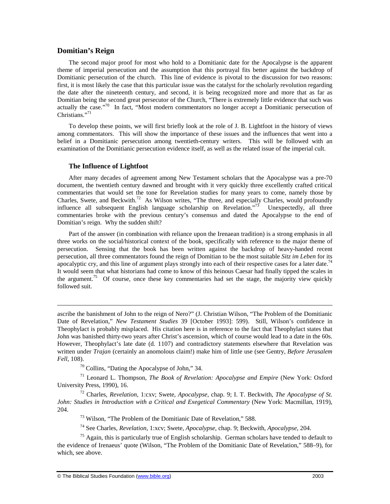## **Domitian's Reign**

 $\overline{a}$ 

The second major proof for most who hold to a Domitianic date for the Apocalypse is the apparent theme of imperial persecution and the assumption that this portrayal fits better against the backdrop of Domitianic persecution of the church. This line of evidence is pivotal to the discussion for two reasons: first, it is most likely the case that this particular issue was the catalyst for the scholarly revolution regarding the date after the nineteenth century, and second, it is being recognized more and more that as far as Domitian being the second great persecutor of the Church, "There is extremely little evidence that such was actually the case."<sup>70</sup> In fact, "Most modern commentators no longer accept a Domitianic persecution of Christians."<sup>71</sup>

To develop these points, we will first briefly look at the role of J. B. Lightfoot in the history of views among commentators. This will show the importance of these issues and the influences that went into a belief in a Domitianic persecution among twentieth-century writers. This will be followed with an examination of the Domitianic persecution evidence itself, as well as the related issue of the imperial cult.

#### **The Influence of Lightfoot**

After many decades of agreement among New Testament scholars that the Apocalypse was a pre-70 document, the twentieth century dawned and brought with it very quickly three excellently crafted critical commentaries that would set the tone for Revelation studies for many years to come, namely those by Charles, Swete, and Beckwith.<sup>72</sup> As Wilson writes, "The three, and especially Charles, would profoundly influence all subsequent English language scholarship on Revelation.<sup>73</sup> Unexpectedly, all three commentaries broke with the previous century's consensus and dated the Apocalypse to the end of Domitian's reign. Why the sudden shift?

Part of the answer (in combination with reliance upon the Irenaean tradition) is a strong emphasis in all three works on the social/historical context of the book, specifically with reference to the major theme of persecution. Sensing that the book has been written against the backdrop of heavy-handed recent persecution, all three commentators found the reign of Domitian to be the most suitable *Sitz im Leben* for its apocalyptic cry, and this line of argument plays strongly into each of their respective cases for a later date.<sup>74</sup> It would seem that what historians had come to know of this heinous Caesar had finally tipped the scales in the argument.<sup>75</sup> Of course, once these key commentaries had set the stage, the majority view quickly followed suit.

ascribe the banishment of John to the reign of Nero?" (J. Christian Wilson, "The Problem of the Domitianic Date of Revelation," *New Testament Studies* 39 [October 1993]: 599). Still, Wilson's confidence in Theophylact is probably misplaced. His citation here is in reference to the fact that Theophylact states that John was banished thirty-two years after Christ's ascension, which of course would lead to a date in the 60s. However, Theophylact's late date (d. 1107) and contradictory statements elsewhere that Revelation was written under *Trajan* (certainly an anomolous claim!) make him of little use (see Gentry*, Before Jerusalem Fell*, 108).

<sup>70</sup> Collins, "Dating the Apocalypse of John," 34.

<sup>71</sup> Leonard L. Thompson, *The Book of Revelation: Apocalypse and Empire* (New York: Oxford University Press, 1990), 16.

<sup>72</sup> Charles, *Revelation*, 1:cxv; Swete, *Apocalypse*, chap. 9; I. T. Beckwith, *The Apocalypse of St. John: Studies in Introduction with a Critical and Exegetical Commentary* (New York: Macmillan, 1919), 204.

<sup>73</sup> Wilson, "The Problem of the Domitianic Date of Revelation," 588.

<sup>74</sup> See Charles, *Revelation*, 1:xcv; Swete, *Apocalypse*, chap. 9; Beckwith, *Apocalypse*, 204.

 $75$  Again, this is particularly true of English scholarship. German scholars have tended to default to the evidence of Irenaeus' quote (Wilson, "The Problem of the Domitianic Date of Revelation," 588–9), for which, see above.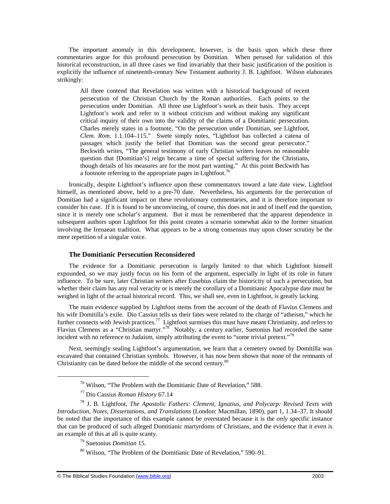The important anomaly in this development, however, is the basis upon which these three commentaries argue for this profound persecution by Domitian. When perused for validation of this historical reconstruction, in all three cases we find invariably that their basic justification of the position is explicitly the influence of nineteenth-century New Testament authority J. B. Lightfoot. Wilson elaborates strikingly:

All three contend that Revelation was written with a historical background of recent persecution of the Christian Church by the Roman authorities. Each points to the persecution under Domitian. All three use Lightfoot's work as their basis. They accept Lightfoot's work and refer to it without criticism and without making any significant critical inquiry of their own into the validity of the claims of a Domitianic persecution. Charles merely states in a footnote, "On the persecution under Domitian, see Lightfoot, *Clem*. *Rom*. 1.1.104–115." Swete simply notes, "Lightfoot has collected a catena of passages which justify the belief that Domitian was the second great persecutor." Beckwith writes, "The general testimony of early Christian writers leaves no reasonable question that [Domitian's] reign became a time of special suffering for the Christians, though details of his measures are for the most part wanting." At this point Beckwith has a footnote referring to the appropriate pages in Lightfoot.<sup>76</sup>

Ironically, despite Lightfoot's influence upon these commentators toward a late date view, Lightfoot himself, as mentioned above, held to a pre-70 date. Nevertheless, his arguments for the persecution of Domitian had a significant impact on these revolutionary commentaries, and it is therefore important to consider his case. If it is found to be unconvincing, of course, this does not in and of itself end the question, since it is merely one scholar's argument. But it must be remembered that the apparent dependence in subsequent authors upon Lightfoot for this point creates a scenario somewhat akin to the former situation involving the Irenaean tradition. What appears to be a strong consensus may upon closer scrutiny be the mere repetition of a singular voice.

#### **The Domitianic Persecution Reconsidered**

The evidence for a Domitianic persecution is largely limited to that which Lightfoot himself expounded, so we may justly focus on his form of the argument, especially in light of its role in future influence. To be sure, later Christian writers after Eusebius claim the historicity of such a persecution, but whether their claim has any real veracity or is merely the corollary of a Domitianic Apocalypse date must be weighed in light of the actual historical record. This, we shall see, even in Lightfoot, is greatly lacking.

The main evidence supplied by Lightfoot stems from the account of the death of Flavius Clemens and his wife Domitilla's exile. Dio Cassius tells us their fates were related to the charge of "atheism," which he further connects with Jewish practices.<sup>77</sup> Lightfoot surmises this must have meant Christianity, and refers to Flavius Clemens as a "Christian martyr."<sup>78</sup> Notably, a century earlier, Suetonius had recorded the same incident with no reference to Judaism, simply attributing the event to "some trivial pretext."<sup>79</sup>

Next, seemingly sealing Lightfoot's argumentation, we learn that a cemetery owned by Domitilla was excavated that contained Christian symbols. However, it has now been shown that none of the remnants of Christianity can be dated before the middle of the second century.<sup>80</sup>

<sup>76</sup> Wilson, "The Problem with the Domitianic Date of Revelation," 588.

<sup>77</sup> Dio Cassius *Roman History* 67.14

<sup>78</sup> J. B. Lightfoot, *The Apostolic Fathers: Clement, Ignatius, and Polycarp: Revised Texts with Introduction, Notes, Dissertations, and Translations* (London: Macmillan, 1890), part 1, 1.34–37. It should be noted that the importance of this example cannot be overstated because it is the *only* specific instance that can be produced of such alleged Domitianic martyrdoms of Christians, and the evidence that it even is an example of this at all is quite scanty.

<sup>79</sup> Suetonius *Domitian* 15.

<sup>80</sup> Wilson, "The Problem of the Domitianic Date of Revelation," 590–91.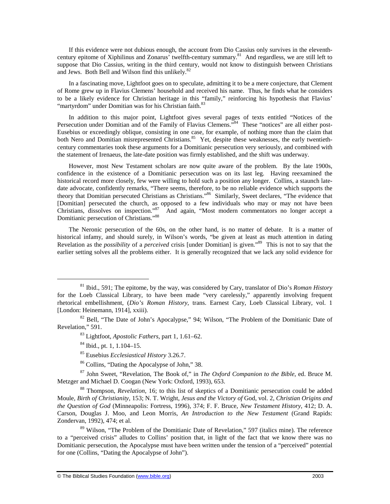If this evidence were not dubious enough, the account from Dio Cassius only survives in the eleventhcentury epitome of Xiphilinus and Zonarus' twelfth-century summary.<sup>81</sup> And regardless, we are still left to suppose that Dio Cassius, writing in the third century, would not know to distinguish between Christians and Jews. Both Bell and Wilson find this unlikely.<sup>82</sup>

In a fascinating move, Lightfoot goes on to speculate, admitting it to be a mere conjecture, that Clement of Rome grew up in Flavius Clemens' household and received his name. Thus, he finds what he considers to be a likely evidence for Christian heritage in this "family," reinforcing his hypothesis that Flavius' "martyrdom" under Domitian was for his Christian faith.<sup>83</sup>

In addition to this major point, Lightfoot gives several pages of texts entitled "Notices of the Persecution under Domitian and of the Family of Flavius Clemens."<sup>84</sup> These "notices" are all either post-Eusebius or exceedingly oblique, consisting in one case, for example, of nothing more than the claim that both Nero and Domitian misrepresented Christians.<sup>85</sup> Yet, despite these weaknesses, the early twentiethcentury commentaries took these arguments for a Domitianic persecution very seriously, and combined with the statement of Irenaeus, the late-date position was firmly established, and the shift was underway.

However, most New Testament scholars are now quite aware of the problem. By the late 1900s, confidence in the existence of a Domitianic persecution was on its last leg. Having reexamined the historical record more closely, few were willing to hold such a position any longer. Collins, a staunch latedate advocate, confidently remarks, "There seems, therefore, to be no reliable evidence which supports the theory that Domitian persecuted Christians as Christians."<sup>86</sup> Similarly, Sweet declares, "The evidence that [Domitian] persecuted the church, as opposed to a few individuals who may or may not have been Christians, dissolves on inspection."<sup>87</sup> And again, "Most modern commentators no longer accept a Domitianic persecution of Christians."<sup>88</sup>

The Neronic persecution of the 60s, on the other hand, is no matter of debate. It is a matter of historical infamy, and should surely, in Wilson's words, "be given at least as much attention in dating Revelation as the *possibility* of a *perceived* crisis [under Domitian] is given."<sup>89</sup> This is not to say that the earlier setting solves all the problems either. It is generally recognized that we lack any solid evidence for

<sup>81</sup> Ibid., 591; The epitome, by the way, was considered by Cary, translator of Dio's *Roman History* for the Loeb Classical Library, to have been made "very carelessly," apparently involving frequent rhetorical embellishment, (*Dio's Roman History*, trans. Earnest Cary, Loeb Classical Library, vol. 1 [London: Heinemann, 1914], xxiii).

<sup>&</sup>lt;sup>82</sup> Bell, "The Date of John's Apocalypse," 94; Wilson, "The Problem of the Domitianic Date of Revelation," 591.

<sup>83</sup> Lightfoot, *Apostolic Fathers*, part 1, 1.61–62.

<sup>84</sup> Ibid., pt. 1, 1.104–15.

<sup>85</sup> Eusebius *Ecclesiastical History* 3.26.7.

<sup>86</sup> Collins, "Dating the Apocalypse of John," 38.

<sup>87</sup> John Sweet, "Revelation, The Book of," in *The Oxford Companion to the Bible*, ed. Bruce M. Metzger and Michael D. Coogan (New York: Oxford, 1993), 653.

<sup>88</sup> Thompson, *Revelation*, 16; to this list of skeptics of a Domitianic persecution could be added Moule, *Birth of Christianity*, 153; N. T. Wright, *Jesus and the Victory of* God, vol. 2, *Christian Origins and the Question of God* (Minneapolis: Fortress, 1996), 374; F. F. Bruce, *New Testament History*, 412; D. A. Carson, Douglas J. Moo, and Leon Morris, *An Introduction to the New Testament* (Grand Rapids: Zondervan, 1992), 474; et al.

<sup>&</sup>lt;sup>89</sup> Wilson, "The Problem of the Domitianic Date of Revelation," 597 (italics mine). The reference to a "perceived crisis" alludes to Collins' position that, in light of the fact that we know there was no Domitianic persecution, the Apocalypse must have been written under the tension of a "perceived" potential for one (Collins, "Dating the Apocalypse of John").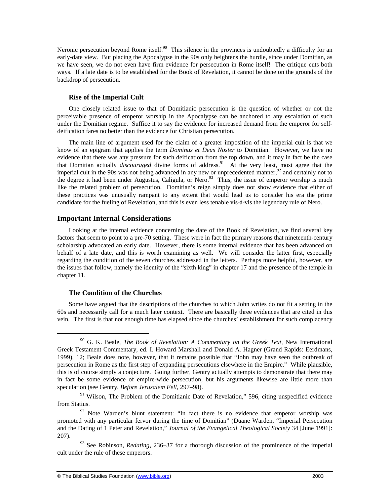Neronic persecution beyond Rome itself.<sup>90</sup> This silence in the provinces is undoubtedly a difficulty for an early-date view. But placing the Apocalypse in the 90s only heightens the hurdle, since under Domitian, as we have seen, we do not even have firm evidence for persecution in Rome itself! The critique cuts both ways. If a late date is to be established for the Book of Revelation, it cannot be done on the grounds of the backdrop of persecution.

## **Rise of the Imperial Cult**

One closely related issue to that of Domitianic persecution is the question of whether or not the perceivable presence of emperor worship in the Apocalypse can be anchored to any escalation of such under the Domitian regime. Suffice it to say the evidence for increased demand from the emperor for selfdeification fares no better than the evidence for Christian persecution.

The main line of argument used for the claim of a greater imposition of the imperial cult is that we know of an epigram that applies the term *Dominus et Deus Noster* to Domitian. However, we have no evidence that there was any pressure for such deification from the top down, and it may in fact be the case that Domitian actually *discouraged* divine forms of address.<sup>91</sup> At the very least, most agree that the imperial cult in the 90s was not being advanced in any new or unprecedented manner,  $92$  and certainly not to the degree it had been under Augustus, Caligula, or Nero.<sup>93</sup> Thus, the issue of emperor worship is much like the related problem of persecution. Domitian's reign simply does not show evidence that either of these practices was unusually rampant to any extent that would lead us to consider his era the prime candidate for the fueling of Revelation, and this is even less tenable vis-à-vis the legendary rule of Nero.

## **Important Internal Considerations**

Looking at the internal evidence concerning the date of the Book of Revelation, we find several key factors that seem to point to a pre-70 setting. These were in fact the primary reasons that nineteenth-century scholarship advocated an early date. However, there is some internal evidence that has been advanced on behalf of a late date, and this is worth examining as well. We will consider the latter first, especially regarding the condition of the seven churches addressed in the letters. Perhaps more helpful, however, are the issues that follow, namely the identity of the "sixth king" in chapter 17 and the presence of the temple in chapter 11.

## **The Condition of the Churches**

-

Some have argued that the descriptions of the churches to which John writes do not fit a setting in the 60s and necessarily call for a much later context. There are basically three evidences that are cited in this vein. The first is that not enough time has elapsed since the churches' establishment for such complacency

<sup>90</sup> G. K. Beale, *The Book of Revelation: A Commentary on the Greek Text*, New International Greek Testament Commentary, ed. I. Howard Marshall and Donald A. Hagner (Grand Rapids: Eerdmans, 1999), 12; Beale does note, however, that it remains possible that "John may have seen the outbreak of persecution in Rome as the first step of expanding persecutions elsewhere in the Empire." While plausible, this is of course simply a conjecture. Going further, Gentry actually attempts to demonstrate that there may in fact be some evidence of empire-wide persecution, but his arguments likewise are little more than speculation (see Gentry, *Before Jerusalem Fell*, 297–98).

 $91$  Wilson, The Problem of the Domitianic Date of Revelation," 596, citing unspecified evidence from Statius.

 $92$  Note Warden's blunt statement: "In fact there is no evidence that emperor worship was promoted with any particular fervor during the time of Domitian" (Duane Warden, "Imperial Persecution and the Dating of 1 Peter and Revelation," *Journal of the Evangelical Theological Society* 34 [June 1991]: 207).

<sup>&</sup>lt;sup>93</sup> See Robinson, *Redating*, 236–37 for a thorough discussion of the prominence of the imperial cult under the rule of these emperors.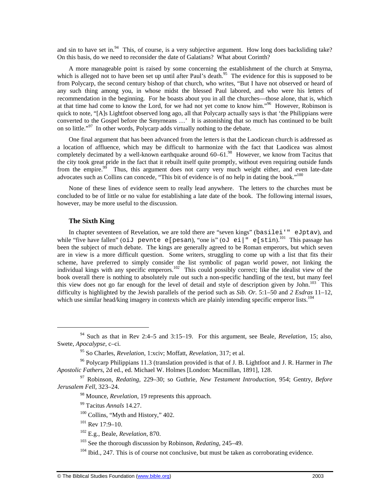and sin to have set in.<sup>94</sup> This, of course, is a very subjective argument. How long does backsliding take? On this basis, do we need to reconsider the date of Galatians? What about Corinth?

A more manageable point is raised by some concerning the establishment of the church at Smyrna, which is alleged not to have been set up until after Paul's death.<sup>95</sup> The evidence for this is supposed to be from Polycarp, the second century bishop of that church, who writes, "But I have not observed or heard of any such thing among you, in whose midst the blessed Paul labored, and who were his letters of recommendation in the beginning. For he boasts about you in all the churches—those alone, that is, which at that time had come to know the Lord, for we had not yet come to know him."<sup>96</sup> However, Robinson is quick to note, "[A]s Lightfoot observed long ago, all that Polycarp actually says is that 'the Philippians were converted to the Gospel before the Smyrneans ...' It is astonishing that so much has continued to be built on so little."<sup>97</sup> In other words, Polycarp adds virtually nothing to the debate.

One final argument that has been advanced from the letters is that the Laodicean church is addressed as a location of affluence, which may be difficult to harmonize with the fact that Laodicea was almost completely decimated by a well-known earthquake around 60–61.<sup>98</sup> However, we know from Tacitus that the city took great pride in the fact that it rebuilt itself quite promptly, without even requiring outside funds from the empire.<sup>99</sup> Thus, this argument does not carry very much weight either, and even late-date advocates such as Collins can concede, "This bit of evidence is of no help in dating the book."<sup>100</sup>

None of these lines of evidence seem to really lead anywhere. The letters to the churches must be concluded to be of little or no value for establishing a late date of the book. The following internal issues, however, may be more useful to the discussion.

#### **The Sixth King**

-

In chapter seventeen of Revelation, we are told there are "seven kings" (basilei'" eJptav), and while "five have fallen" (oiJ pevnte e[pesan), "one is" (oJ ei|" e[stin).<sup>101</sup> This passage has been the subject of much debate. The kings are generally agreed to be Roman emperors, but which seven are in view is a more difficult question. Some writers, struggling to come up with a list that fits their scheme, have preferred to simply consider the list symbolic of pagan world power, not linking the individual kings with any specific emperors.<sup>102</sup> This could possibly correct; like the idealist view of the book overall there is nothing to absolutely rule out such a non-specific handling of the text, but many feel this view does not go far enough for the level of detail and style of description given by John.<sup>103</sup> This difficulty is highlighted by the Jewish parallels of the period such as *Sib. Or.* 5:1–50 and *2 Esdras* 11–12, which use similar head/king imagery in contexts which are plainly intending specific emperor lists.<sup>104</sup>

<sup>94</sup> Such as that in Rev 2:4–5 and 3:15–19. For this argument, see Beale, *Revelation*, 15; also, Swete, *Apocalypse*, c–ci.

<sup>95</sup> So Charles, *Revelation*, 1:xciv; Moffatt, *Revelation*, 317; et al.

<sup>96</sup> Polycarp Philippians 11.3 (translation provided is that of J. B. Lightfoot and J. R. Harmer in *The Apostolic Fathers*, 2d ed., ed. Michael W. Holmes [London: Macmillan, 1891], 128.

<sup>97</sup> Robinson, *Redating*, 229–30; so Guthrie, *New Testament Introduction*, 954; Gentry, *Before Jerusalem Fell*, 323–24.

<sup>98</sup> Mounce, *Revelation*, 19 represents this approach.

<sup>99</sup> Tacitus *Annals* 14.27.

 $100$  Collins, "Myth and History," 402.

 $101$  Rev 17:9-10.

<sup>102</sup> E.g., Beale, *Revelation*, 870.

<sup>103</sup> See the thorough discussion by Robinson, *Redating*, 245–49.

 $104$  Ibid., 247. This is of course not conclusive, but must be taken as corroborating evidence.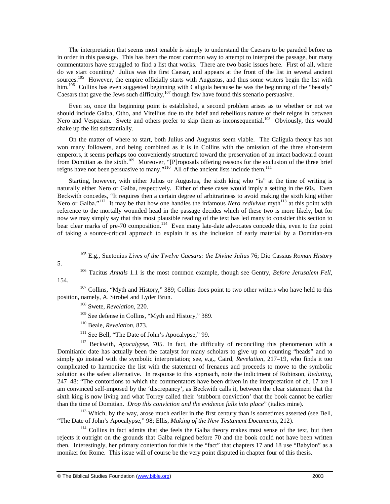The interpretation that seems most tenable is simply to understand the Caesars to be paraded before us in order in this passage. This has been the most common way to attempt to interpret the passage, but many commentators have struggled to find a list that works. There are two basic issues here. First of all, where do we start counting? Julius was the first Caesar, and appears at the front of the list in several ancient sources.<sup>105</sup> However, the empire officially starts with Augustus, and thus some writers begin the list with him.<sup>106</sup> Collins has even suggested beginning with Caligula because he was the beginning of the "beastly" Caesars that gave the Jews such difficulty, $107$  though few have found this scenario persuasive.

Even so, once the beginning point is established, a second problem arises as to whether or not we should include Galba, Otho, and Vitellius due to the brief and rebellious nature of their reigns in between Nero and Vespasian. Swete and others prefer to skip them as inconsequential.<sup>108</sup> Obviously, this would shake up the list substantially.

On the matter of where to start, both Julius and Augustus seem viable. The Caligula theory has not won many followers, and being combined as it is in Collins with the omission of the three short-term emperors, it seems perhaps too conveniently structured toward the preservation of an intact backward count from Domitian as the sixth.<sup>109</sup> Moreover, "[P]roposals offering reasons for the exclusion of the three brief reigns have not been persuasive to many."<sup>110</sup> All of the ancient lists include them.<sup>111</sup>

Starting, however, with either Julius or Augustus, the sixth king who "is" at the time of writing is naturally either Nero or Galba, respectively. Either of these cases would imply a setting in the 60s. Even Beckwith concedes, "It requires then a certain degree of arbitrariness to avoid making the sixth king either Nero or Galba."<sup>112</sup> It may be that how one handles the infamous *Nero redivivus* myth<sup>113</sup> at this point with reference to the mortally wounded head in the passage decides which of these two is more likely, but for now we may simply say that this most plausible reading of the text has led many to consider this section to bear clear marks of pre-70 composition.<sup>114</sup> Even many late-date advocates concede this, even to the point of taking a source-critical approach to explain it as the inclusion of early material by a Domitian-era

-

 $107$  Collins, "Myth and History," 389; Collins does point to two other writers who have held to this position, namely, A. Strobel and Lyder Brun.

- <sup>109</sup> See defense in Collins, "Myth and History," 389.
- <sup>110</sup> Beale, *Revelation*, 873.
- <sup>111</sup> See Bell, "The Date of John's Apocalypse," 99.

<sup>112</sup> Beckwith, *Apocalypse*, 705. In fact, the difficulty of reconciling this phenomenon with a Domitianic date has actually been the catalyst for many scholars to give up on counting "heads" and to simply go instead with the symbolic interpretation; see, e.g., Caird, *Revelation*, 217–19, who finds it too complicated to harmonize the list with the statement of Irenaeus and proceeds to move to the symbolic solution as the safest alternative. In response to this approach, note the indictment of Robinson, *Redating*, 247–48: "The contortions to which the commentators have been driven in the interpretation of ch. 17 are I am convinced self-imposed by the 'discrepancy', as Beckwith calls it, between the clear statement that the sixth king is now living and what Torrey called their 'stubborn conviction' that the book cannot be earlier than the time of Domitian. *Drop this conviction and the evidence falls into place*" (italics mine).

<sup>113</sup> Which, by the way, arose much earlier in the first century than is sometimes asserted (see Bell, "The Date of John's Apocalypse," 98; Ellis, *Making of the New Testament Documents*, 212).

<sup>114</sup> Collins in fact admits that she feels the Galba theory makes most sense of the text, but then rejects it outright on the grounds that Galba reigned before 70 and the book could not have been written then. Interestingly, her primary contention for this is the "fact" that chapters 17 and 18 use "Babylon" as a moniker for Rome. This issue will of course be the very point disputed in chapter four of this thesis.

<sup>105</sup> E.g., Suetonius *Lives of the Twelve Caesars: the Divine Julius* 76; Dio Cassius *Roman History*

<sup>5.</sup> 

<sup>106</sup> Tacitus *Annals* 1.1 is the most common example, though see Gentry, *Before Jerusalem Fell*, 154.

<sup>108</sup> Swete, *Revelation*, 220.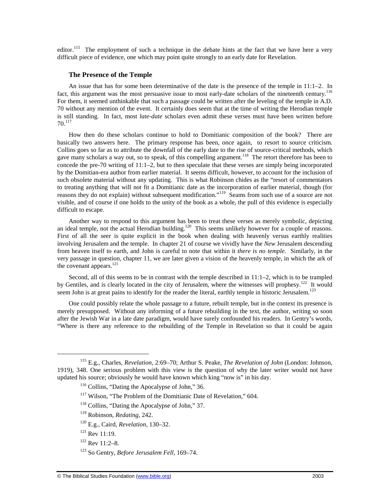editor.<sup>115</sup> The employment of such a technique in the debate hints at the fact that we have here a very difficult piece of evidence, one which may point quite strongly to an early date for Revelation.

#### **The Presence of the Temple**

An issue that has for some been determinative of the date is the presence of the temple in 11:1–2. In fact, this argument was the most persuasive issue to most early-date scholars of the nineteenth century.<sup>116</sup> For them, it seemed unthinkable that such a passage could be written after the leveling of the temple in A.D. 70 without any mention of the event. It certainly does seem that at the time of writing the Herodian temple is still standing. In fact, most *late-date* scholars even admit these verses must have been written before 70.<sup>117</sup>

How then do these scholars continue to hold to Domitianic composition of the book? There are basically two answers here. The primary response has been, once again, to resort to source criticism. Collins goes so far as to attribute the downfall of the early date to the rise of source-critical methods, which gave many scholars a way out, so to speak, of this compelling argument.<sup>118</sup> The retort therefore has been to concede the pre-70 writing of 11:1–2, but to then speculate that these verses are simply being incorporated by the Domitian-era author from earlier material. It seems difficult, however, to account for the inclusion of such obsolete material without any updating. This is what Robinson chides as the "resort of commentators to treating anything that will not fit a Domitianic date as the incorporation of earlier material, though (for reasons they do not explain) without subsequent modification."<sup>119</sup> Seams from such use of a source are not visible, and of course if one holds to the unity of the book as a whole, the pull of this evidence is especially difficult to escape.

Another way to respond to this argument has been to treat these verses as merely symbolic, depicting an ideal temple, not the actual Herodian building.<sup>120</sup> This seems unlikely however for a couple of reasons. First of all the seer is quite explicit in the book when dealing with heavenly versus earthly realities involving Jerusalem and the temple. In chapter 21 of course we vividly have the *New* Jerusalem descending from heaven itself to earth, and John is careful to note that within it *there is no temple*. Similarly, in the very passage in question, chapter 11, we are later given a vision of the heavenly temple, in which the ark of the covenant appears.<sup>121</sup>

Second, all of this seems to be in contrast with the temple described in 11:1–2, which is to be trampled by Gentiles, and is clearly located in the city of Jerusalem, where the witnesses will prophesy.<sup>122</sup> It would seem John is at great pains to identify for the reader the literal, earthly temple in historic Jerusalem.<sup>123</sup>

One could possibly relate the whole passage to a future, rebuilt temple, but in the context its presence is merely presupposed. Without any informing of a future rebuilding in the text, the author, writing so soon after the Jewish War in a late date paradigm, would have surely confounded his readers. In Gentry's words, "Where is there any reference to the rebuilding of the Temple in Revelation so that it could be again

- <sup>119</sup> Robinson, *Redating*, 242.
- <sup>120</sup> E.g., Caird, *Revelation*, 130–32.
- $121$  Rev 11:19.

- $122$  Rev  $11:2-8$ .
- <sup>123</sup> So Gentry, *Before Jerusalem Fell*, 169–74.

<sup>115</sup> E.g., Charles, *Revelation*, 2:69–70; Arthur S. Peake, *The Revelation of John* (London: Johnson, 1919), 348. One serious problem with this view is the question of why the later writer would not have updated his source; obviously he would have known which king "now is" in his day.

<sup>&</sup>lt;sup>116</sup> Collins, "Dating the Apocalypse of John," 36.

<sup>&</sup>lt;sup>117</sup> Wilson, "The Problem of the Domitianic Date of Revelation," 604.

<sup>118</sup> Collins, "Dating the Apocalypse of John," 37.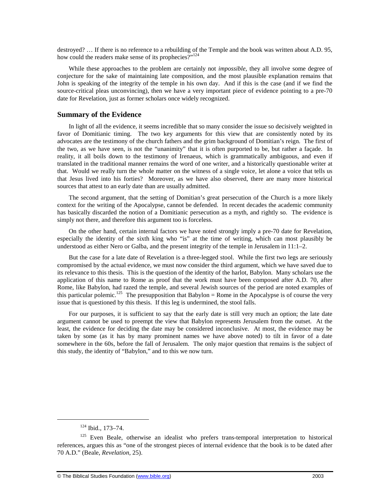destroyed? … If there is no reference to a rebuilding of the Temple and the book was written about A.D. 95, how could the readers make sense of its prophecies?"<sup>124</sup>

While these approaches to the problem are certainly not *impossible*, they all involve some degree of conjecture for the sake of maintaining late composition, and the most plausible explanation remains that John is speaking of the integrity of the temple in his own day. And if this is the case (and if we find the source-critical pleas unconvincing), then we have a very important piece of evidence pointing to a pre-70 date for Revelation, just as former scholars once widely recognized.

## **Summary of the Evidence**

In light of all the evidence, it seems incredible that so many consider the issue so decisively weighted in favor of Domitianic timing. The two key arguments for this view that are consistently noted by its advocates are the testimony of the church fathers and the grim background of Domitian's reign. The first of the two, as we have seen, is not the "unanimity" that it is often purported to be, but rather a façade. In reality, it all boils down to the testimony of Irenaeus, which is grammatically ambiguous, and even if translated in the traditional manner remains the word of one writer, and a historically questionable writer at that. Would we really turn the whole matter on the witness of a single voice, let alone a voice that tells us that Jesus lived into his forties? Moreover, as we have also observed, there are many more historical sources that attest to an early date than are usually admitted.

The second argument, that the setting of Domitian's great persecution of the Church is a more likely context for the writing of the Apocalypse, cannot be defended. In recent decades the academic community has basically discarded the notion of a Domitianic persecution as a myth, and rightly so. The evidence is simply not there, and therefore this argument too is forceless.

On the other hand, certain internal factors we have noted strongly imply a pre-70 date for Revelation, especially the identity of the sixth king who "is" at the time of writing, which can most plausibly be understood as either Nero or Galba, and the present integrity of the temple in Jerusalem in 11:1–2.

But the case for a late date of Revelation is a three-legged stool. While the first two legs are seriously compromised by the actual evidence, we must now consider the third argument, which we have saved due to its relevance to this thesis. This is the question of the identity of the harlot, Babylon. Many scholars use the application of this name to Rome as proof that the work must have been composed after A.D. 70, after Rome, like Babylon, had razed the temple, and several Jewish sources of the period are noted examples of this particular polemic.<sup>125</sup> The presupposition that Babylon = Rome in the Apocalypse is of course the very issue that is questioned by this thesis. If this leg is undermined, the stool falls.

For our purposes, it is sufficient to say that the early date is still very much an option; the late date argument cannot be used to preempt the view that Babylon represents Jerusalem from the outset. At the least, the evidence for deciding the date may be considered inconclusive. At most, the evidence may be taken by some (as it has by many prominent names we have above noted) to tilt in favor of a date somewhere in the 60s, before the fall of Jerusalem. The only major question that remains is the subject of this study, the identity of "Babylon," and to this we now turn.

-

<sup>124</sup> Ibid., 173–74.

<sup>&</sup>lt;sup>125</sup> Even Beale, otherwise an idealist who prefers trans-temporal interpretation to historical references, argues this as "one of the strongest pieces of internal evidence that the book is to be dated after 70 A.D." (Beale, *Revelation*, 25).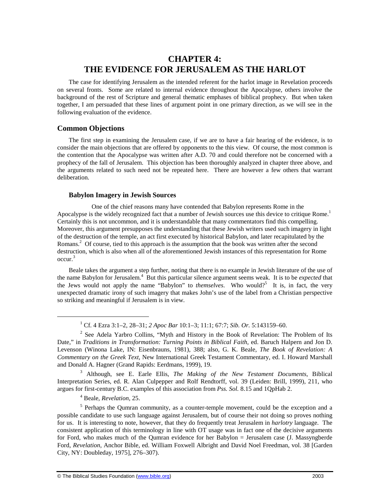# **CHAPTER 4: THE EVIDENCE FOR JERUSALEM AS THE HARLOT**

The case for identifying Jerusalem as the intended referent for the harlot image in Revelation proceeds on several fronts. Some are related to internal evidence throughout the Apocalypse, others involve the background of the rest of Scripture and general thematic emphases of biblical prophecy. But when taken together, I am persuaded that these lines of argument point in one primary direction, as we will see in the following evaluation of the evidence.

## **Common Objections**

The first step in examining the Jerusalem case, if we are to have a fair hearing of the evidence, is to consider the main objections that are offered by opponents to the this view. Of course, the most common is the contention that the Apocalypse was written after A.D. 70 and could therefore not be concerned with a prophecy of the fall of Jerusalem. This objection has been thoroughly analyzed in chapter three above, and the arguments related to such need not be repeated here. There are however a few others that warrant deliberation.

#### **Babylon Imagery in Jewish Sources**

One of the chief reasons many have contended that Babylon represents Rome in the Apocalypse is the widely recognized fact that a number of Jewish sources use this device to critique Rome.<sup>1</sup> Certainly this is not uncommon, and it is understandable that many commentators find this compelling. Moreover, this argument presupposes the understanding that these Jewish writers used such imagery in light of the destruction of the temple, an act first executed by historical Babylon, and later recapitulated by the Romans.<sup>2</sup> Of course, tied to this approach is the assumption that the book was written after the second destruction, which is also when all of the aforementioned Jewish instances of this representation for Rome occur.<sup>3</sup>

Beale takes the argument a step further, noting that there is no example in Jewish literature of the use of the name Babylon for Jerusalem.<sup>4</sup> But this particular silence argument seems weak. It is to be *expected* that the Jews would not apply the name "Babylon" to *themselves*. Who would?<sup>5</sup> It is, in fact, the very unexpected dramatic irony of such imagery that makes John's use of the label from a Christian perspective so striking and meaningful if Jerusalem is in view.

3 Although, see E. Earle Ellis, *The Making of the New Testament Documents*, Biblical Interpretation Series, ed. R. Alan Culpepper and Rolf Rendtorff, vol. 39 (Leiden: Brill, 1999), 211, who argues for first-century B.C. examples of this association from *Pss. Sol.* 8.15 and 1QpHab 2.

4 Beale, *Revelation*, 25.

<sup>1</sup> Cf. 4 Ezra 3:1–2, 28–31; *2 Apoc Bar* 10:1–3; 11:1; 67:7; *Sib. Or.* 5:143159–60.

 $2^2$  See Adela Yarbro Collins, "Myth and History in the Book of Revelation: The Problem of Its Date," in *Traditions in Transformation: Turning Points in Biblical Faith*, ed. Baruch Halpern and Jon D. Levenson (Winona Lake, IN: Eisenbrauns, 1981), 388; also, G. K. Beale, *The Book of Revelation: A Commentary on the Greek Text*, New International Greek Testament Commentary, ed. I. Howard Marshall and Donald A. Hagner (Grand Rapids: Eerdmans, 1999), 19.

<sup>&</sup>lt;sup>5</sup> Perhaps the Qumran community, as a counter-temple movement, could be the exception and a possible candidate to use such language against Jerusalem, but of course their not doing so proves nothing for us. It is interesting to note, however, that they do frequently treat Jerusalem in *harlotry* language. The consistent application of this terminology in line with OT usage was in fact one of the decisive arguments for Ford, who makes much of the Qumran evidence for her Babylon = Jerusalem case (J. Massyngberde Ford, *Revelation*, Anchor Bible, ed. William Foxwell Albright and David Noel Freedman, vol. 38 [Garden City, NY: Doubleday, 1975], 276–307).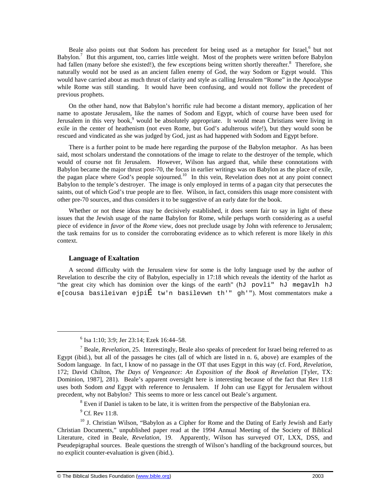Beale also points out that Sodom has precedent for being used as a metaphor for Israel,<sup>6</sup> but not Babylon.<sup>7</sup> But this argument, too, carries little weight. Most of the prophets were written before Babylon had fallen (many before she existed!), the few exceptions being written shortly thereafter.<sup>8</sup> Therefore, she naturally would not be used as an ancient fallen enemy of God, the way Sodom or Egypt would. This would have carried about as much thrust of clarity and style as calling Jerusalem "Rome" in the Apocalypse while Rome was still standing. It would have been confusing, and would not follow the precedent of previous prophets.

On the other hand, now that Babylon's horrific rule had become a distant memory, application of her name to apostate Jerusalem, like the names of Sodom and Egypt, which of course have been used for Jerusalem in this very book,<sup>9</sup> would be absolutely appropriate. It would mean Christians were living in exile in the center of heathenism (not even Rome, but God's adulterous wife!), but they would soon be rescued and vindicated as she was judged by God, just as had happened with Sodom and Egypt before.

There is a further point to be made here regarding the purpose of the Babylon metaphor. As has been said, most scholars understand the connotations of the image to relate to the destroyer of the temple, which would of course not fit Jerusalem. However, Wilson has argued that, while these connotations with Babylon became the major thrust post-70, the focus in earlier writings was on Babylon as the place of exile, the pagan place where God's people sojourned.<sup>10</sup> In this vein, Revelation does not at any point connect Babylon to the temple's destroyer. The image is only employed in terms of a pagan city that persecutes the saints, out of which God's true people are to flee. Wilson, in fact, considers this usage more consistent with other pre-70 sources, and thus considers it to be suggestive of an early date for the book.

Whether or not these ideas may be decisively established, it does seem fair to say in light of these issues that the Jewish usage of the name Babylon for Rome, while perhaps worth considering as a useful piece of evidence in *favor* of the *Rome* view, does not preclude usage by John with reference to Jerusalem; the task remains for us to consider the corroborating evidence as to which referent is more likely in *this* context.

#### **Language of Exaltation**

A second difficulty with the Jerusalem view for some is the lofty language used by the author of Revelation to describe the city of Babylon, especially in 17:18 which reveals the identity of the harlot as "the great city which has dominion over the kings of the earth" (hJ povli" hJ megavlh hJ e[cousa basileivan ejpiÉ tw'n basilevwn th'" gh'"). Most commentators make a

<sup>6</sup> Isa 1:10; 3:9; Jer 23:14; Ezek 16:44–58.

<sup>7</sup> Beale, *Revelation*, 25. Interestingly, Beale also speaks of precedent for Israel being referred to as Egypt (ibid.), but all of the passages he cites (all of which are listed in n. 6, above) are examples of the Sodom language. In fact, I know of no passage in the OT that uses Egypt in this way (cf. Ford, *Revelation*, 172; David Chilton, *The Days of Vengeance: An Exposition of the Book of Revelation* [Tyler, TX: Dominion, 1987], 281). Beale's apparent oversight here is interesting because of the fact that Rev 11:8 uses both Sodom *and* Egypt with reference to Jerusalem. If John can use Egypt for Jerusalem without precedent, why not Babylon? This seems to more or less cancel out Beale's argument.

 $8$  Even if Daniel is taken to be late, it is written from the perspective of the Babylonian era.

 $<sup>9</sup>$  Cf. Rev 11:8.</sup>

<sup>&</sup>lt;sup>10</sup> J. Christian Wilson, "Babylon as a Cipher for Rome and the Dating of Early Jewish and Early Christian Documents," unpublished paper read at the 1994 Annual Meeting of the Society of Biblical Literature, cited in Beale, *Revelation*, 19. Apparently, Wilson has surveyed OT, LXX, DSS, and Pseudepigraphal sources. Beale questions the strength of Wilson's handling of the background sources, but no explicit counter-evaluation is given (ibid.).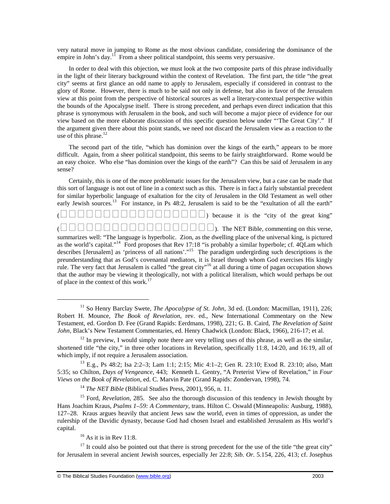very natural move in jumping to Rome as the most obvious candidate, considering the dominance of the empire in John's day.<sup>11</sup> From a sheer political standpoint, this seems very persuasive.

In order to deal with this objection, we must look at the two composite parts of this phrase individually in the light of their literary background within the context of Revelation. The first part, the title "the great city" seems at first glance an odd name to apply to Jerusalem, especially if considered in contrast to the glory of Rome. However, there is much to be said not only in defense, but also in favor of the Jerusalem view at this point from the perspective of historical sources as well a literary-contextual perspective within the bounds of the Apocalypse itself. There is strong precedent, and perhaps even direct indication that this phrase is synonymous with Jerusalem in the book, and such will become a major piece of evidence for our view based on the more elaborate discussion of this specific question below under "'The Great City'." If the argument given there about this point stands, we need not discard the Jerusalem view as a reaction to the use of this phrase. $12$ 

The second part of the title, "which has dominion over the kings of the earth," appears to be more difficult. Again, from a sheer political standpoint, this seems to be fairly straightforward. Rome would be an easy choice. Who else "has dominion over the kings of the earth"? Can this be said of Jerusalem in any sense?

Certainly, this is one of the more problematic issues for the Jerusalem view, but a case can be made that this sort of language is not out of line in a context such as this. There is in fact a fairly substantial precedent for similar hyperbolic language of exaltation for the city of Jerusalem in the Old Testament as well other early Jewish sources.<sup>13</sup> For instance, in Ps 48:2, Jerusalem is said to be the "exultation of all the earth"

() because it is the "city of the great king"

1

(). The NET Bible, commenting on this verse,

summarizes well: "The language is hyperbolic. Zion, as the dwelling place of the universal king, is pictured as the world's capital."<sup>14</sup> Ford proposes that Rev 17:18 "is probably a similar hyperbole; cf. 4QLam which describes [Jerusalem] as 'princess of all nations'."<sup>15</sup> The paradigm undergirding such descriptions is the preunderstanding that as God's covenantal mediators, it is Israel through whom God exercises His kingly rule. The very fact that Jerusalem is called "the great city"<sup>16</sup> at all during a time of pagan occupation shows that the author may be viewing it theologically, not with a political literalism, which would perhaps be out of place in the context of this work.<sup>17</sup>

 $16$  As it is in Rev 11:8.

<sup>11</sup> So Henry Barclay Swete, *The Apocalypse of St. John,* 3d ed. (London: Macmillan, 1911), 226; Robert H. Mounce, *The Book of Revelation,* rev. ed., New International Commentary on the New Testament, ed. Gordon D. Fee (Grand Rapids: Eerdmans, 1998), 221; G. B. Caird, *The Revelation of Saint John*, Black's New Testament Commentaries, ed. Henry Chadwick (London: Black, 1966), 216-17; et al.

 $12$  In preview, I would simply note there are very telling uses of this phrase, as well as the similar, shortened title "the city," in three other locations in Revelation, specifically 11:8, 14:20, and 16:19, all of which imply, if not require a Jerusalem association.

<sup>13</sup> E.g., Ps 48:2; Isa 2:2–3; Lam 1:1; 2:15; Mic 4:1–2; Gen R. 23:10; Exod R. 23:10; also, Matt 5:35; so Chilton, *Days of Vengeance*, 443; Kenneth L. Gentry, "A Preterist View of Revelation," in *Four Views on the Book of Revelation*, ed. C. Marvin Pate (Grand Rapids: Zondervan, 1998), 74.

<sup>&</sup>lt;sup>14</sup> *The NET Bible* (Biblical Studies Press, 2001), 956, n. 11.

<sup>&</sup>lt;sup>15</sup> Ford, *Revelation*, 285. See also the thorough discussion of this tendency in Jewish thought by Hans Joachim Kraus, *Psalms 1–59: A Commentary*, trans. Hilton C. Oswald (Minneapolis: Ausburg, 1988), 127–28. Kraus argues heavily that ancient Jews saw the world, even in times of oppression, as under the rulership of the Davidic dynasty, because God had chosen Israel and established Jerusalem as His world's capital.

 $17$  It could also be pointed out that there is strong precedent for the use of the title "the great city" for Jerusalem in several ancient Jewish sources, especially Jer 22:8; *Sib. Or*. 5.154, 226, 413; cf. Josephus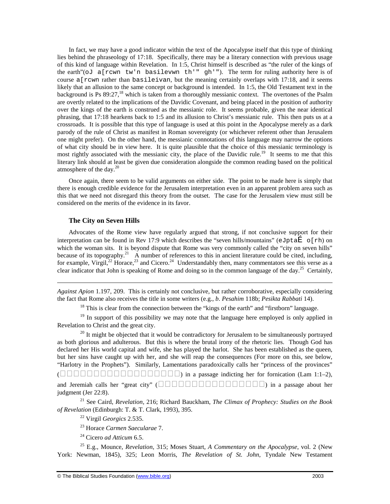In fact, we may have a good indicator within the text of the Apocalypse itself that this type of thinking lies behind the phraseology of 17:18. Specifically, there may be a literary connection with previous usage of this kind of language within Revelation. In 1:5, Christ himself is described as "the ruler of the kings of the earth"( $\circ$ J a[rcwn tw'n basilevwn th'" qh'"). The term for ruling authority here is of course a[rcwn rather than basileivan, but the meaning certainly overlaps with 17:18, and it seems likely that an allusion to the same concept or background is intended. In 1:5, the Old Testament text in the background is Ps 89:27,<sup>18</sup> which is taken from a thoroughly messianic context. The overtones of the Psalm are overtly related to the implications of the Davidic Covenant, and being placed in the position of authority over the kings of the earth is construed as the messianic role. It seems probable, given the near identical phrasing, that 17:18 hearkens back to 1:5 and its allusion to Christ's messianic rule. This then puts us at a crossroads. It is possible that this type of language is used at this point in the Apocalypse merely as a dark parody of the rule of Christ as manifest in Roman sovereignty (or whichever referent other than Jerusalem one might prefer). On the other hand, the messianic connotations of this language may narrow the options of what city should be in view here. It is quite plausible that the choice of this messianic terminology is most rightly associated with the messianic city, the place of the Davidic rule.<sup>19</sup> It seems to me that this literary link should at least be given due consideration alongside the common reading based on the political atmosphere of the day. $^{20}$ 

Once again, there seem to be valid arguments on either side. The point to be made here is simply that there is enough credible evidence for the Jerusalem interpretation even in an apparent problem area such as this that we need not disregard this theory from the outset. The case for the Jerusalem view must still be considered on the merits of the evidence in its favor.

## **The City on Seven Hills**

 $\overline{a}$ 

Advocates of the Rome view have regularly argued that strong, if not conclusive support for their interpretation can be found in Rev 17:9 which describes the "seven hills/mountains" (eJpta $\overline{E}$  o[rh) on which the woman sits. It is beyond dispute that Rome was very commonly called the "city on seven hills" because of its topography.<sup>21</sup> A number of references to this in ancient literature could be cited, including, for example, Virgil,<sup>22</sup> Horace,<sup>23</sup> and Cicero.<sup>24</sup> Understandably then, many commentators see this verse as a clear indicator that John is speaking of Rome and doing so in the common language of the day.<sup>25</sup> Certainly,

*Against Apion* 1.197, 209. This is certainly not conclusive, but rather corroborative, especially considering the fact that Rome also receives the title in some writers (e.g., *b*. *Pesahim* 118b; *Pesikta Rabbati* 14).

 $18$  This is clear from the connection between the "kings of the earth" and "firstborn" language.

 $19$  In support of this possibility we may note that the language here employed is only applied in Revelation to Christ and the great city.

 $20$  It might be objected that it would be contradictory for Jerusalem to be simultaneously portrayed as both glorious and adulterous. But this is where the brutal irony of the rhetoric lies. Though God has declared her His world capital and wife, she has played the harlot. She has been established as the queen, but her sins have caught up with her, and she will reap the consequences (For more on this, see below, "Harlotry in the Prophets"). Similarly, Lamentations paradoxically calls her "princess of the provinces"

() in a passage indicting her for fornication (Lam 1:1–2), and Jeremiah calls her "great city" () in a passage about her judgment (Jer 22:8).

<sup>21</sup> See Caird, *Revelation*, 216; Richard Bauckham, *The Climax of Prophecy: Studies on the Book of Revelation* (Edinburgh: T. & T. Clark, 1993), 395.

<sup>22</sup> Virgil *Georgics* 2.535.

<sup>23</sup> Horace *Carmen Saecularae* 7.

<sup>24</sup> Cicero *ad Atticum* 6.5.

<sup>25</sup> E.g., Mounce, *Revelation*, 315; Moses Stuart, *A Commentary on the Apocalypse*, vol. 2 (New York: Newman, 1845), 325; Leon Morris, *The Revelation of St. John*, Tyndale New Testament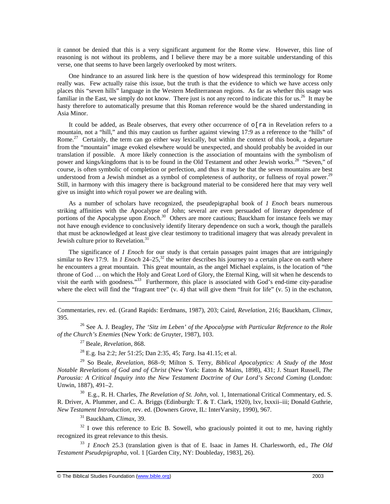it cannot be denied that this is a very significant argument for the Rome view. However, this line of reasoning is not without its problems, and I believe there may be a more suitable understanding of this verse, one that seems to have been largely overlooked by most writers.

One hindrance to an assured link here is the question of how widespread this terminology for Rome really was. Few actually raise this issue, but the truth is that the evidence to which we have access only places this "seven hills" language in the Western Mediterranean regions. As far as whether this usage was familiar in the East, we simply do not know. There just is not any record to indicate this for us.<sup>26</sup> It may be hasty therefore to automatically presume that this Roman reference would be the shared understanding in Asia Minor.

It could be added, as Beale observes, that every other occurrence of  $\circ$  [ra in Revelation refers to a mountain, not a "hill," and this may caution us further against viewing 17:9 as a reference to the "hills" of Rome.<sup>27</sup> Certainly, the term can go either way lexically, but within the context of this book, a departure from the "mountain" image evoked elsewhere would be unexpected, and should probably be avoided in our translation if possible. A more likely connection is the association of mountains with the symbolism of power and kings/kingdoms that is to be found in the Old Testament and other Jewish works.<sup>28</sup> "Seven," of course, is often symbolic of completion or perfection, and thus it may be that the seven mountains are best understood from a Jewish mindset as a symbol of completeness of authority, or fullness of royal power.<sup>29</sup> Still, in harmony with this imagery there is background material to be considered here that may very well give us insight into *which* royal power we are dealing with.

As a number of scholars have recognized, the pseudepigraphal book of *1 Enoch* bears numerous striking affinities with the Apocalypse of John; several are even persuaded of literary dependence of portions of the Apocalypse upon *Enoch*. <sup>30</sup> Others are more cautious; Bauckham for instance feels we may not have enough evidence to conclusively identify literary dependence on such a work, though the parallels that must be acknowledged at least give clear testimony to traditional imagery that was already prevalent in Jewish culture prior to Revelation.<sup>31</sup>

The significance of *1 Enoch* for our study is that certain passages paint images that are intriguingly similar to Rev 17:9. In *1 Enoch* 24–25,<sup>32</sup> the writer describes his journey to a certain place on earth where he encounters a great mountain. This great mountain, as the angel Michael explains, is the location of "the throne of God … on which the Holy and Great Lord of Glory, the Eternal King, will sit when he descends to visit the earth with goodness."<sup>33</sup> Furthermore, this place is associated with God's end-time city-paradise where the elect will find the "fragrant tree"  $(v, 4)$  that will give them "fruit for life"  $(v, 5)$  in the eschaton,

Commentaries, rev. ed. (Grand Rapids: Eerdmans, 1987), 203; Caird, *Revelation*, 216; Bauckham, *Climax*, 395.

<sup>26</sup> See A. J. Beagley, *The 'Sitz im Leben' of the Apocalypse with Particular Reference to the Role of the Church's Enemies* (New York: de Gruyter, 1987), 103.

<sup>27</sup> Beale, *Revelation*, 868.

 $\overline{a}$ 

<sup>28</sup> E.g. Isa 2:2; Jer 51:25; Dan 2:35, 45; *Targ*. Isa 41.15; et al.

<sup>29</sup> So Beale, *Revelation*, 868–9; Milton S. Terry, *Biblical Apocalyptics: A Study of the Most Notable Revelations of God and of Christ* (New York: Eaton & Mains, 1898), 431; J. Stuart Russell, *The Parousia: A Critical Inquiry into the New Testament Doctrine of Our Lord's Second Coming* (London: Unwin, 1887), 491–2.

<sup>30</sup> E.g., R. H. Charles, *The Revelation of St. John*, vol. 1, International Critical Commentary, ed. S. R. Driver, A. Plummer, and C. A. Briggs (Edinburgh: T. & T. Clark, 1920), lxv, lxxxii–iii; Donald Guthrie, *New Testament Introduction*, rev. ed. (Downers Grove, IL: InterVarsity, 1990), 967.

<sup>31</sup> Bauckham, *Climax*, 39.

 $32$  I owe this reference to Eric B. Sowell, who graciously pointed it out to me, having rightly recognized its great relevance to this thesis.

<sup>33</sup> *1 Enoch* 25.3 (translation given is that of E. Isaac in James H. Charlesworth, ed., *The Old Testament Pseudepigrapha*, vol. 1 [Garden City, NY: Doubleday, 1983], 26).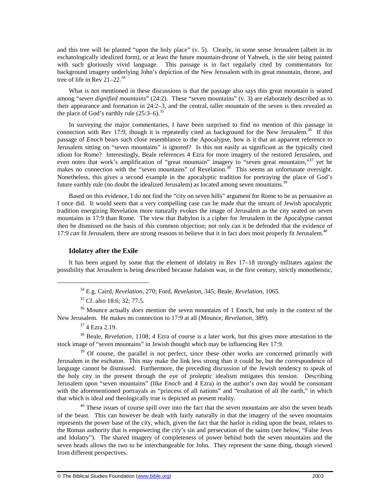and this tree will be planted "upon the holy place" (v. 5). Clearly, in some sense Jerusalem (albeit in its eschatologically idealized form), or at least the future mountain-throne of Yahweh, is the site being painted with such gloriously vivid language. This passage is in fact regularly cited by commentators for background imagery underlying John's depiction of the New Jerusalem with its great mountain, throne, and tree of life in Rev 21–22.<sup>34</sup>

What is not mentioned in these discussions is that the passage also says this great mountain is seated among "*seven dignified mountains*" (24:2). These "seven mountains" (v. 3) are elaborately described as to their appearance and formation in 24:2–3, and the central, taller mountain of the seven is then revealed as the place of God's earthly rule  $(25:3-6).^{35}$ 

In surveying the major commentaries, I have been surprised to find *no* mention of this passage in connection with Rev 17:9, though it is repeatedly cited as background for the New Jerusalem.<sup>36</sup> If this passage of *Enoch* bears such close resemblance to the Apocalypse, how is it that an apparent reference to Jerusalem sitting on "seven mountains" is ignored? Is this not easily as significant as the typically cited idiom for Rome? Interestingly, Beale references 4 Ezra for more imagery of the restored Jerusalem, and even notes that work's amplification of "great mountain" imagery to "seven great mountains,"<sup>37</sup> yet he makes no connection with the "seven mountains" of Revelation.<sup>38</sup> This seems an unfortunate oversight. Nonetheless, this gives a second example in the apocalyptic tradition for portraying the place of God's future earthly rule (no doubt the idealized Jerusalem) as located among seven mountains.<sup>39</sup>

Based on this evidence, I do not find the "city on seven hills" argument for Rome to be as persuasive as I once did. It would seem that a very compelling case can be made that the stream of Jewish apocalyptic tradition energizing Revelation more naturally evokes the image of Jerusalem as the city seated on seven mountains in 17:9 than Rome. The view that Babylon is a cipher for Jerusalem in the Apocalypse cannot then be dismissed on the basis of this common objection; not only can it be defended that the evidence of 17:9 *can* fit Jerusalem, there are strong reasons to believe that it in fact *does* most properly fit Jerusalem.<sup>40</sup>

#### **Idolatry after the Exile**

It has been argued by some that the element of idolatry in Rev 17–18 strongly militates against the possibility that Jerusalem is being described because Judaism was, in the first century, strictly monotheistic,

<sup>36</sup> Mounce actually *does* mention the seven mountains of 1 Enoch, but only in the context of the New Jerusalem. He makes no connection to 17:9 at all (Mounce, *Revelation*, 389).

<sup>37</sup> 4 Ezra 2.19.

1

<sup>38</sup> Beale, *Revelation*, 1108; 4 Ezra of course is a later work, but this gives more attestation to the stock image of "seven mountains" in Jewish thought which may be influencing Rev 17:9.

<sup>39</sup> Of course, the parallel is not perfect, since these other works are concerned primarily with Jerusalem in the eschaton. This may make the link less strong than it could be, but the correspondence of language cannot be dismissed. Furthermore, the preceding discussion of the Jewish tendency to speak of the holy city in the present through the eye of proleptic idealism mitigates this tension. Describing Jerusalem upon "seven mountains" (like *Enoch* and 4 Ezra) in the author's own day would be consonant with the aforementioned portrayals as "princess of all nations" and "exultation of all the earth," in which that which is ideal and theologically true is depicted as present reality.

 $40$  These issues of course spill over into the fact that the seven mountains are also the seven heads of the beast. This can however be dealt with fairly naturally in that the imagery of the seven mountains represents the power base of the city, which, given the fact that the harlot is riding upon the beast, relates to the Roman authority that is empowering the city's sin and persecution of the saints (see below, "False Jews and Idolatry"). The shared imagery of completeness of power behind both the seven mountains and the seven heads allows the two to be interchangeable for John. They represent the same thing, though viewed from different perspectives.

<sup>34</sup> E.g. Caird, *Revelation*, 270; Ford, *Revelation*, 345; Beale, *Revelation*, 1065.

<sup>&</sup>lt;sup>35</sup> Cf. also 18.6; 32; 77.5.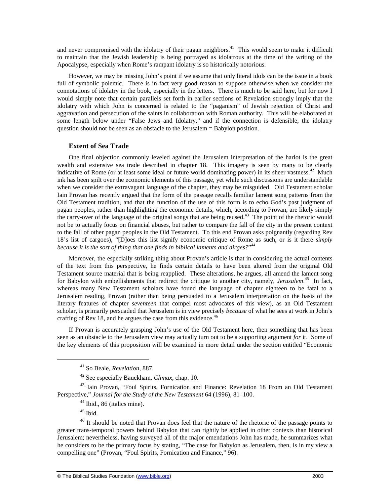and never compromised with the idolatry of their pagan neighbors.<sup>41</sup> This would seem to make it difficult to maintain that the Jewish leadership is being portrayed as idolatrous at the time of the writing of the Apocalypse, especially when Rome's rampant idolatry is so historically notorious.

However, we may be missing John's point if we assume that only literal idols can be the issue in a book full of symbolic polemic. There is in fact very good reason to suppose otherwise when we consider the connotations of idolatry in the book, especially in the letters. There is much to be said here, but for now I would simply note that certain parallels set forth in earlier sections of Revelation strongly imply that the idolatry with which John is concerned is related to the "paganism" of Jewish rejection of Christ and aggravation and persecution of the saints in collaboration with Roman authority. This will be elaborated at some length below under "False Jews and Idolatry," and if the connection is defensible, the idolatry question should not be seen as an obstacle to the Jerusalem = Babylon position.

## **Extent of Sea Trade**

One final objection commonly leveled against the Jerusalem interpretation of the harlot is the great wealth and extensive sea trade described in chapter 18. This imagery is seen by many to be clearly indicative of Rome (or at least some ideal or future world dominating power) in its sheer vastness.<sup>42</sup> Much ink has been spilt over the economic elements of this passage, yet while such discussions are understandable when we consider the extravagant language of the chapter, they may be misguided. Old Testament scholar Iain Provan has recently argued that the form of the passage recalls familiar lament song patterns from the Old Testament tradition, and that the function of the use of this form is to echo God's past judgment of pagan peoples, rather than highlighting the economic details, which, according to Provan, are likely simply the carry-over of the language of the original songs that are being reused.<sup>43</sup> The point of the rhetoric would not be to actually focus on financial abuses, but rather to compare the fall of the city in the present context to the fall of other pagan peoples in the Old Testament. To this end Provan asks poignantly (regarding Rev 18's list of cargoes), "[D]oes this list signify economic critique of Rome as such, or is it there *simply because it is the sort of thing that one finds in biblical laments and dirges?*" 44

Moreover, the especially striking thing about Provan's article is that in considering the actual contents of the text from this perspective, he finds certain details to have been altered from the original Old Testament source material that is being reapplied. These alterations, he argues, all amend the lament song for Babylon with embellishments that redirect the critique to another city, namely, *Jerusalem*. <sup>45</sup> In fact, whereas many New Testament scholars have found the language of chapter eighteen to be fatal to a Jerusalem reading, Provan (rather than being persuaded to a Jerusalem interpretation on the basis of the literary features of chapter *seventeen* that compel most advocates of this view), as an Old Testament scholar, is primarily persuaded that Jerusalem is in view precisely *because* of what he sees at work in John's crafting of Rev 18, and he argues the case from this evidence.<sup>46</sup>

If Provan is accurately grasping John's use of the Old Testament here, then something that has been seen as an obstacle to the Jerusalem view may actually turn out to be a supporting argument *for* it. Some of the key elements of this proposition will be examined in more detail under the section entitled "Economic

<sup>41</sup> So Beale, *Revelation*, 887.

<sup>42</sup> See especially Bauckham, *Climax*, chap. 10.

<sup>43</sup> Iain Provan, "Foul Spirits, Fornication and Finance: Revelation 18 From an Old Testament Perspective," *Journal for the Study of the New Testament* 64 (1996), 81–100.

<sup>44</sup> Ibid., 86 (italics mine).

 $45$  Ibid.

<sup>&</sup>lt;sup>46</sup> It should be noted that Provan does feel that the nature of the rhetoric of the passage points to greater trans-temporal powers behind Babylon that can rightly be applied in other contexts than historical Jerusalem; nevertheless, having surveyed all of the major emendations John has made, he summarizes what he considers to be the primary focus by stating, "The case for Babylon as Jerusalem, then, is in my view a compelling one" (Provan, "Foul Spirits, Fornication and Finance," 96).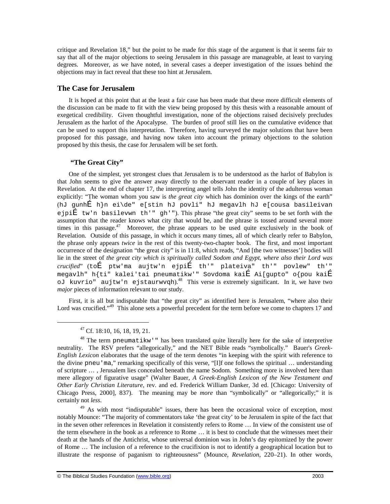critique and Revelation 18," but the point to be made for this stage of the argument is that it seems fair to say that all of the major objections to seeing Jerusalem in this passage are manageable, at least to varying degrees. Moreover, as we have noted, in several cases a deeper investigation of the issues behind the objections may in fact reveal that these too hint at Jerusalem.

## **The Case for Jerusalem**

It is hoped at this point that at the least a fair case has been made that these more difficult elements of the discussion can be made to fit with the view being proposed by this thesis with a reasonable amount of exegetical credibility. Given thoughtful investigation, none of the objections raised decisively precludes Jerusalem as the harlot of the Apocalypse. The burden of proof still lies on the cumulative evidence that can be used to support this interpretation. Therefore, having surveyed the major solutions that have been proposed for this passage, and having now taken into account the primary objections to the solution proposed by this thesis, the case for Jerusalem will be set forth.

## **"The Great City"**

One of the simplest, yet strongest clues that Jerusalem is to be understood as the harlot of Babylon is that John seems to give the answer away directly to the observant reader in a couple of key places in Revelation. At the end of chapter 17, the interpreting angel tells John the identity of the adulterous woman explicitly: "The woman whom you saw is *the great city* which has dominion over the kings of the earth" (hJ gunhÉ h}n ei\de" e[stin hJ povli" hJ megavlh hJ e[cousa basileivan ejpi $\tilde{E}$  tw'n basilevwn th'" gh'"). This phrase "the great city" seems to be set forth with the assumption that the reader knows what city that would be, and the phrase is tossed around several more times in this passage. $47$  Moreover, the phrase appears to be used quite exclusively in the book of Revelation. Outside of this passage, in which it occurs many times, all of which clearly refer to Babylon, the phrase only appears *twice* in the rest of this twenty-two-chapter book. The first, and most important occurrence of the designation "the great city" is in 11:8, which reads, "And [the two witnesses'] bodies will lie in the street of *the great city which is spiritually called Sodom and Egypt, where also their Lord was crucified*" (toÉ ptw'ma aujtw'n ejpiÉ th'" plateiva" th'" povlew" th'" megavlh" h{ti" kalei'tai pneumatikw'" Sovdoma kaiÉ Ai[gupto" o{pou kaiÉ oJ kuvrio" aujtw'n ejstaurwvqh).<sup>48</sup> This verse is extremely significant. In it, we have two *major* pieces of information relevant to our study.

First, it is all but indisputable that "the great city" as identified here is Jerusalem, "where also their Lord was crucified."<sup>49</sup> This alone sets a powerful precedent for the term before we come to chapters 17 and

-

<sup>49</sup> As with most "indisputable" issues, there has been the occasional voice of exception, most notably Mounce: "The majority of commentators take 'the great city' to be Jerusalem in spite of the fact that in the seven other references in Revelation it consistently refers to Rome … In view of the consistent use of the term elsewhere in the book as a reference to Rome … it is best to conclude that the witnesses meet their death at the hands of the Antichrist, whose universal dominion was in John's day epitomized by the power of Rome … The inclusion of a reference to the crucifixion is not to identify a geographical location but to illustrate the response of paganism to righteousness" (Mounce, *Revelation*, 220–21). In other words,

 $47$  Cf. 18:10, 16, 18, 19, 21.

<sup>48</sup> The term pneumatikw'" has been translated quite literally here for the sake of interpretive neutrality. The RSV prefers "allegorically," and the NET Bible reads "symbolically." Bauer's *Greek-English Lexicon* elaborates that the usage of the term denotes "in keeping with the spirit with reference to the divine pneu'ma," remarking specifically of this verse, "[I]f one follows the spiritual … understanding of scripture … , Jerusalem lies concealed beneath the name Sodom. Something more is involved here than mere allegory of figurative usage" (Walter Bauer, *A Greek-English Lexicon of the New Testament and Other Early Christian Literature*, rev. and ed. Frederick William Danker, 3d ed. [Chicago: University of Chicago Press, 2000], 837). The meaning may be *more* than "symbolically" or "allegorically;" it is certainly not *less*.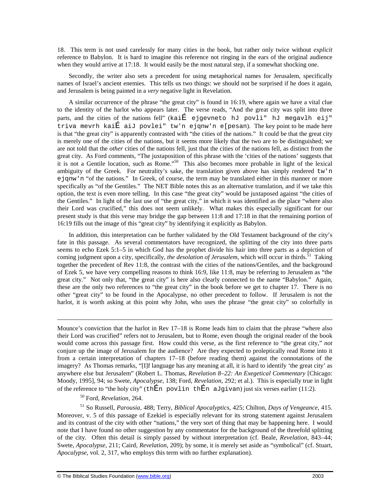18. This term is not used carelessly for many cities in the book, but rather only twice without *explicit* reference to Babylon. It is hard to imagine this reference not ringing in the ears of the original audience when they would arrive at 17:18. It would easily be the most natural step, if a somewhat shocking one.

Secondly, the writer also sets a precedent for using metaphorical names for Jerusalem, specifically names of Israel's ancient enemies. This tells us two things: we should not be surprised if he does it again, and Jerusalem is being painted in a *very* negative light in Revelation.

A similar occurrence of the phrase "the great city" is found in 16:19, where again we have a vital clue to the identity of the harlot who appears later. The verse reads, "And the great city was split into three parts, and the cities of the nations fell" (kai $\tilde{E}$  ejgevneto hJ povli" hJ megavlh eij" triva mevrh kaiÉ aiJ povlei" tw'n ejqnw'n e[pesan). The key point to be made here is that "the great city" is apparently contrasted with "the cities of the nations." It could be that the great city is merely one of the cities of the nations, but it seems more likely that the two are to be distinguished; we are not told that the *other* cities of the nations fell, just that the cities of the nations fell, as distinct from the great city. As Ford comments, "The juxtaposition of this phrase with the 'cities of the nations' suggests that it is not a Gentile location, such as Rome."<sup>50</sup> This also becomes more probable in light of the lexical ambiguity of the Greek. For neutrality's sake, the translation given above has simply rendered tw'n ejqnw'n "of the nations." In Greek, of course, the term may be translated either in this manner or more specifically as "of the Gentiles." The NET Bible notes this as an alternative translation, and if we take this option, the text is even more telling. In this case "the great city" would be juxtaposed against "the cities of the Gentiles." In light of the last use of "the great city," in which it was identified as the place "where also their Lord was crucified," this does not seem unlikely. What makes this especially significant for our present study is that this verse may bridge the gap between 11:8 and 17:18 in that the remaining portion of 16:19 fills out the image of this "great city" by identifying it explicitly as Babylon.

In addition, this interpretation can be further validated by the Old Testament background of the city's fate in this passage. As several commentators have recognized, the splitting of the city into three parts seems to echo Ezek 5:1–5 in which God has the prophet divide his hair into three parts as a depiction of coming judgment upon a city, specifically, *the desolation of Jerusalem*, which will occur in thirds.<sup>51</sup> Taking together the precedent of Rev 11:8, the contrast with the cities of the nations/Gentiles, and the background of Ezek 5, we have very compelling reasons to think 16:9, like 11:8, may be referring to Jerusalem as "the great city." Not only that, "the great city" is here also clearly connected to the name "Babylon." Again, these are the only two references to "the great city" in the book before we get to chapter 17. There is no other "great city" to be found in the Apocalypse, no other precedent to follow. If Jerusalem is not the harlot, it is worth asking at this point why John, who uses the phrase "the great city" so colorfully in

Mounce's conviction that the harlot in Rev 17–18 is Rome leads him to claim that the phrase "where also their Lord was crucified" refers not to Jerusalem, but to Rome, even though the original reader of the book would come across this passage first. How could this verse, as the first reference to "the great city," *not* conjure up the image of Jerusalem for the audience? Are they expected to proleptically read Rome into it from a certain interpretation of chapters 17–18 (before reading them) against the connotations of the imagery? As Thomas remarks, "[I]f language has any meaning at all, it is hard to identify 'the great city' as anywhere else but Jerusalem" (Robert L. Thomas, *Revelation 8–22: An Exegetical Commentary* [Chicago: Moody, 1995], 94; so Swete, *Apocalypse*, 138; Ford, *Revelation*, 292; et al.). This is especially true in light of the reference to "the holy city" (thEn povlin thEn aJqivan) just six verses earlier (11:2).

<sup>50</sup> Ford, *Revelation*, 264.

 $\overline{a}$ 

<sup>51</sup> So Russell, *Parousia*, 488; Terry, *Biblical Apocalyptics*, 425; Chilton, *Days of Vengeance*, 415. Moreover, v. 5 of this passage of Ezekiel is especially relevant for its strong statement against Jerusalem and its contrast of the city with other "nations," the very sort of thing that may be happening here. I would note that I have found no other suggestion by any commentator for the background of the threefold splitting of the city. Often this detail is simply passed by without interpretation (cf. Beale, *Revelation*, 843–44; Swete, *Apocalypse*, 211; Caird, *Revelation*, 209); by some, it is merely set aside as "symbolical" (cf. Stuart, *Apocalypse*, vol. 2, 317, who employs this term with no further explanation).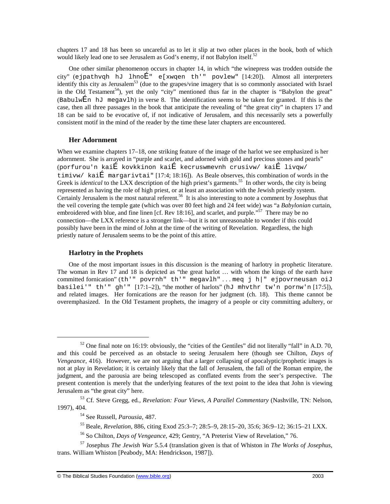chapters 17 and 18 has been so uncareful as to let it slip at two other places in the book, both of which would likely lead one to see Jerusalem as God's enemy, if not Babylon itself.<sup>52</sup>

One other similar phenomenon occurs in chapter 14, in which "the winepress was trodden outside the city" (ejpathvqh hJ lhnoÉ" e[xwqen th'" povlew" [14:20]). Almost all interpreters identify this city as Jerusalem<sup>53</sup> (due to the grapes/vine imagery that is so commonly associated with Israel in the Old Testament<sup>54</sup>), yet the only "city" mentioned thus far in the chapter is "Babylon the great" (Babulw $\hat{E}$ n hJ megavlh) in verse 8. The identification seems to be taken for granted. If this is the case, then all three passages in the book that anticipate the revealing of "the great city" in chapters 17 and 18 can be said to be evocative of, if not indicative of Jerusalem, and this necessarily sets a powerfully consistent motif in the mind of the reader by the time these later chapters are encountered.

## **Her Adornment**

When we examine chapters 17–18, one striking feature of the image of the harlot we see emphasized is her adornment. She is arrayed in "purple and scarlet, and adorned with gold and precious stones and pearls" (porfurou'n kaiÉ kovkkinon kaiÉ kecruswmevnh crusivw/ kaiÉ livqw/ timivw/ kaiÉ margarivtai" [17:4; 18:16]). As Beale observes, this combination of words in the Greek is *identical* to the LXX description of the high priest's garments.<sup>55</sup> In other words, the city is being represented as having the role of high priest, or at least an association with the Jewish priestly system. Certainly Jerusalem is the most natural referent.<sup>56</sup> It is also interesting to note a comment by Josephus that the veil covering the temple gate (which was over 80 feet high and 24 feet wide) was "a *Babylonian* curtain, embroidered with blue, and fine linen [cf. Rev 18:16], and scarlet, and purple."<sup>57</sup> There may be no connection—the LXX reference is a stronger link—but it is not unreasonable to wonder if this could possibly have been in the mind of John at the time of the writing of Revelation. Regardless, the high priestly nature of Jerusalem seems to be the point of this attire.

## **Harlotry in the Prophets**

 $\overline{a}$ 

One of the most important issues in this discussion is the meaning of harlotry in prophetic literature. The woman in Rev 17 and 18 is depicted as "the great harlot … with whom the kings of the earth have committed fornication" (th'" povrnh" th'" megavlh" ... meq j h|" ejpovrneusan oiJ basilei'" th'" gh'"  $[17:1-2]$ ), "the mother of harlots" (hJ mhvthr tw'n pornw'n  $[17:5]$ ), and related images. Her fornications are the reason for her judgment (ch. 18). This theme cannot be overemphasized. In the Old Testament prophets, the imagery of a people or city committing adultery, or

 $52$  One final note on 16:19: obviously, the "cities of the Gentiles" did not literally "fall" in A.D. 70, and this could be perceived as an obstacle to seeing Jerusalem here (though see Chilton, *Days of Vengeance*, 416). However, we are not arguing that a larger collapsing of apocalyptic/prophetic images is not at play in Revelation; it is certainly likely that the fall of Jerusalem, the fall of the Roman empire, the judgment, and the parousia are being telescoped as conflated events from the seer's perspective. The present contention is merely that the underlying features of the text point to the idea that John is viewing Jerusalem as "the great city" here.

<sup>53</sup> Cf. Steve Gregg, ed*., Revelation: Four Views, A Parallel Commentary* (Nashville, TN: Nelson, 1997), 404.

<sup>54</sup> See Russell, *Parousia*, 487.

<sup>55</sup> Beale, *Revelation*, 886, citing Exod 25:3–7; 28:5–9, 28:15–20, 35:6; 36:9–12; 36:15–21 LXX.

<sup>56</sup> So Chilton, *Days of Vengeance*, 429; Gentry, "A Preterist View of Revelation," 76.

<sup>57</sup> Josephus *The Jewish War* 5.5.4 (translation given is that of Whiston in *The Works of Josephus*, trans. William Whiston [Peabody, MA: Hendrickson, 1987]).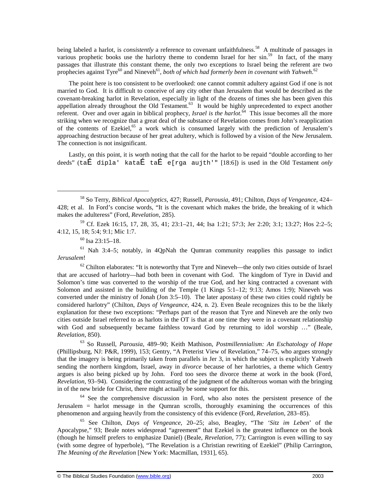being labeled a harlot, is *consistently* a reference to covenant unfaithfulness.<sup>58</sup> A multitude of passages in various prophetic books use the harlotry theme to condemn Israel for her sin.<sup>59</sup> In fact, of the many passages that illustrate this constant theme, the only two exceptions to Israel being the referent are two prophecies against Tyre<sup>60</sup> and Nineveh<sup>61</sup>, both of which had formerly been in covenant with Yahweh.<sup>62</sup>

The point here is too consistent to be overlooked: one cannot commit adultery against God if one is not married to God. It is difficult to conceive of any city other than Jerusalem that would be described as the covenant-breaking harlot in Revelation, especially in light of the dozens of times she has been given this appellation already throughout the Old Testament.<sup>63</sup> It would be highly unprecedented to expect another referent. Over and over again in biblical prophecy, *Israel is the harlot*. <sup>64</sup> This issue becomes all the more striking when we recognize that a great deal of the substance of Revelation comes from John's reapplication of the contents of Ezekiel,<sup>65</sup> a work which is consumed largely with the prediction of Jerusalem's approaching destruction because of her great adultery, which is followed by a vision of the New Jerusalem. The connection is not insignificant.

Lastly, on this point, it is worth noting that the call for the harlot to be repaid "double according to her deeds" (taÉ dipla' kataÉ taÉ e[rga aujth'" [18:6]) is used in the Old Testament *only*

<sup>59</sup> Cf. Ezek 16:15, 17, 28, 35, 41; 23:1–21, 44; Isa 1:21; 57:3; Jer 2:20; 3:1; 13:27; Hos 2:2–5; 4:12, 15, 18; 5:4; 9:1; Mic 1:7.

 $60$  Isa 23:15–18.

 $\overline{a}$ 

 $61$  Nah 3:4–5; notably, in 4OpNah the Oumran community reapplies this passage to indict *Jerusalem*!

 $62$  Chilton elaborates: "It is noteworthy that Tyre and Nineveh—the only two cities outside of Israel that are accused of harlotry—had both been in covenant with God. The kingdom of Tyre in David and Solomon's time was converted to the worship of the true God, and her king contracted a covenant with Solomon and assisted in the building of the Temple (1 Kings 5:1–12; 9:13; Amos 1:9); Nineveh was converted under the ministry of Jonah (Jon 3:5–10). The later apostasy of these two cities could rightly be considered harlotry" (Chilton, *Days of Vengeance*, 424, n. 2). Even Beale recognizes this to be the likely explanation for these two exceptions: "Perhaps part of the reason that Tyre and Nineveh are the only two cities outside Israel referred to as harlots in the OT is that at one time they were in a covenant relationship with God and subsequently became faithless toward God by returning to idol worship …" (Beale, *Revelation*, 850).

<sup>63</sup> So Russell, *Parousia*, 489–90; Keith Mathison, *Postmillennialism: An Eschatology of Hope* (Phillipsburg, NJ: P&R, 1999), 153; Gentry, "A Preterist View of Revelation," 74–75, who argues strongly that the imagery is being primarily taken from parallels in Jer 3, in which the subject is explicitly Yahweh sending the northern kingdom, Israel, away in *divorce* because of her harlotries, a theme which Gentry argues is also being picked up by John. Ford too sees the divorce theme at work in the book (Ford, *Revelation*, 93–94). Considering the contrasting of the judgment of the adulterous woman with the bringing in of the new bride for Christ, there might actually be some support for this.

 $64$  See the comprehensive discussion in Ford, who also notes the persistent presence of the Jerusalem = harlot message in the Qumran scrolls, thoroughly examining the occurrences of this phenomenon and arguing heavily from the consistency of this evidence (Ford, *Revelation*, 283–85).

<sup>65</sup> See Chilton, *Days of Vengeance*, 20–25; also, Beagley, "The *'Sitz im Leben*' of the Apocalypse," 93; Beale notes widespread "agreement" that Ezekiel is the greatest influence on the book (though he himself prefers to emphasize Daniel) (Beale, *Revelation*, 77); Carrington is even willing to say (with some degree of hyperbole), "The Revelation is a Christian rewriting of Ezekiel" (Philip Carrington, *The Meaning of the Revelation* [New York: Macmillan, 1931], 65).

<sup>58</sup> So Terry, *Biblical Apocalyptics*, 427; Russell, *Parousia*, 491; Chilton, *Days of Vengeance*, 424– 428; et al. In Ford's concise words, "It is the covenant which makes the bride, the breaking of it which makes the adulteress" (Ford, *Revelation*, 285).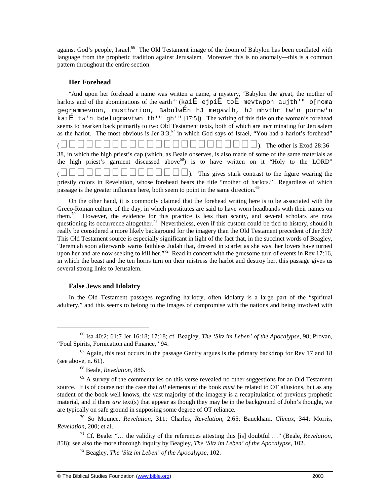against God's people, Israel.<sup>66</sup> The Old Testament image of the doom of Babylon has been conflated with language from the prophetic tradition against Jerusalem. Moreover this is no anomaly—this is a common pattern throughout the entire section.

## **Her Forehead**

"And upon her forehead a name was written a name, a mystery, 'Babylon the great, the mother of harlots and of the abominations of the earth" (kaiÉ ejpiÉ toÉ mevtwpon aujth'" o[noma gegrammevnon, musthvrion, BabulwÉn hJ megavlh, hJ mhvthr tw'n pornw'n kaiÉ tw'n bdelugmavtwn th'" gh'" [17:5]). The writing of this title on the woman's forehead seems to hearken back primarily to two Old Testament texts, both of which are incriminating for Jerusalem as the harlot. The most obvious is Jer  $3:3,5$ <sup>7</sup> in which God says of Israel, "You had a harlot's forehead"

 $($  The other is Exod 28:36– 38, in which the high priest's cap (which, as Beale observes, is also made of some of the same materials as the high priest's garment discussed above  $68$ ) is to have written on it "Holy to the LORD" (). This gives stark contrast to the figure wearing the

priestly colors in Revelation, whose forehead bears the title "mother of harlots." Regardless of which passage is the greater influence here, both seem to point in the same direction.<sup>69</sup>

On the other hand, it is commonly claimed that the forehead writing here is to be associated with the Greco-Roman culture of the day, in which prostitutes are said to have worn headbands with their names on them.<sup>70</sup> However, the evidence for this practice is less than scanty, and several scholars are now questioning its occurrence altogether.<sup>71</sup> Nevertheless, even if this custom could be tied to history, should it really be considered a more likely background for the imagery than the Old Testament precedent of Jer 3:3? This Old Testament source is especially significant in light of the fact that, in the succinct words of Beagley, "Jeremiah soon afterwards warns faithless Judah that, dressed in scarlet as she was, her lovers have turned upon her and are now seeking to kill her."<sup>72</sup> Read in concert with the gruesome turn of events in Rev 17:16, in which the beast and the ten horns turn on their mistress the harlot and destroy her, this passage gives us several strong links to Jerusalem.

## **False Jews and Idolatry**

-

In the Old Testament passages regarding harlotry, often idolatry is a large part of the "spiritual adultery," and this seems to belong to the images of compromise with the nations and being involved with

<sup>66</sup> Isa 40:2; 61:7 Jer 16:18; 17:18; cf. Beagley, *The 'Sitz im Leben' of the Apocalypse*, 98; Provan, "Foul Spirits, Fornication and Finance," 94.

 $67$  Again, this text occurs in the passage Gentry argues is the primary backdrop for Rev 17 and 18 (see above, n. 61).

<sup>68</sup> Beale, *Revelation*, 886.

 $<sup>69</sup>$  A survey of the commentaries on this verse revealed no other suggestions for an Old Testament</sup> source. It is of course not the case that *all* elements of the book *must* be related to OT allusions, but as any student of the book well knows, the vast majority of the imagery is a recapitulation of previous prophetic material, and if there *are* text(s) that appear as though they may be in the background of John's thought, we are typically on safe ground in supposing some degree of OT reliance.

<sup>70</sup> So Mounce, *Revelation*, 311; Charles, *Revelation*, 2:65; Bauckham, *Climax*, 344; Morris, *Revelation*, 200; et al.

<sup>71</sup> Cf. Beale: "… the validity of the references attesting this [is] doubtful …" (Beale, *Revelation*, 858); see also the more thorough inquiry by Beagley, *The 'Sitz im Leben' of the Apocalypse*, 102.

<sup>72</sup> Beagley, *The 'Sitz im Leben' of the Apocalypse*, 102.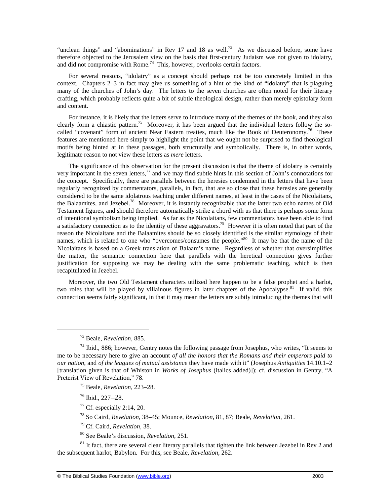"unclean things" and "abominations" in Rev 17 and 18 as well.<sup>73</sup> As we discussed before, some have therefore objected to the Jerusalem view on the basis that first-century Judaism was not given to idolatry, and did not compromise with Rome.<sup>74</sup> This, however, overlooks certain factors.

For several reasons, "idolatry" as a concept should perhaps not be too concretely limited in this context. Chapters 2–3 in fact may give us something of a hint of the kind of "idolatry" that is plaguing many of the churches of John's day. The letters to the seven churches are often noted for their literary crafting, which probably reflects quite a bit of subtle theological design, rather than merely epistolary form and content.

For instance, it is likely that the letters serve to introduce many of the themes of the book, and they also clearly form a chiastic pattern.<sup>75</sup> Moreover, it has been argued that the individual letters follow the socalled "covenant" form of ancient Near Eastern treaties, much like the Book of Deuteronomy.<sup>76</sup> These features are mentioned here simply to highlight the point that we ought not be surprised to find theological motifs being hinted at in these passages, both structurally and symbolically. There is, in other words, legitimate reason to not view these letters as *mere* letters.

The significance of this observation for the present discussion is that the theme of idolatry is certainly very important in the seven letters,<sup>77</sup> and we may find subtle hints in this section of John's connotations for the concept. Specifically, there are parallels between the heresies condemned in the letters that have been regularly recognized by commentators, parallels, in fact, that are so close that these heresies are generally considered to be the same idolatrous teaching under different names, at least in the cases of the Nicolaitans, the Balaamites, and Jezebel.<sup>78</sup> Moreover, it is instantly recognizable that the latter two echo names of Old Testament figures, and should therefore automatically strike a chord with us that there is perhaps some form of intentional symbolism being implied. As far as the Nicolaitans, few commentators have been able to find a satisfactory connection as to the identity of these aggravators.<sup>79</sup> However it is often noted that part of the reason the Nicolaitans and the Balaamites should be so closely identified is the similar etymology of their names, which is related to one who "overcomes/consumes the people."<sup>80</sup> It may be that the name of the Nicolaitans is based on a Greek translation of Balaam's name. Regardless of whether that oversimplifies the matter, the semantic connection here that parallels with the heretical connection gives further justification for supposing we may be dealing with the same problematic teaching, which is then recapitulated in Jezebel.

Moreover, the two Old Testament characters utilized here happen to be a false prophet and a harlot, two roles that will be played by villainous figures in later chapters of the Apocalypse.<sup>81</sup> If valid, this connection seems fairly significant, in that it may mean the letters are subtly introducing the themes that will

 $\overline{a}$ 

<sup>75</sup> Beale, *Revelation*, 223–28.

<sup>76</sup> Ibid., 227–28.

 $77$  Cf. especially 2:14, 20.

<sup>78</sup> So Caird, *Revelation*, 38–45; Mounce, *Revelation*, 81, 87; Beale, *Revelation*, 261.

<sup>79</sup> Cf. Caird, *Revelation*, 38.

<sup>80</sup> See Beale's discussion, *Revelation*, 251.

<sup>81</sup> It fact, there are several clear literary parallels that tighten the link between Jezebel in Rev 2 and the subsequent harlot, Babylon. For this, see Beale, *Revelation*, 262.

<sup>73</sup> Beale, *Revelation*, 885.

 $74$  Ibid., 886; however, Gentry notes the following passage from Josephus, who writes, "It seems to me to be necessary here to give an account *of all the honors that the Romans and their emperors paid to our nation*, and *of the leagues of mutual assistance* they have made with it" (Josephus *Antiquities* 14.10.1–2 [translation given is that of Whiston in *Works of Josephus* (italics added)]); cf. discussion in Gentry, "A Preterist View of Revelation," 78.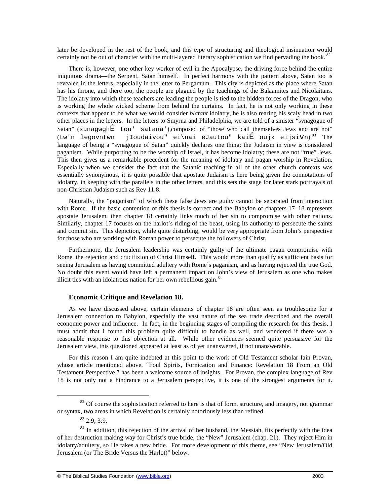later be developed in the rest of the book, and this type of structuring and theological insinuation would certainly not be out of character with the multi-layered literary sophistication we find pervading the book.<sup>82</sup>

There is, however, one other key worker of evil in the Apocalypse, the driving force behind the entire iniquitous drama—the Serpent, Satan himself. In perfect harmony with the pattern above, Satan too is revealed in the letters, especially in the letter to Pergamum. This city is depicted as the place where Satan has his throne, and there too, the people are plagued by the teachings of the Balaamites and Nicolaitans. The idolatry into which these teachers are leading the people is tied to the hidden forces of the Dragon, who is working the whole wicked scheme from behind the curtains. In fact, he is not only working in these contexts that appear to be what we would consider *blatant* idolatry, he is also rearing his scaly head in two other places in the letters. In the letters to Smyrna and Philadelphia, we are told of a sinister "synagogue of Satan" (sunagwghÉ tou' satana'),composed of "those who call themselves Jews and are not" (tw'n legovntwn jIoudaivou" ei\nai eJautou" kaiÉ oujk eijsiVn). The language of being a "synagogue of Satan" quickly declares one thing: the Judaism in view is considered paganism. While purporting to be the worship of Israel, it has become idolatry; these are not "true" Jews. This then gives us a remarkable precedent for the meaning of idolatry and pagan worship in Revelation. Especially when we consider the fact that the Satanic teaching in all of the other church contexts was essentially synonymous, it is quite possible that apostate Judaism is here being given the connotations of idolatry, in keeping with the parallels in the other letters, and this sets the stage for later stark portrayals of non-Christian Judaism such as Rev 11:8.

Naturally, the "paganism" of which these false Jews are guilty cannot be separated from interaction with Rome. If the basic contention of this thesis is correct and the Babylon of chapters 17–18 represents apostate Jerusalem, then chapter 18 certainly links much of her sin to compromise with other nations. Similarly, chapter 17 focuses on the harlot's riding of the beast, using its authority to persecute the saints and commit sin. This depiction, while quite disturbing, would be very appropriate from John's perspective for those who are working with Roman power to persecute the followers of Christ.

Furthermore, the Jerusalem leadership was certainly guilty of the ultimate pagan compromise with Rome, the rejection and crucifixion of Christ Himself. This would more than qualify as sufficient basis for seeing Jerusalem as having committed adultery with Rome's paganism, and as having rejected the true God. No doubt this event would have left a permanent impact on John's view of Jerusalem as one who makes illicit ties with an idolatrous nation for her own rebellious gain. $84$ 

## **Economic Critique and Revelation 18.**

As we have discussed above, certain elements of chapter 18 are often seen as troublesome for a Jerusalem connection to Babylon, especially the vast nature of the sea trade described and the overall economic power and influence. In fact, in the beginning stages of compiling the research for this thesis, I must admit that I found this problem quite difficult to handle as well, and wondered if there was a reasonable response to this objection at all. While other evidences seemed quite persuasive for the Jerusalem view, this questioned appeared at least as of yet unanswered, if not unanswerable.

For this reason I am quite indebted at this point to the work of Old Testament scholar Iain Provan, whose article mentioned above, "Foul Spirits, Fornication and Finance: Revelation 18 From an Old Testament Perspective," has been a welcome source of insights. For Provan, the complex language of Rev 18 is not only not a hindrance to a Jerusalem perspective, it is one of the strongest arguments for it.

1

<sup>&</sup>lt;sup>82</sup> Of course the sophistication referred to here is that of form, structure, and imagery, not grammar or syntax, two areas in which Revelation is certainly notoriously less than refined.

 $83, 2.9; 3.9$ .

<sup>&</sup>lt;sup>84</sup> In addition, this rejection of the arrival of her husband, the Messiah, fits perfectly with the idea of her destruction making way for Christ's true bride, the "New" Jerusalem (chap. 21). They reject Him in idolatry/adultery, so He takes a new bride. For more development of this theme, see "New Jerusalem/Old Jerusalem (or The Bride Versus the Harlot)" below.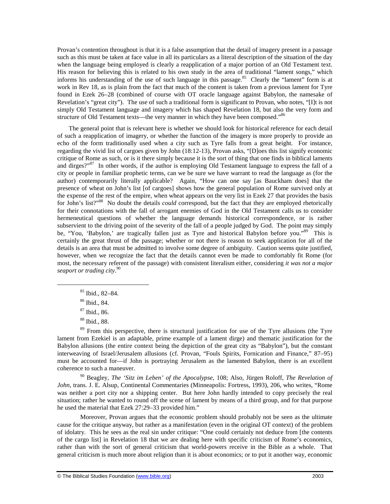Provan's contention throughout is that it is a false assumption that the detail of imagery present in a passage such as this must be taken at face value in all its particulars as a literal description of the situation of the day when the language being employed is clearly a reapplication of a major portion of an Old Testament text. His reason for believing this is related to his own study in the area of traditional "lament songs," which informs his understanding of the use of such language in this passage.<sup>85</sup> Clearly the "lament" form is at work in Rev 18, as is plain from the fact that much of the content is taken from a previous lament for Tyre found in Ezek 26–28 (combined of course with OT oracle language against Babylon, the namesake of Revelation's "great city"). The use of such a traditional form is significant to Provan, who notes, "[I]t is not simply Old Testament language and imagery which has shaped Revelation 18, but also the very form and structure of Old Testament texts—the very manner in which they have been composed."<sup>86</sup>

The general point that is relevant here is whether we should look for historical reference for each detail of such a reapplication of imagery, or whether the function of the imagery is more properly to provide an echo of the form traditionally used when a city such as Tyre falls from a great height. For instance, regarding the vivid list of cargoes given by John (18:12-13), Provan asks, "[D]oes this list signify economic critique of Rome as such, or is it there simply because it is the sort of thing that one finds in biblical laments and dirges?"<sup>87</sup> In other words, if the author is employing Old Testament language to express the fall of a city or people in familiar prophetic terms, can we be sure we have warrant to read the language as (for the author) contemporarily literally applicable? Again, "How can one say [as Bauckham does] that the presence of wheat on John's list [of cargoes] shows how the general population of Rome survived only at the expense of the rest of the empire, when wheat appears on the very list in Ezek 27 that provides the basis for John's list?"<sup>88</sup> No doubt the details *could* correspond, but the fact that they are employed rhetorically for their connotations with the fall of arrogant enemies of God in the Old Testament calls us to consider hermeneutical questions of whether the language demands historical correspondence, or is rather subservient to the driving point of the severity of the fall of a people judged by God. The point may simply be, "You, 'Babylon,' are tragically fallen just as Tyre and historical Babylon before you."<sup>89</sup> This is certainly the great thrust of the passage; whether or not there is reason to seek application for all of the details is an area that must be admitted to involve some degree of ambiguity. Caution seems quite justified, however, when we recognize the fact that the details cannot even be made to comfortably fit Rome (for most, the necessary referent of the passage) with consistent literalism either, considering *it was not a major seaport or trading city*. 90

 $\overline{a}$ 

<sup>89</sup> From this perspective, there is structural justification for use of the Tyre allusions (the Tyre lament from Ezekiel is an adaptable, prime example of a lament dirge) and thematic justification for the Babylon allusions (the entire context being the depiction of the great city as "Babylon"), but the constant interweaving of Israel/Jerusalem allusions (cf. Provan, "Fouls Spirits, Fornication and Finance," 87–95) must be accounted for—if John is portraying Jerusalem as the lamented Babylon, there is an excellent coherence to such a maneuver.

<sup>90</sup> Beagley, *The 'Sitz im Leben' of the Apocalypse*, 108; Also, Jürgen Roloff, *The Revelation of John*, trans. J. E. Alsup, Continental Commentaries (Minneapolis: Fortress, 1993), 206, who writes, "Rome was neither a port city nor a shipping center. But here John hardly intended to copy precisely the real situation; rather he wanted to round off the scene of lament by means of a third group, and for that purpose he used the material that Ezek 27:29–33 provided him."

Moreover, Provan argues that the economic problem should probably not be seen as the ultimate cause for the critique anyway, but rather as a manifestation (even in the original OT context) of the problem of idolatry. This he sees as the real sin under critique: "One could certainly not deduce from [the contents of the cargo list] in Revelation 18 that we are dealing here with specific criticism of Rome's economics, rather than with the sort of general criticism that world-powers receive in the Bible as a whole. That general criticism is much more about religion than it is about economics; or to put it another way, economic

<sup>85</sup> Ibid., 82–84.

<sup>86</sup> Ibid., 84.

<sup>87</sup> Ibid., 86.

<sup>88</sup> Ibid., 88.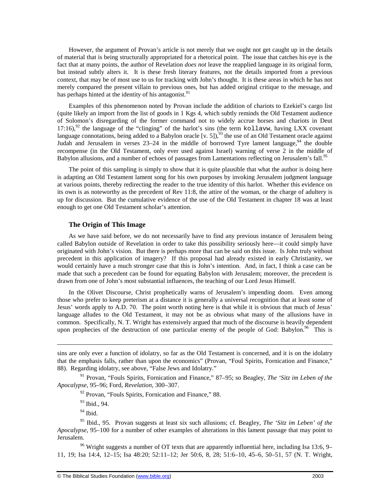However, the argument of Provan's article is not merely that we ought not get caught up in the details of material that is being structurally appropriated for a rhetorical point. The issue that catches his eye is the fact that at many points, the author of Revelation *does not* leave the reapplied language in its original form, but instead subtly alters it. It is these fresh literary features, not the details imported from a previous context, that may be of most use to us for tracking with John's thought. It is these areas in which he has not merely compared the present villain to previous ones, but has added original critique to the message, and has perhaps hinted at the identity of his antagonist.<sup>91</sup>

Examples of this phenomenon noted by Provan include the addition of chariots to Ezekiel's cargo list (quite likely an import from the list of goods in 1 Kgs 4, which subtly reminds the Old Testament audience of Solomon's disregarding of the former command not to widely accrue horses and chariots in Deut 17:16),<sup>92</sup> the language of the "clinging" of the harlot's sins (the term kollavw, having LXX covenant language connotations, being added to a Babylon oracle [v. 5]),  $^{93}$  the use of an Old Testament oracle against Judah and Jerusalem in verses  $23-24$  in the middle of borrowed Tyre lament language, <sup>94</sup> the double recompense (in the Old Testament, only ever used against Israel) warning of verse 2 in the middle of Babylon allusions, and a number of echoes of passages from Lamentations reflecting on Jerusalem's fall.<sup>95</sup>

The point of this sampling is simply to show that it is quite plausible that what the author is doing here is adapting an Old Testament lament song for his own purposes by invoking Jerusalem judgment language at various points, thereby redirecting the reader to the true identity of this harlot. Whether this evidence on its own is as noteworthy as the precedent of Rev 11:8, the attire of the woman, or the charge of adultery is up for discussion. But the cumulative evidence of the use of the Old Testament in chapter 18 was at least enough to get one Old Testament scholar's attention.

#### **The Origin of This Image**

As we have said before, we do not necessarily have to find any previous instance of Jerusalem being called Babylon outside of Revelation in order to take this possibility seriously here—it could simply have originated with John's vision. But there is perhaps more that can be said on this issue. Is John truly without precedent in this application of imagery? If this proposal had already existed in early Christianity, we would certainly have a much stronger case that this is John's intention. And, in fact, I think a case can be made that such a precedent can be found for equating Babylon with Jerusalem; moreover, the precedent is drawn from one of John's most substantial influences, the teaching of our Lord Jesus Himself.

In the Olivet Discourse, Christ prophetically warns of Jerusalem's impending doom. Even among those who prefer to keep preterism at a distance it is generally a universal recognition that at least some of Jesus' words apply to A.D. 70. The point worth noting here is that while it is obvious that much of Jesus' language alludes to the Old Testament, it may not be as obvious what many of the allusions have in common. Specifically, N. T. Wright has extensively argued that much of the discourse is heavily dependent upon prophecies of the destruction of one particular enemy of the people of God: Babylon.<sup>96</sup> This is

 $\overline{a}$ 

 $96$  Wright suggests a number of OT texts that are apparently influential here, including Isa 13:6, 9– 11, 19; Isa 14:4, 12–15; Isa 48:20; 52:11–12; Jer 50:6, 8, 28; 51:6–10, 45–6, 50–51, 57 (N. T. Wright,

sins are only ever a function of idolatry, so far as the Old Testament is concerned, and it is on the idolatry that the emphasis falls, rather than upon the economics" (Provan, "Foul Spirits, Fornication and Finance," 88). Regarding idolatry, see above, "False Jews and Idolatry."

<sup>91</sup> Provan, "Fouls Spirits, Fornication and Finance," 87–95; so Beagley*, The 'Sitz im Leben of the Apocalypse*, 95–96; Ford, *Revelation*, 300–307.

<sup>&</sup>lt;sup>92</sup> Provan, "Fouls Spirits, Fornication and Finance," 88.

<sup>93</sup> Ibid., 94.

 $94$  Ibid.

<sup>95</sup> Ibid., 95. Provan suggests at least six such allusions; cf. Beagley, *The 'Sitz im Leben' of the Apocalypse*, 95–100 for a number of other examples of alterations in this lament passage that may point to Jerusalem.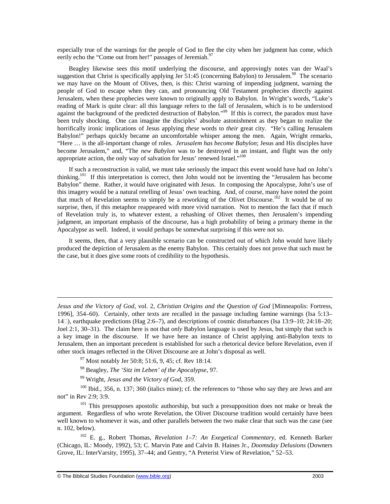especially true of the warnings for the people of God to flee the city when her judgment has come, which eerily echo the "Come out from her!" passages of Jeremiah.<sup>97</sup>

Beagley likewise sees this motif underlying the discourse, and approvingly notes van der Waal's suggestion that Christ is specifically applying Jer 51:45 (concerning Babylon) to Jerusalem.<sup>98</sup> The scenario we may have on the Mount of Olives, then, is this: Christ warning of impending judgment, warning the people of God to escape when they can, and pronouncing Old Testament prophecies directly against Jerusalem, when these prophecies were known to originally apply to Babylon. In Wright's words, "Luke's reading of Mark is quite clear: all this language refers to the fall of Jerusalem, which is to be understood against the background of the predicted destruction of Babylon."<sup>99</sup> If this is correct, the paradox must have been truly shocking. One can imagine the disciples' absolute astonishment as they began to realize the horrifically ironic implications of Jesus applying *these* words to *their* great city. "He's calling Jerusalem Babylon!" perhaps quickly became an uncomfortable whisper among the men. Again, Wright remarks, "Here … is the all-important change of roles. *Jerusalem has become Babylon*; Jesus and His disciples have become Jerusalem," and, "The *new Babylon* was to be destroyed in an instant, and flight was the only appropriate action, the only way of salvation for Jesus' renewed Israel."<sup>100</sup>

If such a reconstruction is valid, we must take seriously the impact this event would have had on John's thinking.<sup>101</sup> If this interpretation is correct, then John would not be inventing the "Jerusalem has become" Babylon" theme. Rather, it would have originated with Jesus. In composing the Apocalypse, John's use of this imagery would be a natural retelling of Jesus' own teaching. And, of course, many have noted the point that much of Revelation seems to simply be a reworking of the Olivet Discourse.<sup>102</sup> It would be of no surprise, then, if this metaphor reappeared with more vivid narration. Not to mention the fact that if much of Revelation truly is, to whatever extent, a rehashing of Olivet themes, then Jerusalem's impending judgment, an important emphasis of the discourse, has a high probability of being a primary theme in the Apocalypse as well. Indeed, it would perhaps be somewhat surprising if this were not so.

It seems, then, that a very plausible scenario can be constructed out of which John would have likely produced the depiction of Jerusalem as the enemy Babylon. This certainly does not prove that such must be the case, but it does give some roots of credibility to the hypothesis.

*Jesus and the Victory of God*, vol. 2, *Christian Origins and the Question of God* [Minneapolis: Fortress, 1996], 354–60). Certainly, other texts are recalled in the passage including famine warnings (Isa 5:13– 14), earthquake predictions (Hag 2:6–7), and descriptions of cosmic disturbances (Isa 13:9–10; 24:18–20; Joel 2:1, 30–31). The claim here is not that *only* Babylon language is used by Jesus, but simply that such is a key image in the discourse. If we have here an instance of Christ applying anti-Babylon texts to Jerusalem, then an important precedent is established for such a rhetorical device before Revelation, even if other stock images reflected in the Olivet Discourse are at John's disposal as well.

 $^{97}$  Most notably Jer 50:8; 51:6, 9, 45; cf. Rev 18:14.

<sup>98</sup> Beagley, *The 'Sitz im Leben' of the Apocalypse*, 97.

<sup>99</sup> Wright, *Jesus and the Victory of God*, 359.

 $100$  Ibid., 356, n. 137; 360 (italics mine); cf. the references to "those who say they are Jews and are not" in Rev 2:9; 3:9.

 $101$  This presupposes apostolic authorship, but such a presupposition does not make or break the argument. Regardless of who wrote Revelation, the Olivet Discourse tradition would certainly have been well known to whomever it was, and other parallels between the two make clear that such was the case (see n. 102, below).

<sup>102</sup> E. g., Robert Thomas, *Revelation 1–7: An Exegetical Commentary*, ed. Kenneth Barker (Chicago, IL: Moody, 1992), 53; C. Marvin Pate and Calvin B. Haines Jr., *Doomsday Delusions* (Downers Grove, IL: InterVarsity, 1995), 37–44; and Gentry, "A Preterist View of Revelation," 52–53.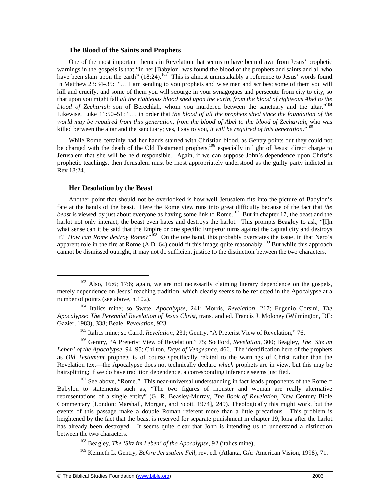#### **The Blood of the Saints and Prophets**

One of the most important themes in Revelation that seems to have been drawn from Jesus' prophetic warnings in the gospels is that "in her [Babylon] was found the blood of the prophets and saints and all who have been slain upon the earth"  $(18:24)$ .<sup>103</sup> This is almost unmistakably a reference to Jesus' words found in Matthew 23:34–35: "… I am sending to you prophets and wise men and scribes; some of them you will kill and crucify, and some of them you will scourge in your synagogues and persecute from city to city, so that upon you might fall *all the righteous blood shed upon the earth, from the blood of righteous Abel to the blood of Zechariah* son of Berechiah, whom you murdered between the sanctuary and the altar."<sup>104</sup> Likewise, Luke 11:50–51: "… in order that *the blood of all the prophets shed since the foundation of the world may be required from this generation, from the blood of Abel to the blood of Zechariah*, who was killed between the altar and the sanctuary; yes, I say to you*, it will be required of this generation*."<sup>105</sup>

While Rome certainly had her hands stained with Christian blood, as Gentry points out they could not be charged with the death of the Old Testament prophets,<sup>106</sup> especially in light of Jesus' direct charge to Jerusalem that she will be held responsible. Again, if we can suppose John's dependence upon Christ's prophetic teachings, then Jerusalem must be most appropriately understood as the guilty party indicted in Rev 18:24.

#### **Her Desolation by the Beast**

1

Another point that should not be overlooked is how well Jerusalem fits into the picture of Babylon's fate at the hands of the beast. Here the Rome view runs into great difficulty because of the fact that *the beast* is viewed by just about everyone as having some link to Rome.<sup>107</sup> But in chapter 17, the beast and the harlot not only interact, the beast even hates and destroys the harlot. This prompts Beagley to ask, "[I]n what sense can it be said that the Empire or one specific Emperor turns against the capital city and destroys it? *How can Rome destroy Rome?*"<sup>108</sup> On the one hand, this probably overstates the issue, in that Nero's apparent role in the fire at Rome (A.D. 64) could fit this image quite reasonably.<sup>109</sup> But while this approach cannot be dismissed outright, it may not do sufficient justice to the distinction between the two characters.

<sup>&</sup>lt;sup>103</sup> Also, 16:6; 17:6; again, we are not necessarily claiming literary dependence on the gospels, merely dependence on Jesus' teaching tradition, which clearly seems to be reflected in the Apocalypse at a number of points (see above, n.102).

<sup>104</sup> Italics mine; so Swete, *Apocalypse*, 241; Morris, *Revelation*, 217; Eugenio Corsini*, The Apocalypse: The Perennial Revelation of Jesus Christ*, trans. and ed. Francis J. Moloney (Wilmington, DE: Gazier, 1983), 338; Beale, *Revelation*, 923.

<sup>&</sup>lt;sup>105</sup> Italics mine; so Caird, *Revelation*, 231; Gentry, "A Preterist View of Revelation," 76.

<sup>106</sup> Gentry, "A Preterist View of Revelation," 75; So Ford, *Revelation*, 300; Beagley, *The 'Sitz im Leben' of the Apocalypse*, 94–95; Chilton, *Days of Vengeance*, 466. The identification here of the prophets as *Old Testament* prophets is of course specifically related to the warnings of Christ rather than the Revelation text—the Apocalypse does not technically declare *which* prophets are in view, but this may be hairsplitting; if we do have tradition dependence, a corresponding inference seems justified.

 $107$  See above, "Rome." This near-universal understanding in fact leads proponents of the Rome = Babylon to statements such as, "The two figures of monster and woman are really alternative representations of a single entity" (G. R. Beasley-Murray, *The Book of Revelation*, New Century Bible Commentary [London: Marshall, Morgan, and Scott, 1974], 249). Theologically this might work, but the events of this passage make a double Roman referent more than a little precarious. This problem is heightened by the fact that the beast is reserved for separate punishment in chapter 19, long after the harlot has already been destroyed. It seems quite clear that John is intending us to understand a distinction between the two characters.

<sup>108</sup> Beagley, *The 'Sitz im Leben' of the Apocalypse*, 92 (italics mine).

<sup>109</sup> Kenneth L. Gentry, *Before Jerusalem Fell*, rev. ed. (Atlanta, GA: American Vision, 1998), 71.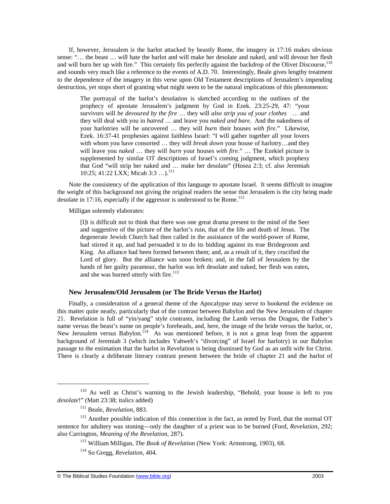If, however, Jerusalem is the harlot attacked by beastly Rome, the imagery in 17:16 makes obvious sense: "… the beast … will hate the harlot and will make her desolate and naked, and will devour her flesh and will burn her up with fire." This certainly fits perfectly against the backdrop of the Olivet Discourse,<sup>110</sup> and sounds very much like a reference to the events of A.D. 70. Interestingly, Beale gives lengthy treatment to the dependence of the imagery in this verse upon Old Testament descriptions of Jerusalem's impending destruction, yet stops short of granting what might seem to be the natural implications of this phenomenon:

The portrayal of the harlot's desolation is sketched according to the outlines of the prophecy of apostate Jerusalem's judgment by God in Ezek. 23:25-29, 47: "your survivors will *be devoured by the fire* … they will *also strip you of your clothes* … and they will deal with you in *hatred* … and leave you *naked and bare*. And the nakedness of your harlotries will be uncovered … they will *burn* their houses *with fire*." Likewise, Ezek. 16:37-41 prophesies against faithless Israel: "I will gather together all your lovers with whom you have consorted … they will *break down* your house of harlotry…and they will leave you *naked* … they will *burn* your houses *with fire*." … The Ezekiel picture is supplemented by similar OT descriptions of Israel's coming judgment, which prophesy that God "will strip her naked and … make her desolate" (Hosea 2:3; cf. also Jeremiah 10:25; 41:22 LXX; Micah 3:3 ...).<sup>111</sup>

Note the consistency of the application of this language to apostate Israel. It seems difficult to imagine the weight of this background not giving the original readers the sense that Jerusalem is the city being made desolate in 17:16, especially if the aggressor is understood to be Rome.<sup>112</sup>

Milligan solemnly elaborates:

[I]t is difficult not to think that there was one great drama present to the mind of the Seer and suggestive of the picture of the harlot's ruin, that of the life and death of Jesus. The degenerate Jewish Church had then called in the assistance of the world-power of Rome, had stirred it up, and had persuaded it to do its bidding against its true Bridegroom and King. An alliance had been formed between them; and, as a result of it, they crucified the Lord of glory. But the alliance was soon broken; and, in the fall of Jerusalem by the hands of her guilty paramour, the harlot was left desolate and naked, her flesh was eaten, and she was burned utterly with fire.<sup>113</sup>

## **New Jerusalem/Old Jerusalem (or The Bride Versus the Harlot)**

Finally, a consideration of a general theme of the Apocalypse may serve to bookend the evidence on this matter quite neatly, particularly that of the contrast between Babylon and the New Jerusalem of chapter 21. Revelation is full of "yin/yang" style contrasts, including the Lamb versus the Dragon, the Father's name versus the beast's name on people's foreheads, and, here, the image of the bride versus the harlot, or, New Jerusalem versus Babylon.<sup>114</sup> As was mentioned before, it is not a great leap from the apparent background of Jeremiah 3 (which includes Yahweh's "divorcing" of Israel for harlotry) in our Babylon passage to the estimation that the harlot in Revelation is being dismissed by God as an unfit wife for Christ. There is clearly a deliberate literary contrast present between the bride of chapter 21 and the harlot of

<sup>110</sup> As well as Christ's warning to the Jewish leadership, "Behold, your house is left to you *desolate*!" (Matt 23:38; italics added)

<sup>111</sup> Beale, *Revelation*, 883.

 $112$  Another possible indication of this connection is the fact, as noted by Ford, that the normal OT sentence for adultery was stoning—only the daughter of a priest was to be burned (Ford, *Revelation*, 292; also Carrington, *Meaning of the Revelation*, 287).

<sup>113</sup> William Milligan, *The Book of Revelation* (New York: Armstrong, 1903), 68.

<sup>114</sup> So Gregg, *Revelation*, 404.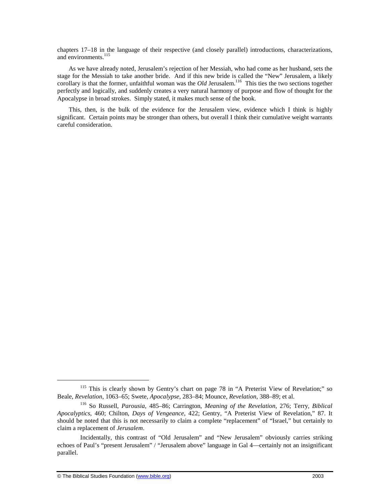chapters 17–18 in the language of their respective (and closely parallel) introductions, characterizations, and environments.<sup>115</sup>

As we have already noted, Jerusalem's rejection of her Messiah, who had come as her husband, sets the stage for the Messiah to take another bride. And if this new bride is called the "New" Jerusalem, a likely corollary is that the former, unfaithful woman was the *Old* Jerusalem.<sup>116</sup> This ties the two sections together perfectly and logically, and suddenly creates a very natural harmony of purpose and flow of thought for the Apocalypse in broad strokes. Simply stated, it makes much sense of the book.

This, then, is the bulk of the evidence for the Jerusalem view, evidence which I think is highly significant. Certain points may be stronger than others, but overall I think their cumulative weight warrants careful consideration.

-

<sup>&</sup>lt;sup>115</sup> This is clearly shown by Gentry's chart on page 78 in "A Preterist View of Revelation;" so Beale, *Revelation*, 1063–65; Swete, *Apocalypse*, 283–84; Mounce, *Revelation*, 388–89; et al.

<sup>116</sup> So Russell, *Parousia*, 485–86; Carrington, *Meaning of the Revelation*, 276; Terry*, Biblical Apocalyptics*, 460; Chilton, *Days of Vengeance*, 422; Gentry, "A Preterist View of Revelation," 87. It should be noted that this is not necessarily to claim a complete "replacement" of "Israel," but certainly to claim a replacement of *Jerusalem*.

Incidentally, this contrast of "Old Jerusalem" and "New Jerusalem" obviously carries striking echoes of Paul's "present Jerusalem" / "Jerusalem above" language in Gal 4—certainly not an insignificant parallel.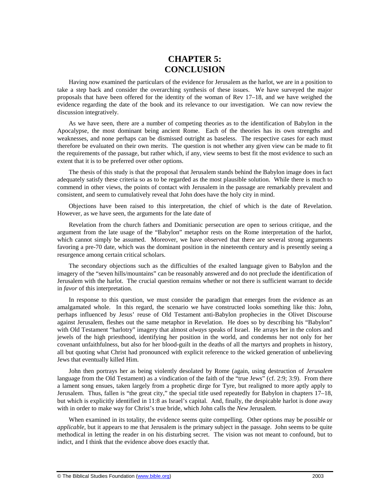# **CHAPTER 5: CONCLUSION**

Having now examined the particulars of the evidence for Jerusalem as the harlot, we are in a position to take a step back and consider the overarching synthesis of these issues. We have surveyed the major proposals that have been offered for the identity of the woman of Rev 17–18, and we have weighed the evidence regarding the date of the book and its relevance to our investigation. We can now review the discussion integratively.

As we have seen, there are a number of competing theories as to the identification of Babylon in the Apocalypse, the most dominant being ancient Rome. Each of the theories has its own strengths and weaknesses, and none perhaps can be dismissed outright as baseless. The respective cases for each must therefore be evaluated on their own merits. The question is not whether any given view can be made to fit the requirements of the passage, but rather which, if any, view seems to best fit the most evidence to such an extent that it is to be preferred over other options.

The thesis of this study is that the proposal that Jerusalem stands behind the Babylon image does in fact adequately satisfy these criteria so as to be regarded as the most plausible solution. While there is much to commend in other views, the points of contact with Jerusalem in the passage are remarkably prevalent and consistent, and seem to cumulatively reveal that John does have the holy city in mind.

Objections have been raised to this interpretation, the chief of which is the date of Revelation. However, as we have seen, the arguments for the late date of

Revelation from the church fathers and Domitianic persecution are open to serious critique, and the argument from the late usage of the "Babylon" metaphor rests on the Rome interpretation of the harlot, which cannot simply be assumed. Moreover, we have observed that there are several strong arguments favoring a pre-70 date, which was the dominant position in the nineteenth century and is presently seeing a resurgence among certain critical scholars.

The secondary objections such as the difficulties of the exalted language given to Babylon and the imagery of the "seven hills/mountains" can be reasonably answered and do not preclude the identification of Jerusalem with the harlot. The crucial question remains whether or not there is sufficient warrant to decide in *favor* of this interpretation.

In response to this question, we must consider the paradigm that emerges from the evidence as an amalgamated whole. In this regard, the scenario we have constructed looks something like this: John, perhaps influenced by Jesus' reuse of Old Testament anti-Babylon prophecies in the Olivet Discourse against Jerusalem, fleshes out the same metaphor in Revelation. He does so by describing his "Babylon" with Old Testament "harlotry" imagery that almost *always* speaks of Israel. He arrays her in the colors and jewels of the high priesthood, identifying her position in the world, and condemns her not only for her covenant unfaithfulness, but also for her blood-guilt in the deaths of all the martyrs and prophets in history, all but quoting what Christ had pronounced with explicit reference to the wicked generation of unbelieving Jews that eventually killed Him.

John then portrays her as being violently desolated by Rome (again, using destruction of *Jerusalem* language from the Old Testament) as a vindication of the faith of the "true Jews" (cf. 2:9; 3:9). From there a lament song ensues, taken largely from a prophetic dirge for Tyre, but realigned to more aptly apply to Jerusalem. Thus, fallen is "the great city," the special title used repeatedly for Babylon in chapters 17–18, but which is explicitly identified in 11:8 as Israel's capital. And, finally, the despicable harlot is done away with in order to make way for Christ's true bride, which John calls the *New* Jerusalem.

When examined in its totality, the evidence seems quite compelling. Other options may be *possible* or *applicable*, but it appears to me that Jerusalem is the primary subject in the passage. John seems to be quite methodical in letting the reader in on his disturbing secret. The vision was not meant to confound, but to indict, and I think that the evidence above does exactly that.